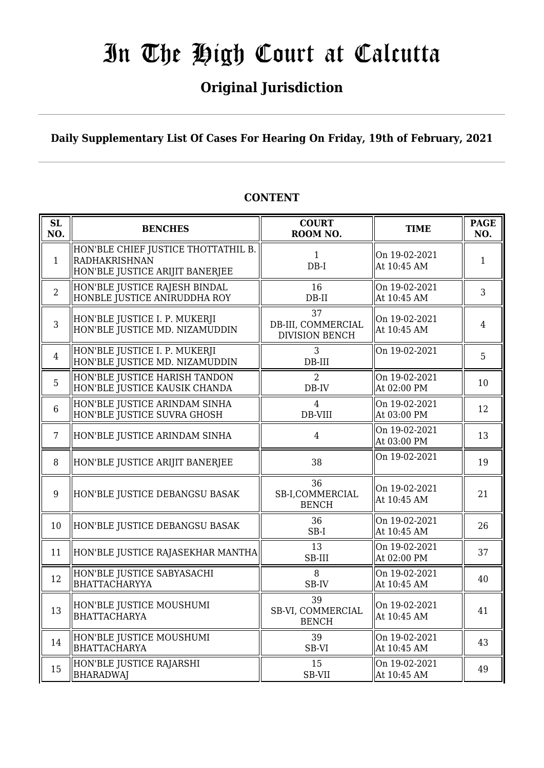## **Original Jurisdiction**

**Daily Supplementary List Of Cases For Hearing On Friday, 19th of February, 2021**

#### **SL SL BENCHES COURT**<br> **NO. BENCHES COURT ROOM NO.** TIME PAGE **NO.** 1 HON'BLE CHIEF JUSTICE THOTTATHIL B. RADHAKRISHNAN HON'BLE JUSTICE ARIJIT BANERJEE 1 DB-I On 19-02-2021 At 10:45 AM  $\begin{array}{|c|c|} \hline 1 & 1 \\ \hline \end{array}$ 2 HON'BLE JUSTICE RAJESH BINDAL HONBLE JUSTICE ANIRUDDHA ROY 16 DB-II On 19-02-2021 At 10:45 AM  $\begin{array}{|l|} \hline 3 \end{array}$ 3 HON'BLE JUSTICE I. P. MUKERJI HON'BLE JUSTICE MD. NIZAMUDDIN 37 DB-III, COMMERCIAL DIVISION BENCH On 19-02-2021  $\begin{array}{|c|c|c|c|c|}\n\hline\n\text{At 10:45 AM} & & & 4\n\end{array}$ 4 HON'BLE JUSTICE I. P. MUKERJI HON'BLE JUSTICE MD. NIZAMUDDIN 3 DB-III On 19-02-2021  $\begin{array}{|c|c|} \hline 5 & 5 \\ \hline \end{array}$ 5 HON'BLE JUSTICE HARISH TANDON HON'BLE JUSTICE KAUSIK CHANDA  $\overline{2}$ DB-IV On 19-02-2021 At 02:00 PM  $\begin{array}{|c|c|} \hline 10 & 10 \\ \hline \end{array}$ 6 HON'BLE JUSTICE ARINDAM SINHA HON'BLE JUSTICE SUVRA GHOSH  $\overline{A}$ DB-VIII On 19-02-2021  $\begin{array}{|c|c|c|c|c|c|}\n\hline\n\text{At 03:00 PM} & & & 12\n\end{array}$ 7 HON'BLE JUSTICE ARINDAM SINHA | 4 On 19-02-2021 At 03:00 PM  $\begin{array}{|l|} \hline 13 \end{array}$ 8 HON'BLE JUSTICE ARIJIT BANERJEE  $\parallel$  38  $\parallel$  0n 19-02-2021  $\parallel$  19 9 HON'BLE JUSTICE DEBANGSU BASAK 36 SB-I,COMMERCIAL **BENCH** On 19-02-2021  $\begin{array}{|c|c|c|c|c|c|} \hline \text{Out 19-02-2021} & & 21 \\ \hline \text{At 10:45 AM} & & 21 \end{array}$ 10 HON'BLE JUSTICE DEBANGSU BASAK 36 SB-I On 19-02-2021  $\begin{array}{|c|c|c|c|c|}\n\hline\n\text{At 10:45 AM} & & 26\n\end{array}$ 11 HON'BLE JUSTICE RAJASEKHAR MANTHA SB-III On 19-02-2021 At 02:00 PM  $\begin{array}{|l|} \hline 37 \end{array}$ 12 HON'BLE JUSTICE SABYASACHI BHATTACHARYYA 8 SB-IV On 19-02-2021  $\begin{array}{|c|c|c|c|c|}\n\hline\n\text{At 10:45 AM} & & 40\n\end{array}$  $\parallel$ 13 HON'BLE JUSTICE MOUSHUMI **BHATTACHARYA** 39 SB-VI, COMMERCIAL BENCH On 19-02-2021  $\begin{array}{|c|c|c|c|c|}\n\hline\n\text{At 10:45 AM} & & 41\n\end{array}$  $14$  HON'BLE JUSTICE MOUSHUMI BHATTACHARYA 39 SB-VI On 19-02-2021  $\begin{array}{|c|c|c|c|c|}\n\hline\n\text{At 10:45 AM} & & & 43\n\end{array}$ 15 HON'BLE JUSTICE RAJARSHI **BHARADWAI** 15 SB-VII On 19-02-2021  $\begin{array}{|c|c|c|c|c|c|} \hline \text{At 10:45 AM} & & 49 \hline \end{array}$

## **CONTENT**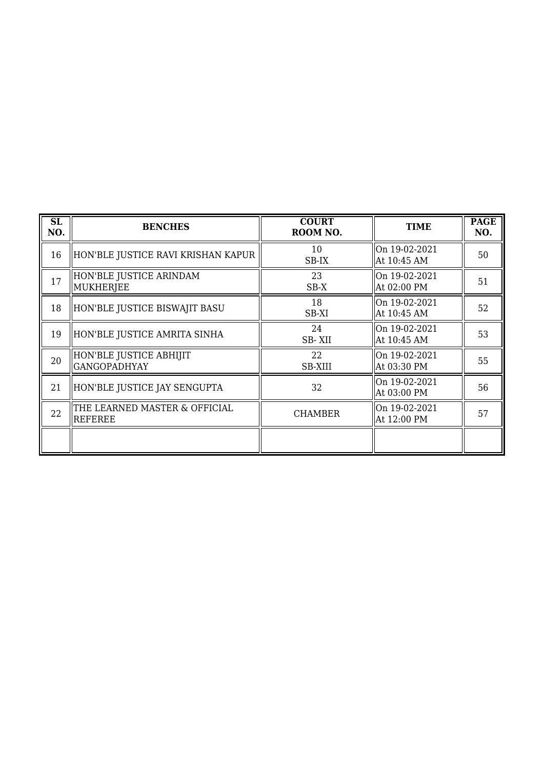| SL<br>NO. | <b>BENCHES</b>                                 | <b>COURT</b><br>ROOM NO. | <b>TIME</b>                  | <b>PAGE</b><br>NO. |
|-----------|------------------------------------------------|--------------------------|------------------------------|--------------------|
| 16        | HON'BLE JUSTICE RAVI KRISHAN KAPUR             | 10<br>SB-IX              | On 19-02-2021<br>At 10:45 AM | 50                 |
| 17        | HON'BLE JUSTICE ARINDAM<br>MUKHERJEE           | 23<br>SB-X               | On 19-02-2021<br>At 02:00 PM | 51                 |
| 18        | HON'BLE JUSTICE BISWAJIT BASU                  | 18<br>SB-XI              | On 19-02-2021<br>At 10:45 AM | 52                 |
| 19        | HON'BLE JUSTICE AMRITA SINHA                   | 24<br>SB-XII             | On 19-02-2021<br>At 10:45 AM | 53                 |
| 20        | HON'BLE JUSTICE ABHIJIT<br><b>GANGOPADHYAY</b> | 22<br><b>SB-XIII</b>     | On 19-02-2021<br>At 03:30 PM | 55                 |
| 21        | HON'BLE JUSTICE JAY SENGUPTA                   | 32                       | On 19-02-2021<br>At 03:00 PM | 56                 |
| 22        | THE LEARNED MASTER & OFFICIAL<br>REFEREE       | <b>CHAMBER</b>           | On 19-02-2021<br>At 12:00 PM | 57                 |
|           |                                                |                          |                              |                    |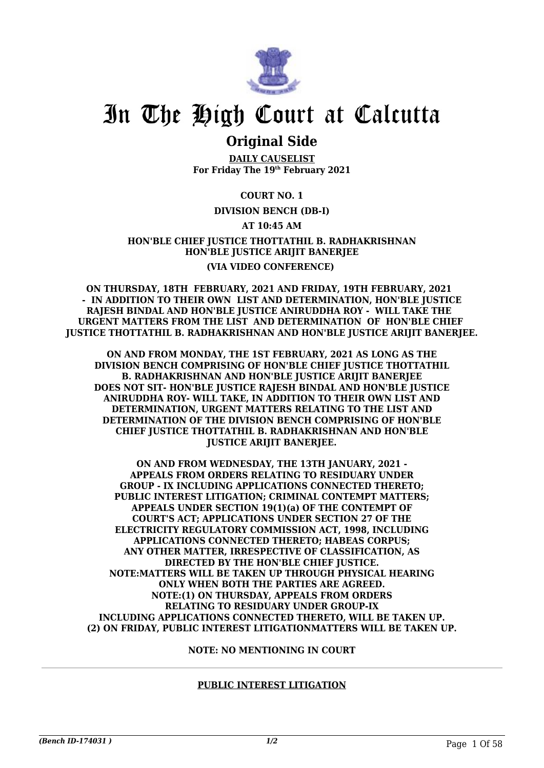

## **Original Side**

**DAILY CAUSELIST For Friday The 19th February 2021**

### **COURT NO. 1**

### **DIVISION BENCH (DB-I)**

### **AT 10:45 AM**

### **HON'BLE CHIEF JUSTICE THOTTATHIL B. RADHAKRISHNAN HON'BLE JUSTICE ARIJIT BANERJEE (VIA VIDEO CONFERENCE)**

**ON THURSDAY, 18TH FEBRUARY, 2021 AND FRIDAY, 19TH FEBRUARY, 2021 - IN ADDITION TO THEIR OWN LIST AND DETERMINATION, HON'BLE JUSTICE RAJESH BINDAL AND HON'BLE JUSTICE ANIRUDDHA ROY - WILL TAKE THE URGENT MATTERS FROM THE LIST AND DETERMINATION OF HON'BLE CHIEF JUSTICE THOTTATHIL B. RADHAKRISHNAN AND HON'BLE JUSTICE ARIJIT BANERJEE.**

**ON AND FROM MONDAY, THE 1ST FEBRUARY, 2021 AS LONG AS THE DIVISION BENCH COMPRISING OF HON'BLE CHIEF JUSTICE THOTTATHIL B. RADHAKRISHNAN AND HON'BLE JUSTICE ARIJIT BANERJEE DOES NOT SIT- HON'BLE JUSTICE RAJESH BINDAL AND HON'BLE JUSTICE ANIRUDDHA ROY- WILL TAKE, IN ADDITION TO THEIR OWN LIST AND DETERMINATION, URGENT MATTERS RELATING TO THE LIST AND DETERMINATION OF THE DIVISION BENCH COMPRISING OF HON'BLE CHIEF JUSTICE THOTTATHIL B. RADHAKRISHNAN AND HON'BLE JUSTICE ARIJIT BANERJEE.**

**ON AND FROM WEDNESDAY, THE 13TH JANUARY, 2021 - APPEALS FROM ORDERS RELATING TO RESIDUARY UNDER GROUP - IX INCLUDING APPLICATIONS CONNECTED THERETO; PUBLIC INTEREST LITIGATION; CRIMINAL CONTEMPT MATTERS; APPEALS UNDER SECTION 19(1)(a) OF THE CONTEMPT OF COURT'S ACT; APPLICATIONS UNDER SECTION 27 OF THE ELECTRICITY REGULATORY COMMISSION ACT, 1998, INCLUDING APPLICATIONS CONNECTED THERETO; HABEAS CORPUS; ANY OTHER MATTER, IRRESPECTIVE OF CLASSIFICATION, AS DIRECTED BY THE HON'BLE CHIEF JUSTICE. NOTE:MATTERS WILL BE TAKEN UP THROUGH PHYSICAL HEARING ONLY WHEN BOTH THE PARTIES ARE AGREED. NOTE:(1) ON THURSDAY, APPEALS FROM ORDERS RELATING TO RESIDUARY UNDER GROUP-IX INCLUDING APPLICATIONS CONNECTED THERETO, WILL BE TAKEN UP. (2) ON FRIDAY, PUBLIC INTEREST LITIGATIONMATTERS WILL BE TAKEN UP.**

#### **NOTE: NO MENTIONING IN COURT**

### **PUBLIC INTEREST LITIGATION**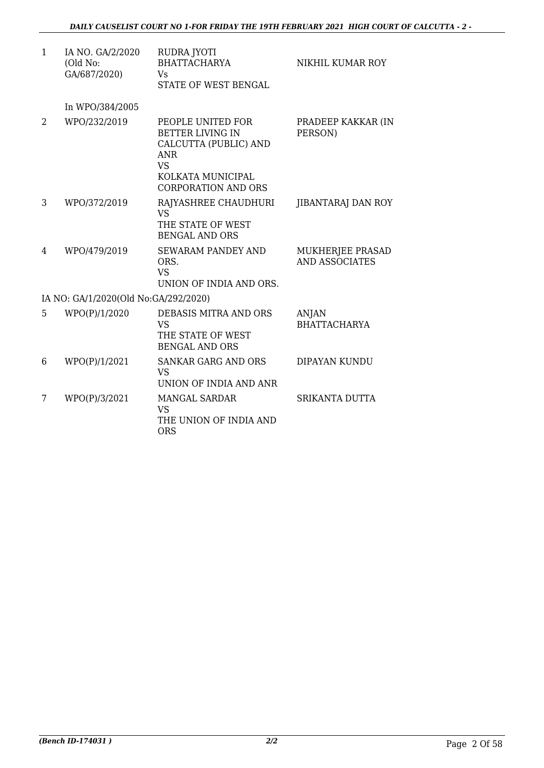| $\mathbf{1}$ | IA NO. GA/2/2020<br>(Old No:<br>GA/687/2020) | RUDRA JYOTI<br><b>BHATTACHARYA</b><br><b>V<sub>S</sub></b><br><b>STATE OF WEST BENGAL</b>                                                           | NIKHIL KUMAR ROY                          |
|--------------|----------------------------------------------|-----------------------------------------------------------------------------------------------------------------------------------------------------|-------------------------------------------|
|              | In WPO/384/2005                              |                                                                                                                                                     |                                           |
| 2            | WPO/232/2019                                 | PEOPLE UNITED FOR<br><b>BETTER LIVING IN</b><br>CALCUTTA (PUBLIC) AND<br><b>ANR</b><br><b>VS</b><br>KOLKATA MUNICIPAL<br><b>CORPORATION AND ORS</b> | PRADEEP KAKKAR (IN<br>PERSON)             |
| 3            | WPO/372/2019                                 | RAJYASHREE CHAUDHURI<br><b>VS</b><br>THE STATE OF WEST<br><b>BENGAL AND ORS</b>                                                                     | JIBANTARAJ DAN ROY                        |
| 4            | WPO/479/2019                                 | <b>SEWARAM PANDEY AND</b><br>ORS.<br><b>VS</b><br>UNION OF INDIA AND ORS.                                                                           | MUKHERJEE PRASAD<br><b>AND ASSOCIATES</b> |
|              | IA NO: GA/1/2020(Old No:GA/292/2020)         |                                                                                                                                                     |                                           |
| 5            | WPO(P)/1/2020                                | DEBASIS MITRA AND ORS<br><b>VS</b><br>THE STATE OF WEST<br><b>BENGAL AND ORS</b>                                                                    | <b>ANJAN</b><br><b>BHATTACHARYA</b>       |
| 6            | WPO(P)/1/2021                                | <b>SANKAR GARG AND ORS</b><br><b>VS</b><br>UNION OF INDIA AND ANR                                                                                   | DIPAYAN KUNDU                             |
| 7            | WPO(P)/3/2021                                | <b>MANGAL SARDAR</b><br><b>VS</b><br>THE UNION OF INDIA AND<br><b>ORS</b>                                                                           | SRIKANTA DUTTA                            |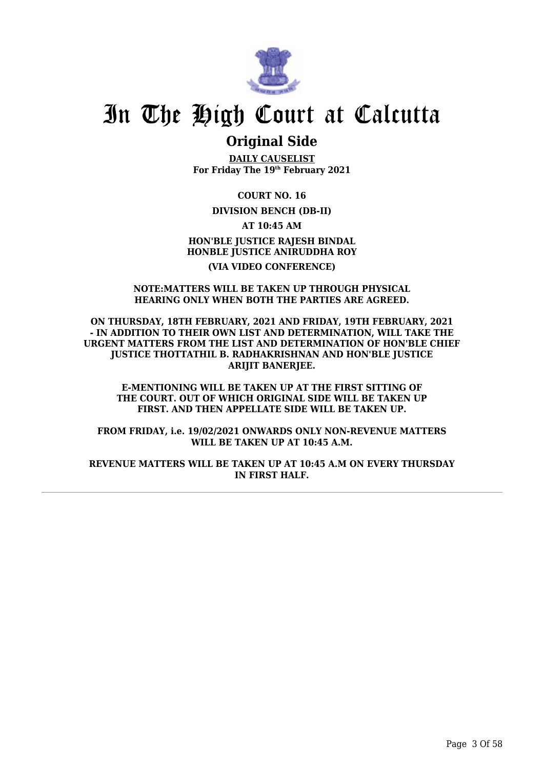

## **Original Side**

**DAILY CAUSELIST For Friday The 19th February 2021**

**COURT NO. 16**

**DIVISION BENCH (DB-II)**

**AT 10:45 AM HON'BLE JUSTICE RAJESH BINDAL HONBLE JUSTICE ANIRUDDHA ROY (VIA VIDEO CONFERENCE)**

#### **NOTE:MATTERS WILL BE TAKEN UP THROUGH PHYSICAL HEARING ONLY WHEN BOTH THE PARTIES ARE AGREED.**

**ON THURSDAY, 18TH FEBRUARY, 2021 AND FRIDAY, 19TH FEBRUARY, 2021 - IN ADDITION TO THEIR OWN LIST AND DETERMINATION, WILL TAKE THE URGENT MATTERS FROM THE LIST AND DETERMINATION OF HON'BLE CHIEF JUSTICE THOTTATHIL B. RADHAKRISHNAN AND HON'BLE JUSTICE ARIJIT BANERJEE.**

**E-MENTIONING WILL BE TAKEN UP AT THE FIRST SITTING OF THE COURT. OUT OF WHICH ORIGINAL SIDE WILL BE TAKEN UP FIRST. AND THEN APPELLATE SIDE WILL BE TAKEN UP.**

**FROM FRIDAY, i.e. 19/02/2021 ONWARDS ONLY NON-REVENUE MATTERS WILL BE TAKEN UP AT 10:45 A.M.**

**REVENUE MATTERS WILL BE TAKEN UP AT 10:45 A.M ON EVERY THURSDAY IN FIRST HALF.**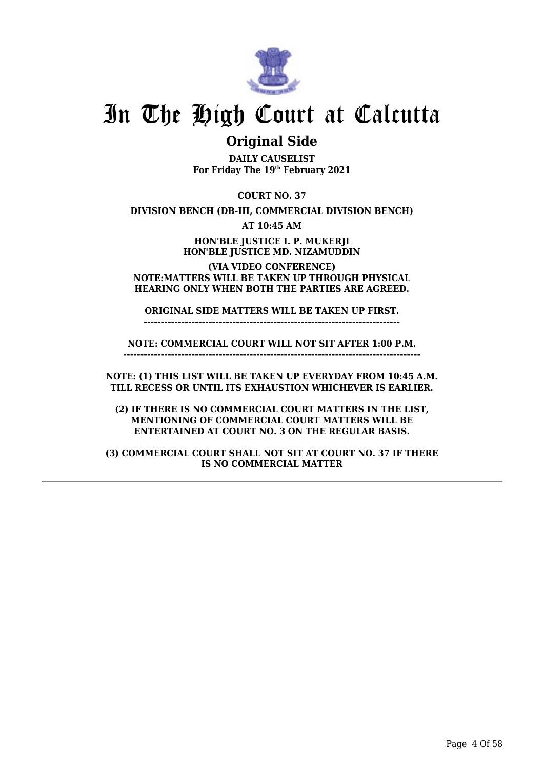

## **Original Side**

**DAILY CAUSELIST For Friday The 19th February 2021**

**COURT NO. 37**

**DIVISION BENCH (DB-III, COMMERCIAL DIVISION BENCH)**

**AT 10:45 AM**

**HON'BLE JUSTICE I. P. MUKERJI HON'BLE JUSTICE MD. NIZAMUDDIN**

**(VIA VIDEO CONFERENCE) NOTE:MATTERS WILL BE TAKEN UP THROUGH PHYSICAL HEARING ONLY WHEN BOTH THE PARTIES ARE AGREED.**

**ORIGINAL SIDE MATTERS WILL BE TAKEN UP FIRST.**

**---------------------------------------------------------------------------**

**NOTE: COMMERCIAL COURT WILL NOT SIT AFTER 1:00 P.M. ---------------------------------------------------------------------------------------**

**NOTE: (1) THIS LIST WILL BE TAKEN UP EVERYDAY FROM 10:45 A.M. TILL RECESS OR UNTIL ITS EXHAUSTION WHICHEVER IS EARLIER.**

**(2) IF THERE IS NO COMMERCIAL COURT MATTERS IN THE LIST, MENTIONING OF COMMERCIAL COURT MATTERS WILL BE ENTERTAINED AT COURT NO. 3 ON THE REGULAR BASIS.**

**(3) COMMERCIAL COURT SHALL NOT SIT AT COURT NO. 37 IF THERE IS NO COMMERCIAL MATTER**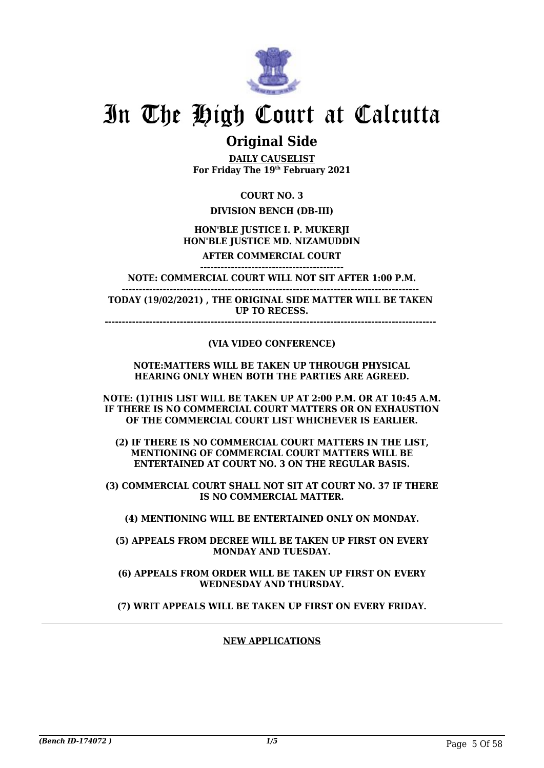

## **Original Side**

**DAILY CAUSELIST For Friday The 19th February 2021**

**COURT NO. 3**

## **DIVISION BENCH (DB-III)**

### **HON'BLE JUSTICE I. P. MUKERJI HON'BLE JUSTICE MD. NIZAMUDDIN**

**AFTER COMMERCIAL COURT ------------------------------------------**

**NOTE: COMMERCIAL COURT WILL NOT SIT AFTER 1:00 P.M. ---------------------------------------------------------------------------------------** 

**TODAY (19/02/2021) , THE ORIGINAL SIDE MATTER WILL BE TAKEN UP TO RECESS.**

**-------------------------------------------------------------------------------------------------** 

### **(VIA VIDEO CONFERENCE)**

#### **NOTE:MATTERS WILL BE TAKEN UP THROUGH PHYSICAL HEARING ONLY WHEN BOTH THE PARTIES ARE AGREED.**

**NOTE: (1)THIS LIST WILL BE TAKEN UP AT 2:00 P.M. OR AT 10:45 A.M. IF THERE IS NO COMMERCIAL COURT MATTERS OR ON EXHAUSTION OF THE COMMERCIAL COURT LIST WHICHEVER IS EARLIER.**

**(2) IF THERE IS NO COMMERCIAL COURT MATTERS IN THE LIST, MENTIONING OF COMMERCIAL COURT MATTERS WILL BE ENTERTAINED AT COURT NO. 3 ON THE REGULAR BASIS.**

**(3) COMMERCIAL COURT SHALL NOT SIT AT COURT NO. 37 IF THERE IS NO COMMERCIAL MATTER.**

**(4) MENTIONING WILL BE ENTERTAINED ONLY ON MONDAY.**

**(5) APPEALS FROM DECREE WILL BE TAKEN UP FIRST ON EVERY MONDAY AND TUESDAY.**

**(6) APPEALS FROM ORDER WILL BE TAKEN UP FIRST ON EVERY WEDNESDAY AND THURSDAY.**

**(7) WRIT APPEALS WILL BE TAKEN UP FIRST ON EVERY FRIDAY.**

### **NEW APPLICATIONS**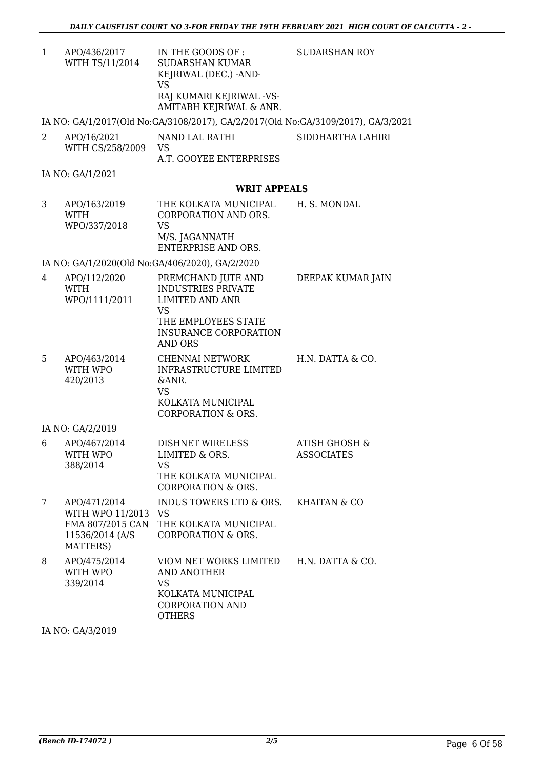1 APO/436/2017 WITH TS/11/2014 IN THE GOODS OF : SUDARSHAN KUMAR KEJRIWAL (DEC.) -AND-VS RAJ KUMARI KEJRIWAL -VS-AMITABH KEJRIWAL & ANR. SUDARSHAN ROY

IA NO: GA/1/2017(Old No:GA/3108/2017), GA/2/2017(Old No:GA/3109/2017), GA/3/2021

2 APO/16/2021 WITH CS/258/2009 NAND LAL RATHI VS A.T. GOOYEE ENTERPRISES SIDDHARTHA LAHIRI

IA NO: GA/1/2021

### **WRIT APPEALS**

3 APO/163/2019 WITH WPO/337/2018 THE KOLKATA MUNICIPAL CORPORATION AND ORS. VS M/S. JAGANNATH ENTERPRISE AND ORS. H. S. MONDAL

IA NO: GA/1/2020(Old No:GA/406/2020), GA/2/2020

| 4 | APO/112/2020<br><b>WITH</b><br>WPO/1111/2011                        | PREMCHAND JUTE AND<br><b>INDUSTRIES PRIVATE</b><br><b>LIMITED AND ANR</b><br><b>VS</b><br>THE EMPLOYEES STATE<br><b>INSURANCE CORPORATION</b><br><b>AND ORS</b> | DEEPAK KUMAR JAIN                             |
|---|---------------------------------------------------------------------|-----------------------------------------------------------------------------------------------------------------------------------------------------------------|-----------------------------------------------|
| 5 | APO/463/2014<br>WITH WPO<br>420/2013                                | <b>CHENNAI NETWORK</b><br><b>INFRASTRUCTURE LIMITED</b><br>&ANR.<br><b>VS</b><br>KOLKATA MUNICIPAL<br><b>CORPORATION &amp; ORS.</b>                             | H.N. DATTA & CO.                              |
|   | IA NO: GA/2/2019                                                    |                                                                                                                                                                 |                                               |
| 6 | APO/467/2014<br>WITH WPO<br>388/2014                                | DISHNET WIRELESS<br>LIMITED & ORS.<br><b>VS</b><br>THE KOLKATA MUNICIPAL<br><b>CORPORATION &amp; ORS.</b>                                                       | <b>ATISH GHOSH &amp;</b><br><b>ASSOCIATES</b> |
| 7 | APO/471/2014<br>WITH WPO 11/2013 VS<br>11536/2014 (A/S)<br>MATTERS) | INDUS TOWERS LTD & ORS. KHAITAN & CO<br>FMA 807/2015 CAN THE KOLKATA MUNICIPAL<br><b>CORPORATION &amp; ORS.</b>                                                 |                                               |
| 8 | APO/475/2014<br>WITH WPO<br>339/2014                                | VIOM NET WORKS LIMITED H.N. DATTA & CO.<br><b>AND ANOTHER</b><br><b>VS</b><br>KOLKATA MUNICIPAL<br><b>CORPORATION AND</b><br><b>OTHERS</b>                      |                                               |

IA NO: GA/3/2019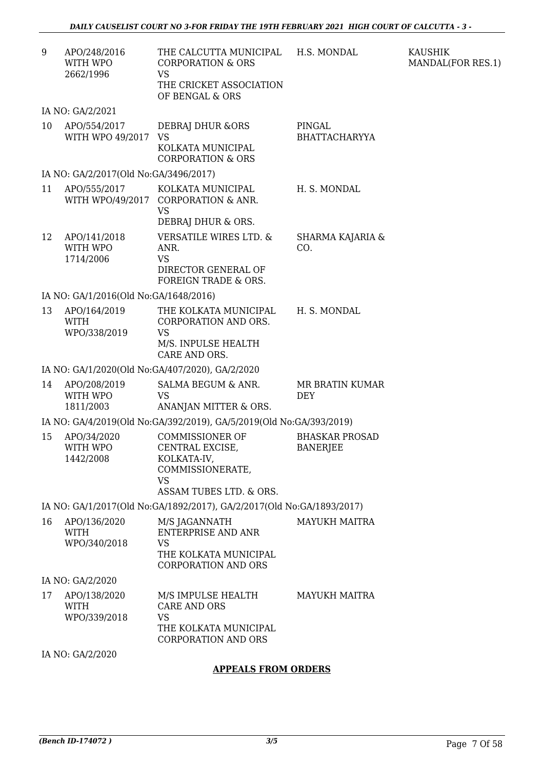| 9  | APO/248/2016<br>WITH WPO<br>2662/1996       | THE CALCUTTA MUNICIPAL<br><b>CORPORATION &amp; ORS</b><br><b>VS</b><br>THE CRICKET ASSOCIATION<br>OF BENGAL & ORS    | H.S. MONDAL                              | <b>KAUSHIK</b><br>MANDAL(FOR RES.1) |
|----|---------------------------------------------|----------------------------------------------------------------------------------------------------------------------|------------------------------------------|-------------------------------------|
|    | IA NO: GA/2/2021                            |                                                                                                                      |                                          |                                     |
| 10 | APO/554/2017<br>WITH WPO 49/2017 VS         | DEBRAJ DHUR & ORS<br>KOLKATA MUNICIPAL<br><b>CORPORATION &amp; ORS</b>                                               | PINGAL<br><b>BHATTACHARYYA</b>           |                                     |
|    | IA NO: GA/2/2017(Old No:GA/3496/2017)       |                                                                                                                      |                                          |                                     |
| 11 | APO/555/2017                                | KOLKATA MUNICIPAL<br>WITH WPO/49/2017 CORPORATION & ANR.<br><b>VS</b>                                                | H. S. MONDAL                             |                                     |
|    |                                             | DEBRAJ DHUR & ORS.                                                                                                   |                                          |                                     |
| 12 | APO/141/2018<br>WITH WPO<br>1714/2006       | <b>VERSATILE WIRES LTD. &amp;</b><br>ANR.<br><b>VS</b><br>DIRECTOR GENERAL OF<br>FOREIGN TRADE & ORS.                | SHARMA KAJARIA &<br>CO.                  |                                     |
|    | IA NO: GA/1/2016(Old No:GA/1648/2016)       |                                                                                                                      |                                          |                                     |
| 13 | APO/164/2019<br><b>WITH</b><br>WPO/338/2019 | THE KOLKATA MUNICIPAL<br>CORPORATION AND ORS.<br><b>VS</b><br>M/S. INPULSE HEALTH<br>CARE AND ORS.                   | H. S. MONDAL                             |                                     |
|    |                                             | IA NO: GA/1/2020(Old No:GA/407/2020), GA/2/2020                                                                      |                                          |                                     |
| 14 | APO/208/2019<br>WITH WPO<br>1811/2003       | SALMA BEGUM & ANR.<br><b>VS</b><br>ANANJAN MITTER & ORS.                                                             | MR BRATIN KUMAR<br><b>DEY</b>            |                                     |
|    |                                             | IA NO: GA/4/2019(Old No:GA/392/2019), GA/5/2019(Old No:GA/393/2019)                                                  |                                          |                                     |
| 15 | APO/34/2020<br>WITH WPO<br>1442/2008        | <b>COMMISSIONER OF</b><br>CENTRAL EXCISE,<br>KOLKATA-IV,<br>COMMISSIONERATE,<br><b>VS</b><br>ASSAM TUBES LTD. & ORS. | <b>BHASKAR PROSAD</b><br><b>BANERJEE</b> |                                     |
|    |                                             | IA NO: GA/1/2017(Old No:GA/1892/2017), GA/2/2017(Old No:GA/1893/2017)                                                |                                          |                                     |
| 16 | APO/136/2020<br><b>WITH</b><br>WPO/340/2018 | M/S JAGANNATH<br><b>ENTERPRISE AND ANR</b><br><b>VS</b><br>THE KOLKATA MUNICIPAL<br><b>CORPORATION AND ORS</b>       | <b>MAYUKH MAITRA</b>                     |                                     |
|    | IA NO: GA/2/2020                            |                                                                                                                      |                                          |                                     |
| 17 | APO/138/2020<br><b>WITH</b><br>WPO/339/2018 | M/S IMPULSE HEALTH<br><b>CARE AND ORS</b><br><b>VS</b><br>THE KOLKATA MUNICIPAL<br><b>CORPORATION AND ORS</b>        | <b>MAYUKH MAITRA</b>                     |                                     |
|    | IA NO: GA/2/2020                            |                                                                                                                      |                                          |                                     |
|    |                                             | <b>APPEALS FROM ORDERS</b>                                                                                           |                                          |                                     |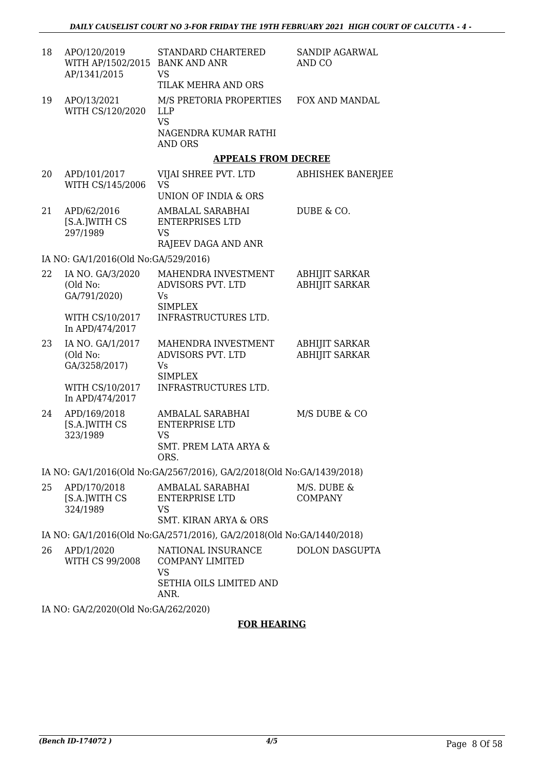| 18 | APO/120/2019<br>WITH AP/1502/2015 BANK AND ANR<br>AP/1341/2015 | STANDARD CHARTERED<br>VS                                                                     | SANDIP AGARWAL<br>AND CO                       |
|----|----------------------------------------------------------------|----------------------------------------------------------------------------------------------|------------------------------------------------|
|    |                                                                | TILAK MEHRA AND ORS                                                                          |                                                |
| 19 | APO/13/2021<br>WITH CS/120/2020                                | M/S PRETORIA PROPERTIES<br><b>LLP</b><br><b>VS</b>                                           | FOX AND MANDAL                                 |
|    |                                                                | NAGENDRA KUMAR RATHI<br><b>AND ORS</b>                                                       |                                                |
|    |                                                                | <b>APPEALS FROM DECREE</b>                                                                   |                                                |
| 20 | APD/101/2017<br>WITH CS/145/2006                               | VIJAI SHREE PVT. LTD<br>VS<br><b>UNION OF INDIA &amp; ORS</b>                                | <b>ABHISHEK BANERJEE</b>                       |
| 21 | APD/62/2016<br>[S.A.]WITH CS<br>297/1989                       | AMBALAL SARABHAI<br><b>ENTERPRISES LTD</b><br><b>VS</b>                                      | DUBE & CO.                                     |
|    |                                                                | RAJEEV DAGA AND ANR                                                                          |                                                |
|    | IA NO: GA/1/2016(Old No:GA/529/2016)                           |                                                                                              |                                                |
| 22 | IA NO. GA/3/2020<br>(Old No:<br>GA/791/2020)                   | MAHENDRA INVESTMENT<br>ADVISORS PVT. LTD<br>Vs<br><b>SIMPLEX</b>                             | <b>ABHIJIT SARKAR</b><br><b>ABHIJIT SARKAR</b> |
|    | WITH CS/10/2017<br>In APD/474/2017                             | INFRASTRUCTURES LTD.                                                                         |                                                |
| 23 | IA NO. GA/1/2017<br>(Old No:<br>GA/3258/2017)                  | MAHENDRA INVESTMENT<br><b>ADVISORS PVT. LTD</b><br>Vs<br><b>SIMPLEX</b>                      | <b>ABHIJIT SARKAR</b><br><b>ABHIJIT SARKAR</b> |
|    | WITH CS/10/2017<br>In APD/474/2017                             | INFRASTRUCTURES LTD.                                                                         |                                                |
| 24 | APD/169/2018<br>[S.A.]WITH CS<br>323/1989                      | AMBALAL SARABHAI<br><b>ENTERPRISE LTD</b><br><b>VS</b>                                       | M/S DUBE & CO                                  |
|    |                                                                | SMT. PREM LATA ARYA &<br>ORS.                                                                |                                                |
|    |                                                                | IA NO: GA/1/2016(Old No:GA/2567/2016), GA/2/2018(Old No:GA/1439/2018)                        |                                                |
| 25 | APD/170/2018<br>[S.A.]WITH CS<br>324/1989                      | AMBALAL SARABHAI<br><b>ENTERPRISE LTD</b><br><b>VS</b><br><b>SMT. KIRAN ARYA &amp; ORS</b>   | M/S. DUBE &<br><b>COMPANY</b>                  |
|    |                                                                | IA NO: GA/1/2016(Old No:GA/2571/2016), GA/2/2018(Old No:GA/1440/2018)                        |                                                |
| 26 | APD/1/2020<br>WITH CS 99/2008                                  | NATIONAL INSURANCE<br><b>COMPANY LIMITED</b><br><b>VS</b><br>SETHIA OILS LIMITED AND<br>ANR. | <b>DOLON DASGUPTA</b>                          |
|    | IA NO: GA/2/2020(Old No:GA/262/2020)                           |                                                                                              |                                                |
|    |                                                                |                                                                                              |                                                |

### **FOR HEARING**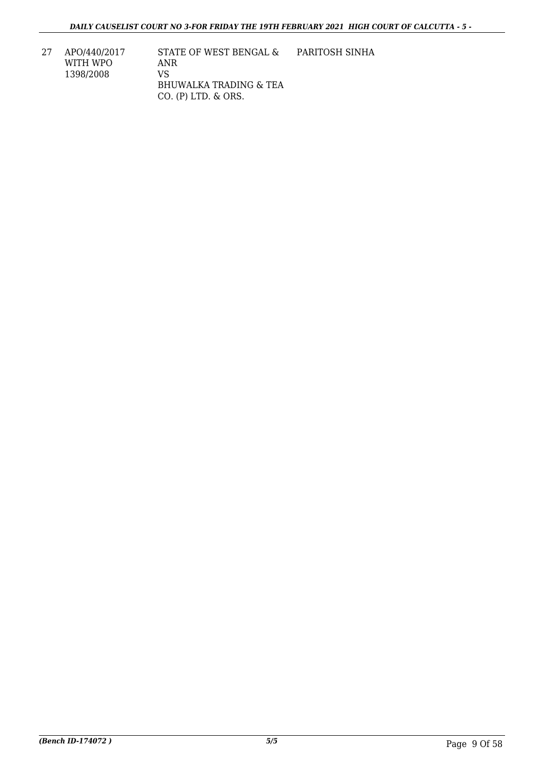27 APO/440/2017 WITH WPO 1398/2008

STATE OF WEST BENGAL & ANR VS BHUWALKA TRADING & TEA CO. (P) LTD. & ORS. PARITOSH SINHA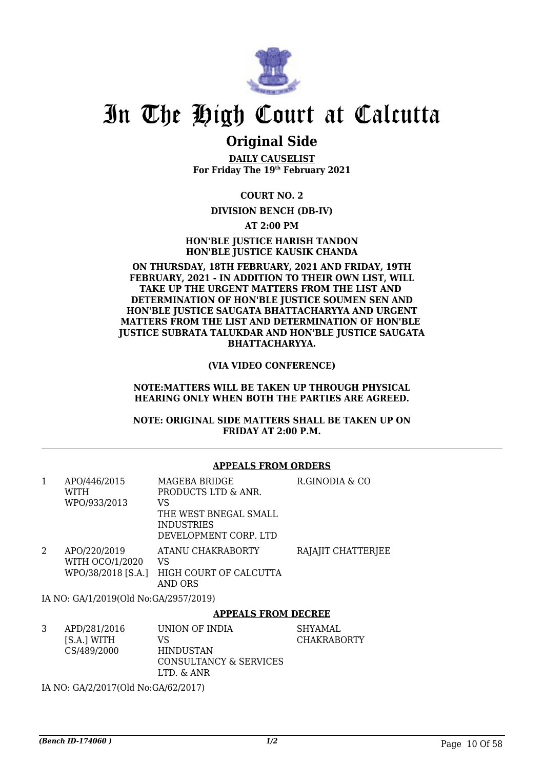

## **Original Side**

**DAILY CAUSELIST For Friday The 19th February 2021**

**COURT NO. 2**

### **DIVISION BENCH (DB-IV)**

**AT 2:00 PM**

**HON'BLE JUSTICE HARISH TANDON HON'BLE JUSTICE KAUSIK CHANDA**

#### **ON THURSDAY, 18TH FEBRUARY, 2021 AND FRIDAY, 19TH FEBRUARY, 2021 - IN ADDITION TO THEIR OWN LIST, WILL TAKE UP THE URGENT MATTERS FROM THE LIST AND DETERMINATION OF HON'BLE JUSTICE SOUMEN SEN AND HON'BLE JUSTICE SAUGATA BHATTACHARYYA AND URGENT MATTERS FROM THE LIST AND DETERMINATION OF HON'BLE JUSTICE SUBRATA TALUKDAR AND HON'BLE JUSTICE SAUGATA BHATTACHARYYA.**

**(VIA VIDEO CONFERENCE)**

#### **NOTE:MATTERS WILL BE TAKEN UP THROUGH PHYSICAL HEARING ONLY WHEN BOTH THE PARTIES ARE AGREED.**

**NOTE: ORIGINAL SIDE MATTERS SHALL BE TAKEN UP ON FRIDAY AT 2:00 P.M.**

#### **APPEALS FROM ORDERS**

| 1 | APO/446/2015<br><b>WITH</b><br>WPO/933/2013           | MAGEBA BRIDGE<br>PRODUCTS LTD & ANR.<br>VS<br>THE WEST BNEGAL SMALL<br><b>INDUSTRIES</b><br>DEVELOPMENT CORP. LTD | R.GINODIA & CO     |
|---|-------------------------------------------------------|-------------------------------------------------------------------------------------------------------------------|--------------------|
| 2 | APO/220/2019<br>WITH OCO/1/2020<br>WPO/38/2018 [S.A.] | ATANU CHAKRABORTY<br>VS<br>HIGH COURT OF CALCUTTA<br>AND ORS                                                      | RAJAJIT CHATTERJEE |
|   | IA NO: GA/1/2019(Old No:GA/2957/2019)                 |                                                                                                                   |                    |
|   |                                                       | APPEALS FROM DECREE                                                                                               |                    |

| APD/281/2016<br>[S.A.] WITH<br>CS/489/2000 | UNION OF INDIA<br>VS<br><b>HINDUSTAN</b><br>CONSULTANCY & SERVICES<br>LTD. & ANR | SHYAMAL<br><b>CHAKRABORTY</b> |
|--------------------------------------------|----------------------------------------------------------------------------------|-------------------------------|
|                                            |                                                                                  |                               |

IA NO: GA/2/2017(Old No:GA/62/2017)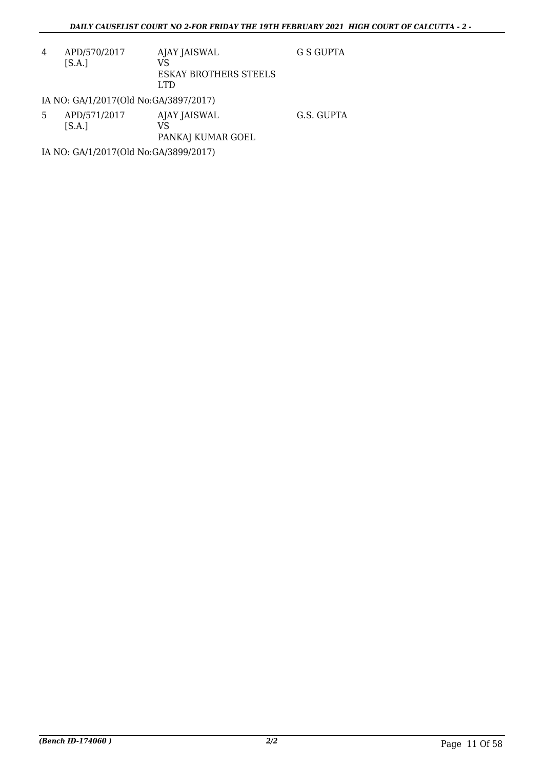4 APD/570/2017 [S.A.] AJAY JAISWAL VS ESKAY BROTHERS STEELS LTD G S GUPTA

IA NO: GA/1/2017(Old No:GA/3897/2017)

5 APD/571/2017  $[S.A.]$ AJAY JAISWAL VS PANKAJ KUMAR GOEL G.S. GUPTA

IA NO: GA/1/2017(Old No:GA/3899/2017)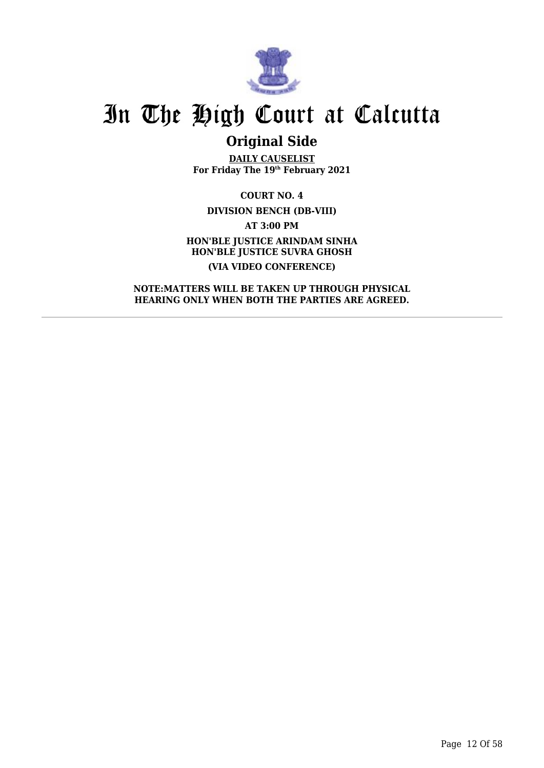

## **Original Side**

**DAILY CAUSELIST For Friday The 19th February 2021**

**COURT NO. 4 DIVISION BENCH (DB-VIII) AT 3:00 PM HON'BLE JUSTICE ARINDAM SINHA HON'BLE JUSTICE SUVRA GHOSH (VIA VIDEO CONFERENCE)**

**NOTE:MATTERS WILL BE TAKEN UP THROUGH PHYSICAL HEARING ONLY WHEN BOTH THE PARTIES ARE AGREED.**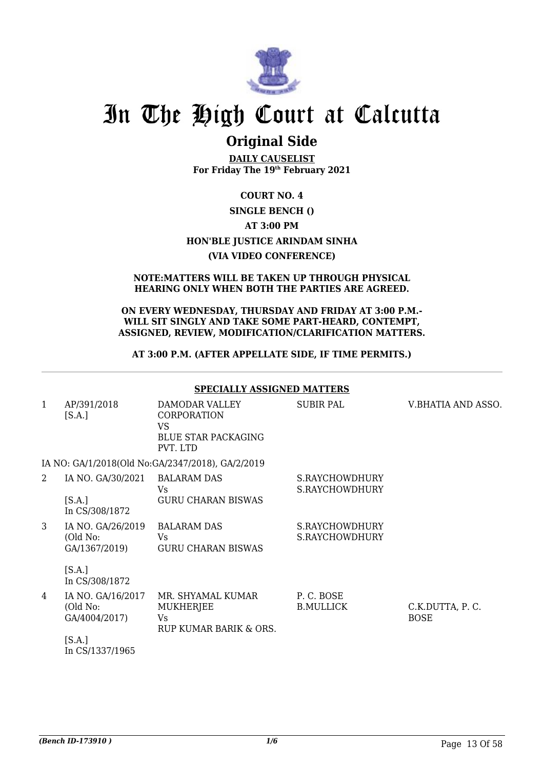

## **Original Side**

**DAILY CAUSELIST For Friday The 19th February 2021**

## **COURT NO. 4 SINGLE BENCH () AT 3:00 PM HON'BLE JUSTICE ARINDAM SINHA (VIA VIDEO CONFERENCE)**

#### **NOTE:MATTERS WILL BE TAKEN UP THROUGH PHYSICAL HEARING ONLY WHEN BOTH THE PARTIES ARE AGREED.**

#### **ON EVERY WEDNESDAY, THURSDAY AND FRIDAY AT 3:00 P.M.- WILL SIT SINGLY AND TAKE SOME PART-HEARD, CONTEMPT, ASSIGNED, REVIEW, MODIFICATION/CLARIFICATION MATTERS.**

## **AT 3:00 P.M. (AFTER APPELLATE SIDE, IF TIME PERMITS.)**

|              |                                                | <b>SPECIALLY ASSIGNED MATTERS</b>                                                    |                                  |                                |
|--------------|------------------------------------------------|--------------------------------------------------------------------------------------|----------------------------------|--------------------------------|
| $\mathbf{1}$ | AP/391/2018<br>[S.A.]                          | DAMODAR VALLEY<br>CORPORATION<br><b>VS</b><br><b>BLUE STAR PACKAGING</b><br>PVT. LTD | SUBIR PAL                        | V.BHATIA AND ASSO.             |
|              |                                                | IA NO: GA/1/2018(Old No:GA/2347/2018), GA/2/2019                                     |                                  |                                |
| 2            | IA NO. GA/30/2021                              | <b>BALARAM DAS</b><br>Vs                                                             | S.RAYCHOWDHURY<br>S.RAYCHOWDHURY |                                |
|              | [S.A.]<br>In CS/308/1872                       | <b>GURU CHARAN BISWAS</b>                                                            |                                  |                                |
| 3            | IA NO. GA/26/2019<br>(Old No:<br>GA/1367/2019) | <b>BALARAM DAS</b><br>Vs.<br><b>GURU CHARAN BISWAS</b>                               | S.RAYCHOWDHURY<br>S.RAYCHOWDHURY |                                |
|              | [S.A.]<br>In CS/308/1872                       |                                                                                      |                                  |                                |
| 4            | IA NO. GA/16/2017<br>(Old No:<br>GA/4004/2017) | MR. SHYAMAL KUMAR<br><b>MUKHERJEE</b><br>Vs<br>RUP KUMAR BARIK & ORS.                | P.C. BOSE<br><b>B.MULLICK</b>    | C.K.DUTTA, P.C.<br><b>BOSE</b> |
|              | [S.A.]<br>In CS/1337/1965                      |                                                                                      |                                  |                                |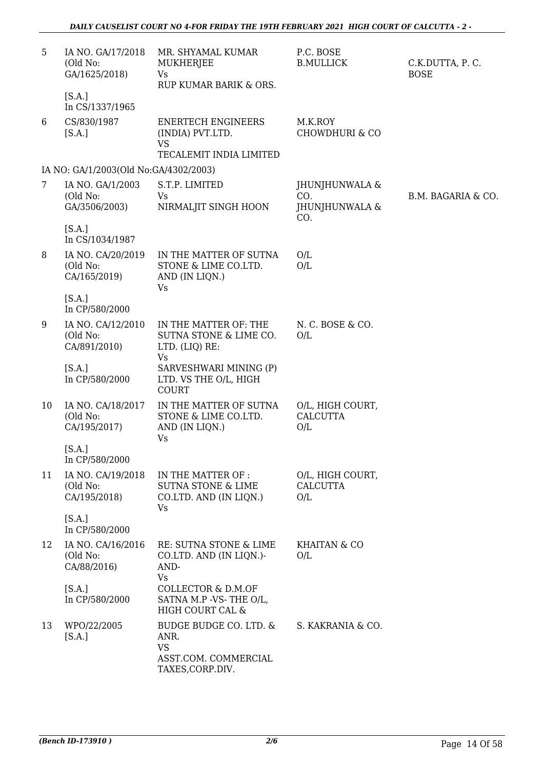| 5  | IA NO. GA/17/2018<br>(Old No:<br>GA/1625/2018)<br>[S.A.]<br>In CS/1337/1965 | MR. SHYAMAL KUMAR<br>MUKHERJEE<br><b>Vs</b><br>RUP KUMAR BARIK & ORS.                   | P.C. BOSE<br><b>B.MULLICK</b>                  | C.K.DUTTA, P.C.<br><b>BOSE</b> |
|----|-----------------------------------------------------------------------------|-----------------------------------------------------------------------------------------|------------------------------------------------|--------------------------------|
| 6  | CS/830/1987<br>[S.A.]                                                       | <b>ENERTECH ENGINEERS</b><br>(INDIA) PVT.LTD.<br><b>VS</b><br>TECALEMIT INDIA LIMITED   | M.K.ROY<br><b>CHOWDHURI &amp; CO</b>           |                                |
|    | IA NO: GA/1/2003(Old No:GA/4302/2003)                                       |                                                                                         |                                                |                                |
| 7  | IA NO. GA/1/2003<br>(Old No:<br>GA/3506/2003)                               | S.T.P. LIMITED<br>Vs<br>NIRMALJIT SINGH HOON                                            | JHUNJHUNWALA &<br>CO.<br>JHUNJHUNWALA &<br>CO. | B.M. BAGARIA & CO.             |
|    | [S.A.]<br>In CS/1034/1987                                                   |                                                                                         |                                                |                                |
| 8  | IA NO. CA/20/2019<br>(Old No:<br>CA/165/2019)                               | IN THE MATTER OF SUTNA<br>STONE & LIME CO.LTD.<br>AND (IN LIQN.)<br><b>Vs</b>           | O/L<br>O/L                                     |                                |
|    | [S.A.]<br>In CP/580/2000                                                    |                                                                                         |                                                |                                |
| 9  | IA NO. CA/12/2010<br>(Old No:<br>CA/891/2010)                               | IN THE MATTER OF: THE<br>SUTNA STONE & LIME CO.<br>LTD. (LIQ) RE:<br><b>Vs</b>          | N. C. BOSE & CO.<br>O/L                        |                                |
|    | [S.A.]<br>In CP/580/2000                                                    | SARVESHWARI MINING (P)<br>LTD. VS THE O/L, HIGH<br><b>COURT</b>                         |                                                |                                |
| 10 | IA NO. CA/18/2017<br>(Old No:<br>CA/195/2017)                               | IN THE MATTER OF SUTNA<br>STONE & LIME CO.LTD.<br>AND (IN LIQN.)<br>Vs                  | O/L, HIGH COURT,<br><b>CALCUTTA</b><br>O/L     |                                |
|    | [S.A.]<br>In CP/580/2000                                                    |                                                                                         |                                                |                                |
| 11 | IA NO. CA/19/2018<br>(Old No:<br>CA/195/2018)                               | IN THE MATTER OF :<br><b>SUTNA STONE &amp; LIME</b><br>CO.LTD. AND (IN LIQN.)<br>Vs     | O/L, HIGH COURT,<br><b>CALCUTTA</b><br>O/L     |                                |
|    | [S.A.]<br>In CP/580/2000                                                    |                                                                                         |                                                |                                |
| 12 | IA NO. CA/16/2016<br>(Old No:<br>CA/88/2016)                                | RE: SUTNA STONE & LIME<br>CO.LTD. AND (IN LIQN.)-<br>AND-<br><b>Vs</b>                  | <b>KHAITAN &amp; CO</b><br>O/L                 |                                |
|    | [S.A.]<br>In CP/580/2000                                                    | COLLECTOR & D.M.OF<br>SATNA M.P -VS-THE O/L,<br>HIGH COURT CAL &                        |                                                |                                |
| 13 | WPO/22/2005<br>[S.A.]                                                       | BUDGE BUDGE CO. LTD. &<br>ANR.<br><b>VS</b><br>ASST.COM. COMMERCIAL<br>TAXES, CORP.DIV. | S. KAKRANIA & CO.                              |                                |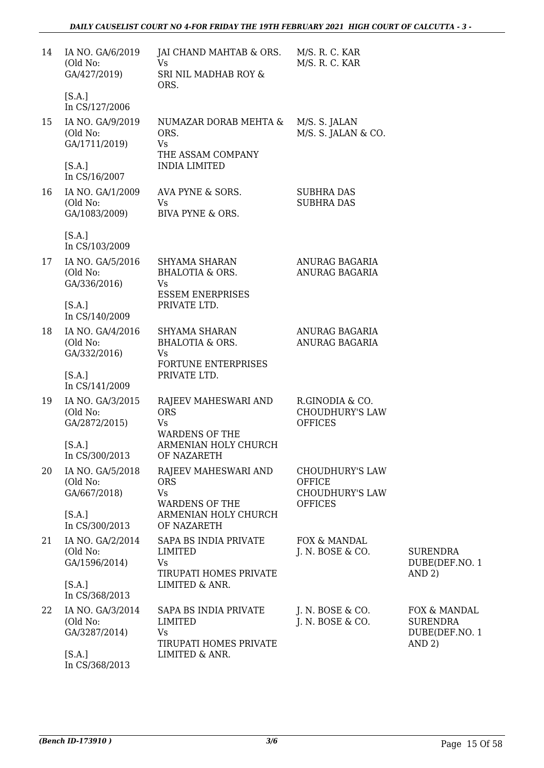| 14 | IA NO. GA/6/2019<br>(Old No:<br>GA/427/2019)            | JAI CHAND MAHTAB & ORS.<br><b>Vs</b><br>SRI NIL MADHAB ROY &<br>ORS.             | M/S. R. C. KAR<br>M/S. R. C. KAR                            |                                                             |
|----|---------------------------------------------------------|----------------------------------------------------------------------------------|-------------------------------------------------------------|-------------------------------------------------------------|
|    | [S.A.]<br>In CS/127/2006                                |                                                                                  |                                                             |                                                             |
| 15 | IA NO. GA/9/2019<br>(Old No:<br>GA/1711/2019)<br>[S.A.] | NUMAZAR DORAB MEHTA &<br>ORS.<br>Vs<br>THE ASSAM COMPANY<br><b>INDIA LIMITED</b> | M/S. S. JALAN<br>M/S. S. JALAN & CO.                        |                                                             |
|    | In CS/16/2007                                           |                                                                                  |                                                             |                                                             |
| 16 | IA NO. GA/1/2009<br>(Old No:<br>GA/1083/2009)           | AVA PYNE & SORS.<br>Vs<br>BIVA PYNE & ORS.                                       | <b>SUBHRA DAS</b><br><b>SUBHRA DAS</b>                      |                                                             |
|    | [S.A.]<br>In CS/103/2009                                |                                                                                  |                                                             |                                                             |
| 17 | IA NO. GA/5/2016<br>(Old No:<br>GA/336/2016)            | SHYAMA SHARAN<br><b>BHALOTIA &amp; ORS.</b><br>Vs<br><b>ESSEM ENERPRISES</b>     | ANURAG BAGARIA<br>ANURAG BAGARIA                            |                                                             |
|    | [S.A.]<br>In CS/140/2009                                | PRIVATE LTD.                                                                     |                                                             |                                                             |
| 18 | IA NO. GA/4/2016<br>(Old No:<br>GA/332/2016)            | SHYAMA SHARAN<br><b>BHALOTIA &amp; ORS.</b><br>Vs<br><b>FORTUNE ENTERPRISES</b>  | ANURAG BAGARIA<br>ANURAG BAGARIA                            |                                                             |
|    | [S.A.]<br>In CS/141/2009                                | PRIVATE LTD.                                                                     |                                                             |                                                             |
| 19 | IA NO. GA/3/2015<br>(Old No:<br>GA/2872/2015)           | RAJEEV MAHESWARI AND<br><b>ORS</b><br><b>Vs</b><br><b>WARDENS OF THE</b>         | R.GINODIA & CO.<br><b>CHOUDHURY'S LAW</b><br><b>OFFICES</b> |                                                             |
|    | [S.A.]<br>In CS/300/2013                                | ARMENIAN HOLY CHURCH<br>OF NAZARETH                                              |                                                             |                                                             |
| 20 | IA NO. GA/5/2018<br>(Old No:<br>GA/667/2018)            | RAJEEV MAHESWARI AND<br><b>ORS</b><br><b>Vs</b>                                  | <b>CHOUDHURY'S LAW</b><br>OFFICE<br><b>CHOUDHURY'S LAW</b>  |                                                             |
|    | [S.A.]<br>In CS/300/2013                                | <b>WARDENS OF THE</b><br>ARMENIAN HOLY CHURCH<br>OF NAZARETH                     | <b>OFFICES</b>                                              |                                                             |
| 21 | IA NO. GA/2/2014<br>(Old No:<br>GA/1596/2014)           | SAPA BS INDIA PRIVATE<br>LIMITED<br>Vs<br>TIRUPATI HOMES PRIVATE                 | FOX & MANDAL<br>J. N. BOSE & CO.                            | <b>SURENDRA</b><br>DUBE(DEF.NO. 1<br>AND 2)                 |
|    | [S.A.]<br>In CS/368/2013                                | LIMITED & ANR.                                                                   |                                                             |                                                             |
| 22 | IA NO. GA/3/2014<br>(Old No:<br>GA/3287/2014)           | SAPA BS INDIA PRIVATE<br>LIMITED<br>Vs<br>TIRUPATI HOMES PRIVATE                 | J. N. BOSE & CO.<br>J. N. BOSE & CO.                        | FOX & MANDAL<br><b>SURENDRA</b><br>DUBE(DEF.NO. 1<br>AND 2) |
|    | [S.A.]<br>In CS/368/2013                                | LIMITED & ANR.                                                                   |                                                             |                                                             |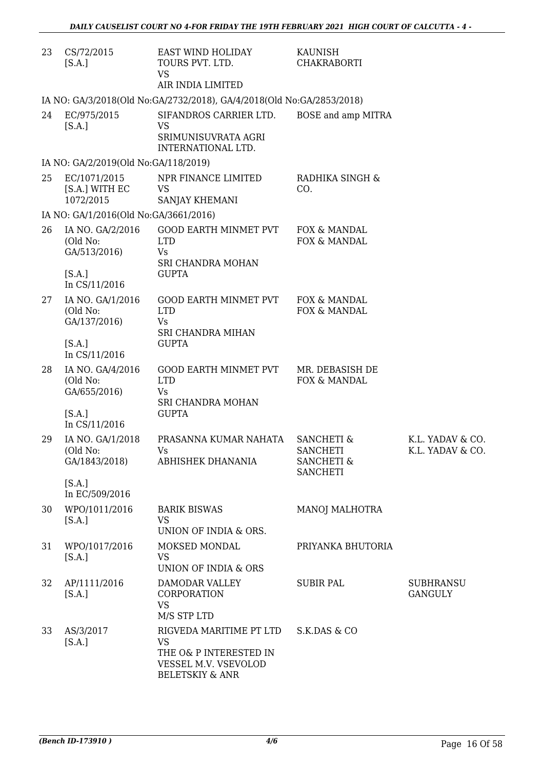| 23 | CS/72/2015<br>[S.A.]                          | EAST WIND HOLIDAY<br>TOURS PVT. LTD.<br><b>VS</b><br>AIR INDIA LIMITED                                               | KAUNISH<br><b>CHAKRABORTI</b>                                                        |                                      |
|----|-----------------------------------------------|----------------------------------------------------------------------------------------------------------------------|--------------------------------------------------------------------------------------|--------------------------------------|
|    |                                               | IA NO: GA/3/2018(Old No:GA/2732/2018), GA/4/2018(Old No:GA/2853/2018)                                                |                                                                                      |                                      |
| 24 | EC/975/2015<br>[S.A.]                         | SIFANDROS CARRIER LTD.<br><b>VS</b><br>SRIMUNISUVRATA AGRI<br>INTERNATIONAL LTD.                                     | BOSE and amp MITRA                                                                   |                                      |
|    | IA NO: GA/2/2019(Old No:GA/118/2019)          |                                                                                                                      |                                                                                      |                                      |
| 25 | EC/1071/2015<br>[S.A.] WITH EC<br>1072/2015   | NPR FINANCE LIMITED<br><b>VS</b><br>SANJAY KHEMANI                                                                   | RADHIKA SINGH &<br>CO.                                                               |                                      |
|    | IA NO: GA/1/2016(Old No:GA/3661/2016)         |                                                                                                                      |                                                                                      |                                      |
| 26 | IA NO. GA/2/2016<br>(Old No:<br>GA/513/2016)  | <b>GOOD EARTH MINMET PVT</b><br><b>LTD</b><br>Vs<br>SRI CHANDRA MOHAN                                                | FOX & MANDAL<br>FOX & MANDAL                                                         |                                      |
|    | [S.A.]<br>In CS/11/2016                       | <b>GUPTA</b>                                                                                                         |                                                                                      |                                      |
| 27 | IA NO. GA/1/2016<br>(Old No:<br>GA/137/2016)  | GOOD EARTH MINMET PVT<br><b>LTD</b><br>Vs<br>SRI CHANDRA MIHAN                                                       | FOX & MANDAL<br>FOX & MANDAL                                                         |                                      |
|    | [S.A.]<br>In CS/11/2016                       | <b>GUPTA</b>                                                                                                         |                                                                                      |                                      |
| 28 | IA NO. GA/4/2016<br>(Old No:<br>GA/655/2016)  | GOOD EARTH MINMET PVT<br><b>LTD</b><br>Vs<br>SRI CHANDRA MOHAN                                                       | MR. DEBASISH DE<br>FOX & MANDAL                                                      |                                      |
|    | [S.A.]<br>In CS/11/2016                       | <b>GUPTA</b>                                                                                                         |                                                                                      |                                      |
| 29 | IA NO. GA/1/2018<br>(Old No:<br>GA/1843/2018) | PRASANNA KUMAR NAHATA<br>Vs<br>ABHISHEK DHANANIA                                                                     | <b>SANCHETI &amp;</b><br><b>SANCHETI</b><br><b>SANCHETI &amp;</b><br><b>SANCHETI</b> | K.L. YADAV & CO.<br>K.L. YADAV & CO. |
|    | [S.A.]<br>In EC/509/2016                      |                                                                                                                      |                                                                                      |                                      |
| 30 | WPO/1011/2016<br>[S.A.]                       | <b>BARIK BISWAS</b><br><b>VS</b><br>UNION OF INDIA & ORS.                                                            | MANOJ MALHOTRA                                                                       |                                      |
| 31 | WPO/1017/2016<br>[S.A.]                       | MOKSED MONDAL<br><b>VS</b><br>UNION OF INDIA & ORS                                                                   | PRIYANKA BHUTORIA                                                                    |                                      |
| 32 | AP/1111/2016<br>[S.A.]                        | DAMODAR VALLEY<br>CORPORATION<br><b>VS</b><br>M/S STP LTD                                                            | <b>SUBIR PAL</b>                                                                     | <b>SUBHRANSU</b><br><b>GANGULY</b>   |
| 33 | AS/3/2017<br>[S.A.]                           | RIGVEDA MARITIME PT LTD<br><b>VS</b><br>THE O& P INTERESTED IN<br>VESSEL M.V. VSEVOLOD<br><b>BELETSKIY &amp; ANR</b> | S.K.DAS & CO                                                                         |                                      |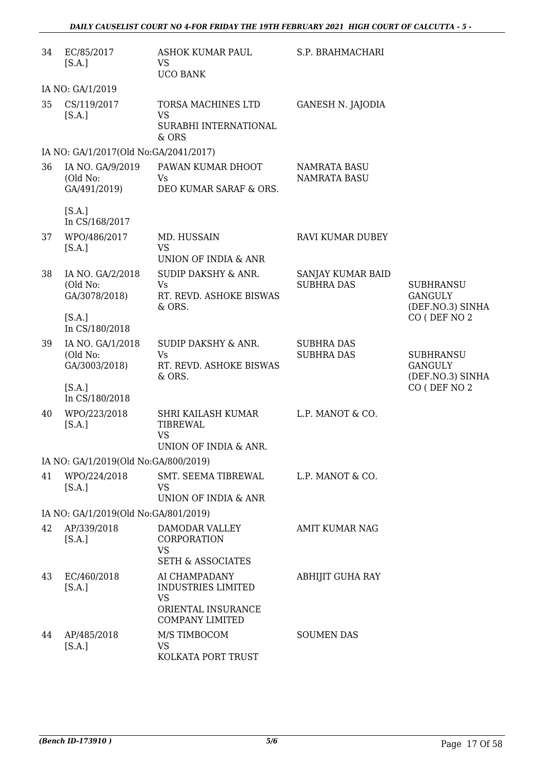| 34 | EC/85/2017<br>[S.A.]                          | ASHOK KUMAR PAUL<br><b>VS</b><br><b>UCO BANK</b>                                                        | S.P. BRAHMACHARI                           |                                                        |
|----|-----------------------------------------------|---------------------------------------------------------------------------------------------------------|--------------------------------------------|--------------------------------------------------------|
|    | IA NO: GA/1/2019                              |                                                                                                         |                                            |                                                        |
| 35 | CS/119/2017<br>[S.A.]                         | TORSA MACHINES LTD<br><b>VS</b><br>SURABHI INTERNATIONAL<br>& ORS                                       | <b>GANESH N. JAJODIA</b>                   |                                                        |
|    | IA NO: GA/1/2017(Old No:GA/2041/2017)         |                                                                                                         |                                            |                                                        |
| 36 | IA NO. GA/9/2019<br>(Old No:<br>GA/491/2019)  | PAWAN KUMAR DHOOT<br>Vs.<br>DEO KUMAR SARAF & ORS.                                                      | <b>NAMRATA BASU</b><br><b>NAMRATA BASU</b> |                                                        |
|    | [S.A.]<br>In CS/168/2017                      |                                                                                                         |                                            |                                                        |
| 37 | WPO/486/2017<br>[S.A.]                        | MD. HUSSAIN<br><b>VS</b>                                                                                | <b>RAVI KUMAR DUBEY</b>                    |                                                        |
| 38 | IA NO. GA/2/2018<br>(Old No:<br>GA/3078/2018) | UNION OF INDIA & ANR<br>SUDIP DAKSHY & ANR.<br><b>Vs</b><br>RT. REVD. ASHOKE BISWAS<br>& ORS.           | SANJAY KUMAR BAID<br><b>SUBHRA DAS</b>     | <b>SUBHRANSU</b><br><b>GANGULY</b><br>(DEF.NO.3) SINHA |
|    | [S.A.]<br>In CS/180/2018                      |                                                                                                         |                                            | CO (DEF NO 2                                           |
| 39 | IA NO. GA/1/2018<br>(Old No:<br>GA/3003/2018) | <b>SUDIP DAKSHY &amp; ANR.</b><br><b>Vs</b><br>RT. REVD. ASHOKE BISWAS<br>& ORS.                        | <b>SUBHRA DAS</b><br><b>SUBHRA DAS</b>     | <b>SUBHRANSU</b><br><b>GANGULY</b><br>(DEF.NO.3) SINHA |
|    | [S.A.]<br>In CS/180/2018                      |                                                                                                         |                                            | CO (DEF NO 2                                           |
| 40 | WPO/223/2018<br>[S.A.]                        | SHRI KAILASH KUMAR<br><b>TIBREWAL</b><br><b>VS</b><br>UNION OF INDIA & ANR.                             | L.P. MANOT & CO.                           |                                                        |
|    | IA NO: GA/1/2019(Old No:GA/800/2019)          |                                                                                                         |                                            |                                                        |
| 41 | WPO/224/2018<br>[S.A.]                        | SMT. SEEMA TIBREWAL<br><b>VS</b><br>UNION OF INDIA & ANR                                                | L.P. MANOT & CO.                           |                                                        |
|    | IA NO: GA/1/2019(Old No:GA/801/2019)          |                                                                                                         |                                            |                                                        |
| 42 | AP/339/2018<br>[S.A.]                         | DAMODAR VALLEY<br>CORPORATION<br><b>VS</b><br><b>SETH &amp; ASSOCIATES</b>                              | AMIT KUMAR NAG                             |                                                        |
| 43 | EC/460/2018<br>[S.A.]                         | AI CHAMPADANY<br><b>INDUSTRIES LIMITED</b><br><b>VS</b><br>ORIENTAL INSURANCE<br><b>COMPANY LIMITED</b> | <b>ABHIJIT GUHA RAY</b>                    |                                                        |
| 44 | AP/485/2018<br>[S.A.]                         | M/S TIMBOCOM<br><b>VS</b><br>KOLKATA PORT TRUST                                                         | <b>SOUMEN DAS</b>                          |                                                        |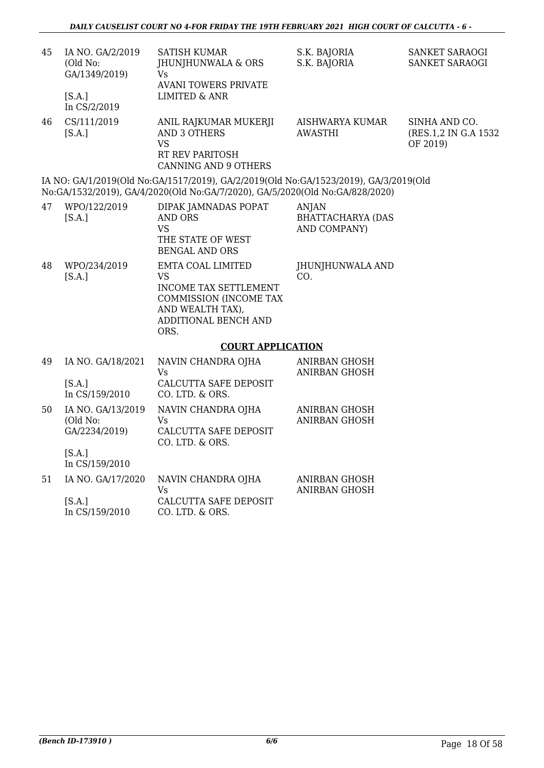| 45 | IA NO. GA/2/2019<br>(Old No:<br>GA/1349/2019)<br>[S.A.]<br>In CS/2/2019 | SATISH KUMAR<br>JHUNJHUNWALA & ORS<br>Vs<br><b>AVANI TOWERS PRIVATE</b><br><b>LIMITED &amp; ANR</b>                                                                  | S.K. BAJORIA<br>S.K. BAJORIA                      | SANKET SARAOGI<br>SANKET SARAOGI                   |
|----|-------------------------------------------------------------------------|----------------------------------------------------------------------------------------------------------------------------------------------------------------------|---------------------------------------------------|----------------------------------------------------|
| 46 | CS/111/2019<br>[S.A.]                                                   | ANIL RAJKUMAR MUKERJI<br><b>AND 3 OTHERS</b><br><b>VS</b><br>RT REV PARITOSH<br><b>CANNING AND 9 OTHERS</b>                                                          | AISHWARYA KUMAR<br><b>AWASTHI</b>                 | SINHA AND CO.<br>(RES.1,2 IN G.A 1532)<br>OF 2019) |
|    |                                                                         | IA NO: GA/1/2019(Old No:GA/1517/2019), GA/2/2019(Old No:GA/1523/2019), GA/3/2019(Old<br>No:GA/1532/2019), GA/4/2020(Old No:GA/7/2020), GA/5/2020(Old No:GA/828/2020) |                                                   |                                                    |
| 47 | WPO/122/2019<br>[S.A.]                                                  | DIPAK JAMNADAS POPAT<br><b>AND ORS</b><br><b>VS</b><br>THE STATE OF WEST<br><b>BENGAL AND ORS</b>                                                                    | ANJAN<br><b>BHATTACHARYA (DAS</b><br>AND COMPANY) |                                                    |
| 48 | WPO/234/2019<br>[S.A.]                                                  | <b>EMTA COAL LIMITED</b><br>VS<br><b>INCOME TAX SETTLEMENT</b><br>COMMISSION (INCOME TAX<br>AND WEALTH TAX),<br>ADDITIONAL BENCH AND<br>ORS.                         | JHUNJHUNWALA AND<br>CO.                           |                                                    |
|    |                                                                         | <b>COURT APPLICATION</b>                                                                                                                                             |                                                   |                                                    |
| 49 | IA NO. GA/18/2021<br>[S.A.]<br>In CS/159/2010                           | NAVIN CHANDRA OJHA<br>Vs<br>CALCUTTA SAFE DEPOSIT<br>CO. LTD. & ORS.                                                                                                 | ANIRBAN GHOSH<br><b>ANIRBAN GHOSH</b>             |                                                    |
| 50 | IA NO. GA/13/2019<br>(Old No:<br>GA/2234/2019)                          | NAVIN CHANDRA OJHA<br>Vs.<br>CALCUTTA SAFE DEPOSIT<br>CO. LTD. & ORS.                                                                                                | ANIRBAN GHOSH<br><b>ANIRBAN GHOSH</b>             |                                                    |
|    | [S.A.]<br>In CS/159/2010                                                |                                                                                                                                                                      |                                                   |                                                    |
| 51 | IA NO. GA/17/2020                                                       | NAVIN CHANDRA OJHA<br>Vs                                                                                                                                             | <b>ANIRBAN GHOSH</b><br><b>ANIRBAN GHOSH</b>      |                                                    |
|    | [S.A.]                                                                  | CALCUTTA SAFE DEPOSIT                                                                                                                                                |                                                   |                                                    |

In CS/159/2010 CO. LTD. & ORS.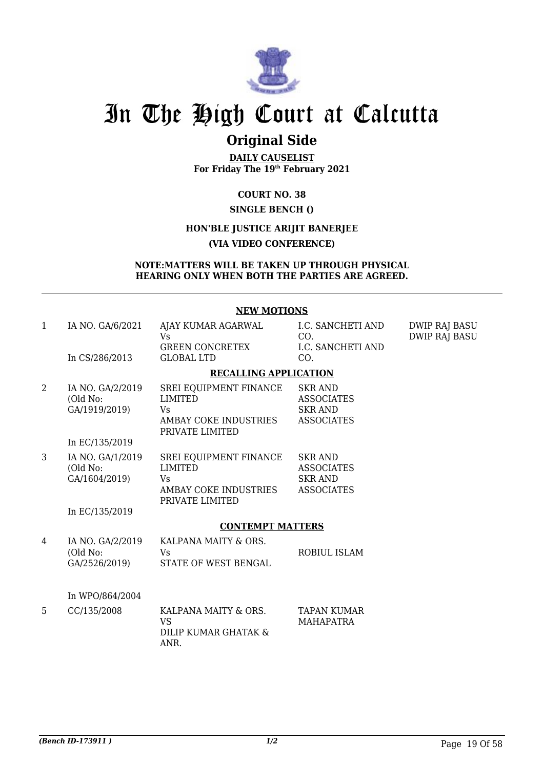

## **Original Side**

**DAILY CAUSELIST For Friday The 19th February 2021**

**COURT NO. 38**

## **SINGLE BENCH ()**

## **HON'BLE JUSTICE ARIJIT BANERJEE**

## **(VIA VIDEO CONFERENCE)**

#### **NOTE:MATTERS WILL BE TAKEN UP THROUGH PHYSICAL HEARING ONLY WHEN BOTH THE PARTIES ARE AGREED.**

### **NEW MOTIONS**

| $\mathbf{1}$ | IA NO. GA/6/2021<br>In CS/286/2013                              | AJAY KUMAR AGARWAL<br>Vs<br><b>GREEN CONCRETEX</b><br><b>GLOBAL LTD</b>                    | I.C. SANCHETI AND<br>CO.<br>I.C. SANCHETI AND<br>CO.                       | <b>DWIP RAJ BASU</b><br><b>DWIP RAJ BASU</b> |
|--------------|-----------------------------------------------------------------|--------------------------------------------------------------------------------------------|----------------------------------------------------------------------------|----------------------------------------------|
|              |                                                                 | <b>RECALLING APPLICATION</b>                                                               |                                                                            |                                              |
| 2            | IA NO. GA/2/2019<br>(Old No:<br>GA/1919/2019)<br>In EC/135/2019 | SREI EQUIPMENT FINANCE<br>LIMITED<br>Vs.<br>AMBAY COKE INDUSTRIES<br>PRIVATE LIMITED       | <b>SKR AND</b><br><b>ASSOCIATES</b><br><b>SKR AND</b><br><b>ASSOCIATES</b> |                                              |
| 3            | IA NO. GA/1/2019<br>(Old No:<br>GA/1604/2019)<br>In EC/135/2019 | SREI EQUIPMENT FINANCE<br><b>LIMITED</b><br>Vs<br>AMBAY COKE INDUSTRIES<br>PRIVATE LIMITED | <b>SKR AND</b><br><b>ASSOCIATES</b><br><b>SKR AND</b><br><b>ASSOCIATES</b> |                                              |
|              |                                                                 | <b>CONTEMPT MATTERS</b>                                                                    |                                                                            |                                              |
| 4            | IA NO. GA/2/2019<br>(Old No:<br>GA/2526/2019)                   | KALPANA MAITY & ORS.<br>Vs<br>STATE OF WEST BENGAL                                         | ROBIUL ISLAM                                                               |                                              |
|              | In WPO/864/2004                                                 |                                                                                            |                                                                            |                                              |
| 5            | CC/135/2008                                                     | KALPANA MAITY & ORS.<br><b>VS</b><br>DILIP KUMAR GHATAK &<br>ANR.                          | <b>TAPAN KUMAR</b><br><b>MAHAPATRA</b>                                     |                                              |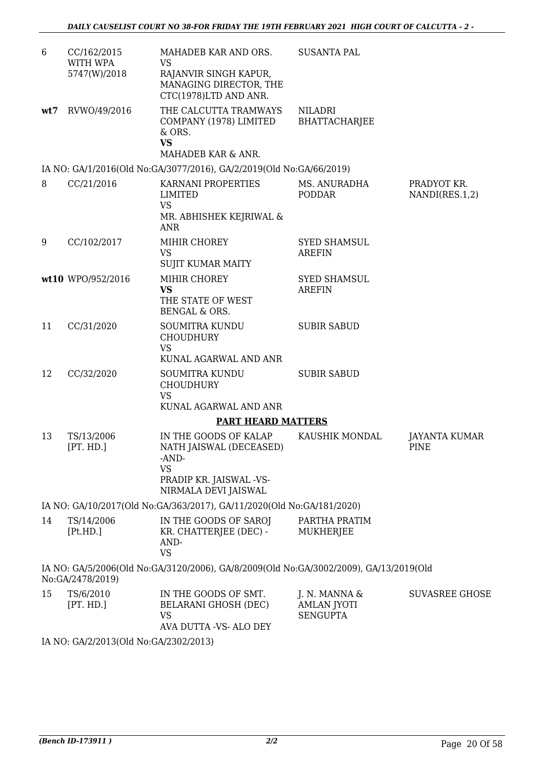| 6   | CC/162/2015<br>WITH WPA | MAHADEB KAR AND ORS.<br>VS                                                                                                                                                                                                                                                                                                                                                   | <b>SUSANTA PAL</b>                                     |                               |
|-----|-------------------------|------------------------------------------------------------------------------------------------------------------------------------------------------------------------------------------------------------------------------------------------------------------------------------------------------------------------------------------------------------------------------|--------------------------------------------------------|-------------------------------|
|     | 5747(W)/2018            | RAJANVIR SINGH KAPUR,<br>MANAGING DIRECTOR, THE<br>CTC(1978)LTD AND ANR.                                                                                                                                                                                                                                                                                                     |                                                        |                               |
| wt7 | RVWO/49/2016            | THE CALCUTTA TRAMWAYS<br>COMPANY (1978) LIMITED<br>& ORS.<br><b>VS</b><br>MAHADEB KAR & ANR.                                                                                                                                                                                                                                                                                 | <b>NILADRI</b><br><b>BHATTACHARJEE</b>                 |                               |
|     |                         | IA NO: GA/1/2016(Old No:GA/3077/2016), GA/2/2019(Old No:GA/66/2019)                                                                                                                                                                                                                                                                                                          |                                                        |                               |
| 8   | CC/21/2016              | KARNANI PROPERTIES<br>LIMITED<br><b>VS</b><br>MR. ABHISHEK KEJRIWAL &                                                                                                                                                                                                                                                                                                        | MS. ANURADHA<br><b>PODDAR</b>                          | PRADYOT KR.<br>NANDI(RES.1,2) |
| 9   | CC/102/2017             | ANR<br>MIHIR CHOREY<br><b>VS</b>                                                                                                                                                                                                                                                                                                                                             | <b>SYED SHAMSUL</b><br><b>AREFIN</b>                   |                               |
|     |                         | <b>SUJIT KUMAR MAITY</b>                                                                                                                                                                                                                                                                                                                                                     |                                                        |                               |
|     | wt10 WPO/952/2016       | MIHIR CHOREY<br><b>VS</b>                                                                                                                                                                                                                                                                                                                                                    | <b>SYED SHAMSUL</b><br><b>AREFIN</b>                   |                               |
|     |                         | THE STATE OF WEST<br>BENGAL & ORS.                                                                                                                                                                                                                                                                                                                                           |                                                        |                               |
| 11  | CC/31/2020              | SOUMITRA KUNDU<br><b>CHOUDHURY</b><br><b>VS</b><br>KUNAL AGARWAL AND ANR                                                                                                                                                                                                                                                                                                     | <b>SUBIR SABUD</b>                                     |                               |
| 12  | CC/32/2020              | <b>SOUMITRA KUNDU</b><br><b>CHOUDHURY</b><br><b>VS</b><br>KUNAL AGARWAL AND ANR                                                                                                                                                                                                                                                                                              | <b>SUBIR SABUD</b>                                     |                               |
|     |                         | <b>PART HEARD MATTERS</b>                                                                                                                                                                                                                                                                                                                                                    |                                                        |                               |
| 13  | TS/13/2006<br>[PT. HD.] | IN THE GOODS OF KALAP<br>NATH JAISWAL (DECEASED)<br>-AND-<br><b>VS</b>                                                                                                                                                                                                                                                                                                       | KAUSHIK MONDAL                                         | JAYANTA KUMAR<br>PINE         |
|     |                         | PRADIP KR. JAISWAL -VS-<br>NIRMALA DEVI JAISWAL                                                                                                                                                                                                                                                                                                                              |                                                        |                               |
|     |                         | IA NO: GA/10/2017(Old No:GA/363/2017), GA/11/2020(Old No:GA/181/2020)                                                                                                                                                                                                                                                                                                        |                                                        |                               |
| 14  | TS/14/2006<br>[Pt.HD.]  | IN THE GOODS OF SAROJ<br>KR. CHATTERJEE (DEC) -<br>AND-<br><b>VS</b>                                                                                                                                                                                                                                                                                                         | PARTHA PRATIM<br><b>MUKHERJEE</b>                      |                               |
|     | No:GA/2478/2019)        | IA NO: GA/5/2006(Old No:GA/3120/2006), GA/8/2009(Old No:GA/3002/2009), GA/13/2019(Old                                                                                                                                                                                                                                                                                        |                                                        |                               |
| 15  | TS/6/2010<br>[PT. HD.]  | IN THE GOODS OF SMT.<br>BELARANI GHOSH (DEC)<br><b>VS</b><br>AVA DUTTA -VS- ALO DEY                                                                                                                                                                                                                                                                                          | J. N. MANNA &<br><b>AMLAN JYOTI</b><br><b>SENGUPTA</b> | <b>SUVASREE GHOSE</b>         |
|     |                         | $2(01.1)$ $\overline{1}$ , $\overline{2}$ $\overline{1}$ $\overline{2}$ $\overline{2}$ $\overline{2}$ $\overline{2}$ $\overline{2}$ $\overline{2}$ $\overline{2}$ $\overline{2}$ $\overline{2}$ $\overline{2}$ $\overline{2}$ $\overline{2}$ $\overline{2}$ $\overline{2}$ $\overline{2}$ $\overline{2}$ $\overline{2}$ $\overline{2}$ $\overline{2}$ $\overline{2}$ $\over$ |                                                        |                               |

IA NO: GA/2/2013(Old No:GA/2302/2013)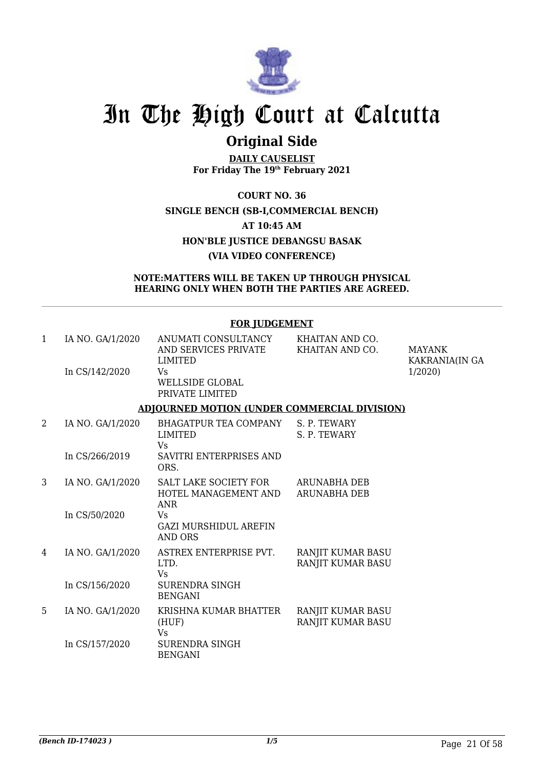

## **Original Side**

**DAILY CAUSELIST For Friday The 19th February 2021**

**COURT NO. 36 SINGLE BENCH (SB-I,COMMERCIAL BENCH) AT 10:45 AM HON'BLE JUSTICE DEBANGSU BASAK (VIA VIDEO CONFERENCE)**

### **NOTE:MATTERS WILL BE TAKEN UP THROUGH PHYSICAL HEARING ONLY WHEN BOTH THE PARTIES ARE AGREED.**

|   |                                    | <b>FOR JUDGEMENT</b>                                                                                                             |                                        |                                           |
|---|------------------------------------|----------------------------------------------------------------------------------------------------------------------------------|----------------------------------------|-------------------------------------------|
| 1 | IA NO. GA/1/2020<br>In CS/142/2020 | ANUMATI CONSULTANCY<br>AND SERVICES PRIVATE KHAITAN AND CO.<br><b>LIMITED</b><br>Vs<br><b>WELLSIDE GLOBAL</b><br>PRIVATE LIMITED | KHAITAN AND CO.                        | MAYANK<br><b>KAKRANIA(IN GA</b><br>1/2020 |
|   |                                    | <b>ADJOURNED MOTION (UNDER COMMERCIAL DIVISION)</b>                                                                              |                                        |                                           |
| 2 | IA NO. GA/1/2020                   | BHAGATPUR TEA COMPANY<br>LIMITED<br><b>Vs</b>                                                                                    | S. P. TEWARY<br>S. P. TEWARY           |                                           |
|   | In CS/266/2019                     | SAVITRI ENTERPRISES AND<br>ORS.                                                                                                  |                                        |                                           |
| 3 | IA NO. GA/1/2020                   | SALT LAKE SOCIETY FOR ARUNABHA DEB<br>HOTEL MANAGEMENT AND<br><b>ANR</b>                                                         | <b>ARUNABHA DEB</b>                    |                                           |
|   | In CS/50/2020                      | Vs<br><b>GAZI MURSHIDUL AREFIN</b><br><b>AND ORS</b>                                                                             |                                        |                                           |
| 4 | IA NO. GA/1/2020                   | ASTREX ENTERPRISE PVT.<br>LTD.<br>Vs                                                                                             | RANJIT KUMAR BASU<br>RANJIT KUMAR BASU |                                           |
|   | In CS/156/2020                     | <b>SURENDRA SINGH</b><br><b>BENGANI</b>                                                                                          |                                        |                                           |
| 5 | IA NO. GA/1/2020                   | KRISHNA KUMAR BHATTER<br>(HUF)<br><b>Vs</b>                                                                                      | RANJIT KUMAR BASU<br>RANJIT KUMAR BASU |                                           |
|   | In CS/157/2020                     | <b>SURENDRA SINGH</b><br><b>BENGANI</b>                                                                                          |                                        |                                           |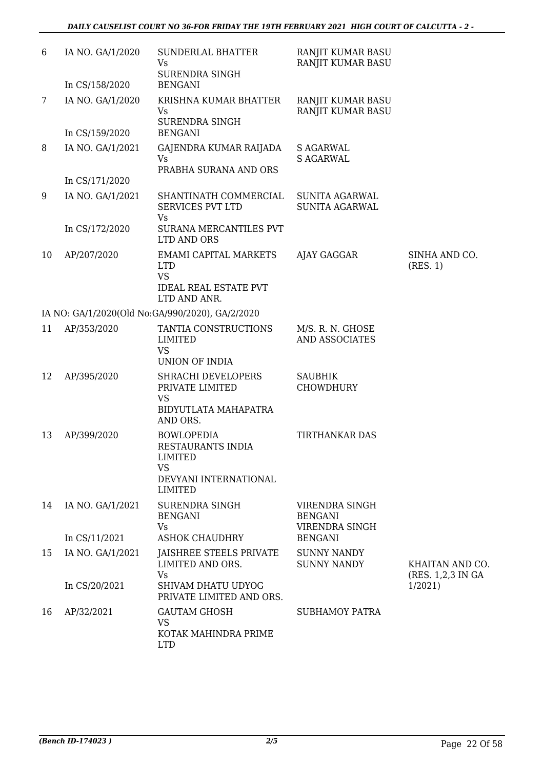| 6  | IA NO. GA/1/2020 | <b>SUNDERLAL BHATTER</b><br>Vs<br><b>SURENDRA SINGH</b>                                                          | RANJIT KUMAR BASU<br>RANJIT KUMAR BASU             |                                       |
|----|------------------|------------------------------------------------------------------------------------------------------------------|----------------------------------------------------|---------------------------------------|
|    | In CS/158/2020   | <b>BENGANI</b>                                                                                                   |                                                    |                                       |
| 7  | IA NO. GA/1/2020 | KRISHNA KUMAR BHATTER<br>Vs<br><b>SURENDRA SINGH</b>                                                             | RANJIT KUMAR BASU<br>RANJIT KUMAR BASU             |                                       |
|    | In CS/159/2020   | <b>BENGANI</b>                                                                                                   |                                                    |                                       |
| 8  | IA NO. GA/1/2021 | GAJENDRA KUMAR RAIJADA<br><b>Vs</b><br>PRABHA SURANA AND ORS                                                     | <b>S AGARWAL</b><br><b>S AGARWAL</b>               |                                       |
|    | In CS/171/2020   |                                                                                                                  |                                                    |                                       |
| 9  | IA NO. GA/1/2021 | SHANTINATH COMMERCIAL<br><b>SERVICES PVT LTD</b>                                                                 | <b>SUNITA AGARWAL</b><br><b>SUNITA AGARWAL</b>     |                                       |
|    | In CS/172/2020   | Vs<br>SURANA MERCANTILES PVT<br>LTD AND ORS                                                                      |                                                    |                                       |
| 10 | AP/207/2020      | <b>EMAMI CAPITAL MARKETS</b><br><b>LTD</b><br><b>VS</b><br><b>IDEAL REAL ESTATE PVT</b><br>LTD AND ANR.          | AJAY GAGGAR                                        | SINHA AND CO.<br>(RES. 1)             |
|    |                  | IA NO: GA/1/2020(Old No:GA/990/2020), GA/2/2020                                                                  |                                                    |                                       |
| 11 | AP/353/2020      | TANTIA CONSTRUCTIONS<br>LIMITED<br><b>VS</b><br><b>UNION OF INDIA</b>                                            | M/S. R. N. GHOSE<br>AND ASSOCIATES                 |                                       |
| 12 | AP/395/2020      | SHRACHI DEVELOPERS<br>PRIVATE LIMITED<br><b>VS</b><br>BIDYUTLATA MAHAPATRA<br>AND ORS.                           | <b>SAUBHIK</b><br><b>CHOWDHURY</b>                 |                                       |
| 13 | AP/399/2020      | <b>BOWLOPEDIA</b><br>RESTAURANTS INDIA<br><b>LIMITED</b><br><b>VS</b><br>DEVYANI INTERNATIONAL<br><b>LIMITED</b> | <b>TIRTHANKAR DAS</b>                              |                                       |
| 14 | IA NO. GA/1/2021 | SURENDRA SINGH<br><b>BENGANI</b><br>Vs                                                                           | VIRENDRA SINGH<br><b>BENGANI</b><br>VIRENDRA SINGH |                                       |
|    | In CS/11/2021    | <b>ASHOK CHAUDHRY</b>                                                                                            | <b>BENGANI</b>                                     |                                       |
| 15 | IA NO. GA/1/2021 | JAISHREE STEELS PRIVATE<br>LIMITED AND ORS.<br>Vs                                                                | <b>SUNNY NANDY</b><br><b>SUNNY NANDY</b>           | KHAITAN AND CO.<br>(RES. 1,2,3 IN GA) |
|    | In CS/20/2021    | SHIVAM DHATU UDYOG<br>PRIVATE LIMITED AND ORS.                                                                   |                                                    | 1/2021                                |
| 16 | AP/32/2021       | <b>GAUTAM GHOSH</b><br><b>VS</b><br>KOTAK MAHINDRA PRIME<br><b>LTD</b>                                           | <b>SUBHAMOY PATRA</b>                              |                                       |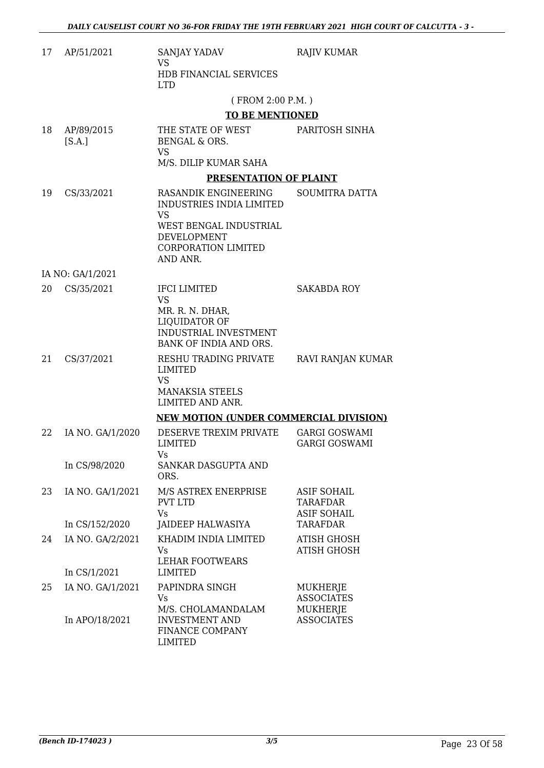| 17 | AP/51/2021                         | SANJAY YADAV<br><b>VS</b><br>HDB FINANCIAL SERVICES<br><b>LTD</b>                                                                                       | <b>RAJIV KUMAR</b>                                        |
|----|------------------------------------|---------------------------------------------------------------------------------------------------------------------------------------------------------|-----------------------------------------------------------|
|    |                                    | (FROM 2:00 P.M.)                                                                                                                                        |                                                           |
|    |                                    | <b>TO BE MENTIONED</b>                                                                                                                                  |                                                           |
| 18 | AP/89/2015<br>[S.A.]               | THE STATE OF WEST<br><b>BENGAL &amp; ORS.</b><br>VS                                                                                                     | PARITOSH SINHA                                            |
|    |                                    | M/S. DILIP KUMAR SAHA                                                                                                                                   |                                                           |
|    |                                    | PRESENTATION OF PLAINT                                                                                                                                  |                                                           |
| 19 | CS/33/2021                         | RASANDIK ENGINEERING<br><b>INDUSTRIES INDIA LIMITED</b><br>VS<br>WEST BENGAL INDUSTRIAL<br><b>DEVELOPMENT</b><br><b>CORPORATION LIMITED</b><br>AND ANR. | <b>SOUMITRA DATTA</b>                                     |
|    | IA NO: GA/1/2021                   |                                                                                                                                                         |                                                           |
| 20 | CS/35/2021                         | <b>IFCI LIMITED</b><br><b>VS</b><br>MR. R. N. DHAR,<br>LIQUIDATOR OF<br>INDUSTRIAL INVESTMENT<br>BANK OF INDIA AND ORS.                                 | <b>SAKABDA ROY</b>                                        |
| 21 | CS/37/2021                         | RESHU TRADING PRIVATE<br><b>LIMITED</b><br><b>VS</b><br><b>MANAKSIA STEELS</b><br>LIMITED AND ANR.                                                      | RAVI RANJAN KUMAR                                         |
|    |                                    | <b>NEW MOTION (UNDER COMMERCIAL DIVISION)</b>                                                                                                           |                                                           |
| 22 | IA NO. GA/1/2020                   | DESERVE TREXIM PRIVATE<br><b>LIMITED</b><br>Vs                                                                                                          | <b>GARGI GOSWAMI</b><br><b>GARGI GOSWAMI</b>              |
|    | In CS/98/2020                      | SANKAR DASGUPTA AND<br>ORS.                                                                                                                             |                                                           |
| 23 | IA NO. GA/1/2021                   | M/S ASTREX ENERPRISE<br><b>PVT LTD</b><br><b>Vs</b>                                                                                                     | <b>ASIF SOHAIL</b><br>TARAFDAR<br><b>ASIF SOHAIL</b>      |
|    | In CS/152/2020                     | JAIDEEP HALWASIYA                                                                                                                                       | <b>TARAFDAR</b>                                           |
| 24 | IA NO. GA/2/2021<br>In $CS/1/2021$ | KHADIM INDIA LIMITED<br>Vs<br><b>LEHAR FOOTWEARS</b><br>LIMITED                                                                                         | <b>ATISH GHOSH</b><br><b>ATISH GHOSH</b>                  |
| 25 | IA NO. GA/1/2021                   | PAPINDRA SINGH                                                                                                                                          | MUKHERJE                                                  |
|    | In APO/18/2021                     | Vs.<br>M/S. CHOLAMANDALAM<br><b>INVESTMENT AND</b><br>FINANCE COMPANY<br><b>LIMITED</b>                                                                 | <b>ASSOCIATES</b><br><b>MUKHERJE</b><br><b>ASSOCIATES</b> |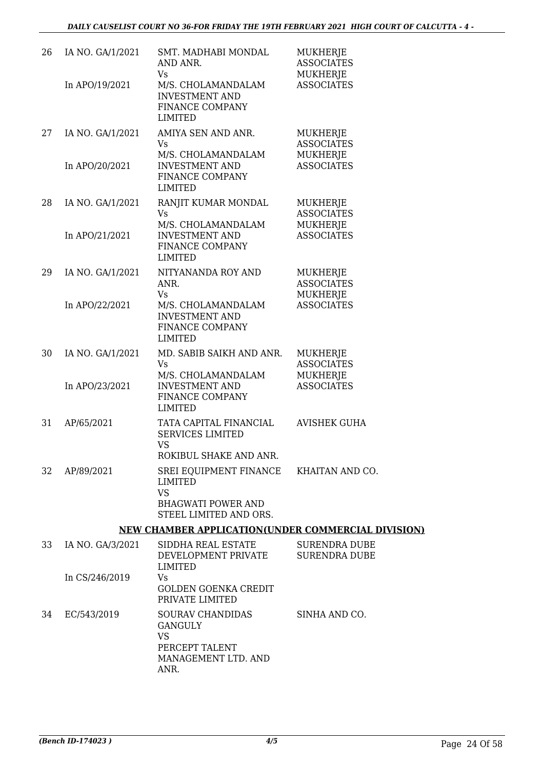| 26 | IA NO. GA/1/2021 | SMT. MADHABI MONDAL<br>AND ANR.<br>Vs                                             | <b>MUKHERJE</b><br><b>ASSOCIATES</b><br>MUKHERJE |
|----|------------------|-----------------------------------------------------------------------------------|--------------------------------------------------|
|    | In APO/19/2021   | M/S. CHOLAMANDALAM<br><b>INVESTMENT AND</b><br>FINANCE COMPANY<br><b>LIMITED</b>  | <b>ASSOCIATES</b>                                |
| 27 | IA NO. GA/1/2021 | AMIYA SEN AND ANR.<br>Vs                                                          | MUKHERJE<br><b>ASSOCIATES</b>                    |
|    | In APO/20/2021   | M/S. CHOLAMANDALAM<br><b>INVESTMENT AND</b><br>FINANCE COMPANY<br><b>LIMITED</b>  | MUKHERJE<br><b>ASSOCIATES</b>                    |
| 28 | IA NO. GA/1/2021 | RANJIT KUMAR MONDAL<br><b>Vs</b>                                                  | MUKHERJE<br><b>ASSOCIATES</b>                    |
|    | In APO/21/2021   | M/S. CHOLAMANDALAM<br><b>INVESTMENT AND</b><br>FINANCE COMPANY<br><b>LIMITED</b>  | MUKHERJE<br><b>ASSOCIATES</b>                    |
| 29 | IA NO. GA/1/2021 | NITYANANDA ROY AND<br>ANR.<br>Vs                                                  | MUKHERJE<br><b>ASSOCIATES</b><br>MUKHERJE        |
|    | In APO/22/2021   | M/S. CHOLAMANDALAM<br><b>INVESTMENT AND</b><br>FINANCE COMPANY<br>LIMITED         | <b>ASSOCIATES</b>                                |
| 30 | IA NO. GA/1/2021 | MD. SABIB SAIKH AND ANR.<br><b>Vs</b><br>M/S. CHOLAMANDALAM                       | MUKHERJE<br><b>ASSOCIATES</b><br>MUKHERJE        |
|    | In APO/23/2021   | <b>INVESTMENT AND</b><br>FINANCE COMPANY<br><b>LIMITED</b>                        | <b>ASSOCIATES</b>                                |
| 31 | AP/65/2021       | TATA CAPITAL FINANCIAL<br><b>SERVICES LIMITED</b><br>VS<br>ROKIBUL SHAKE AND ANR. | <b>AVISHEK GUHA</b>                              |
| 32 | AP/89/2021       | SREI EQUIPMENT FINANCE KHAITAN AND CO.<br><b>LIMITED</b><br><b>VS</b>             |                                                  |
|    |                  | <b>BHAGWATI POWER AND</b><br>STEEL LIMITED AND ORS.                               |                                                  |
|    |                  | <b>NEW CHAMBER APPLICATION(UNDER COMMERCIAL DIVISION)</b>                         |                                                  |
| 33 | IA NO. GA/3/2021 | SIDDHA REAL ESTATE<br>DEVELOPMENT PRIVATE<br><b>LIMITED</b>                       | <b>SURENDRA DUBE</b><br><b>SURENDRA DUBE</b>     |

|    | In CS/246/2019 | <u>DLVLLVI PILIVI I INIVALL</u><br>LIMITED<br>Vs<br>GOLDEN GOENKA CREDIT<br>PRIVATE LIMITED | <u>UUREIVDIG DUDL</u> |
|----|----------------|---------------------------------------------------------------------------------------------|-----------------------|
| 34 | EC/543/2019    | <b>SOURAV CHANDIDAS</b><br>GANGULY<br>VS<br>PERCEPT TALENT<br>MANAGEMENT LTD. AND<br>ANR.   | SINHA AND CO.         |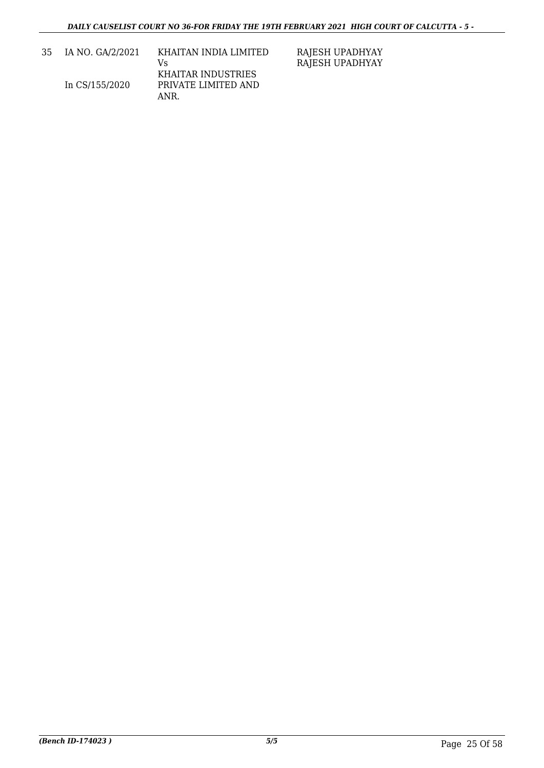| -35 | IA NO. GA/2/2021 | KHAITAN INDIA LIMITED<br>V٢ |
|-----|------------------|-----------------------------|
|     |                  | KHAITAR INDUSTRIES          |
|     | In CS/155/2020   | PRIVATE LIMITED AND         |
|     |                  | ANR.                        |

RAJESH UPADHYAY RAJESH UPADHYAY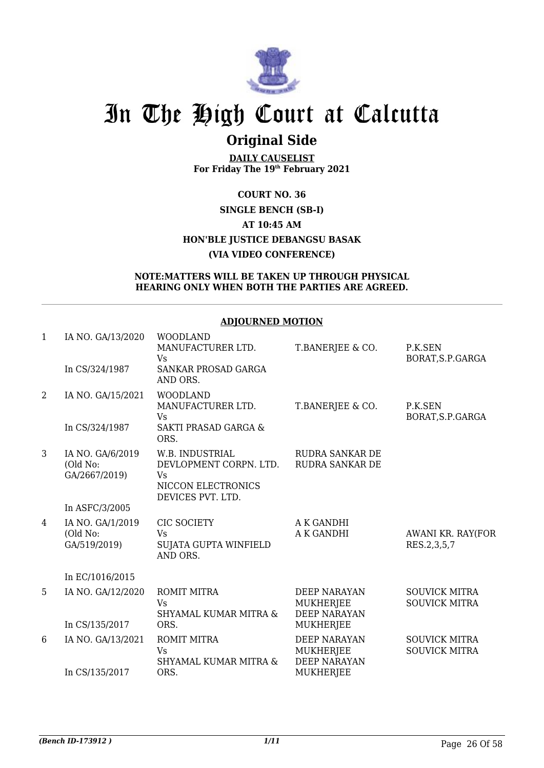

## **Original Side**

**DAILY CAUSELIST For Friday The 19th February 2021**

## **COURT NO. 36 SINGLE BENCH (SB-I) AT 10:45 AM HON'BLE JUSTICE DEBANGSU BASAK (VIA VIDEO CONFERENCE)**

#### **NOTE:MATTERS WILL BE TAKEN UP THROUGH PHYSICAL HEARING ONLY WHEN BOTH THE PARTIES ARE AGREED.**

### **ADJOURNED MOTION**

| $\mathbf{1}$   | IA NO. GA/13/2020                             | <b>WOODLAND</b><br>MANUFACTURER LTD.<br><b>Vs</b>                                                 | T.BANERJEE & CO.                                               | P.K.SEN<br>BORAT, S.P.GARGA                  |
|----------------|-----------------------------------------------|---------------------------------------------------------------------------------------------------|----------------------------------------------------------------|----------------------------------------------|
|                | In CS/324/1987                                | SANKAR PROSAD GARGA<br>AND ORS.                                                                   |                                                                |                                              |
| $\overline{2}$ | IA NO. GA/15/2021                             | <b>WOODLAND</b><br>MANUFACTURER LTD.<br><b>Vs</b>                                                 | T.BANERJEE & CO.                                               | P.K.SEN<br>BORAT, S.P.GARGA                  |
|                | In CS/324/1987                                | <b>SAKTI PRASAD GARGA &amp;</b><br>ORS.                                                           |                                                                |                                              |
| 3              | IA NO. GA/6/2019<br>(Old No:<br>GA/2667/2019) | W.B. INDUSTRIAL<br>DEVLOPMENT CORPN. LTD.<br><b>Vs</b><br>NICCON ELECTRONICS<br>DEVICES PVT. LTD. | <b>RUDRA SANKAR DE</b><br><b>RUDRA SANKAR DE</b>               |                                              |
|                | In ASFC/3/2005                                |                                                                                                   |                                                                |                                              |
| 4              | IA NO. GA/1/2019<br>(Old No:<br>GA/519/2019)  | CIC SOCIETY<br>Vs.<br>SUJATA GUPTA WINFIELD<br>AND ORS.                                           | A K GANDHI<br>A K GANDHI                                       | AWANI KR. RAY(FOR<br>RES.2,3,5,7             |
|                | In EC/1016/2015                               |                                                                                                   |                                                                |                                              |
| 5              | IA NO. GA/12/2020                             | ROMIT MITRA<br><b>Vs</b><br>SHYAMAL KUMAR MITRA &                                                 | <b>DEEP NARAYAN</b><br>MUKHERJEE<br><b>DEEP NARAYAN</b>        | <b>SOUVICK MITRA</b><br><b>SOUVICK MITRA</b> |
|                | In CS/135/2017                                | ORS.                                                                                              | <b>MUKHERJEE</b>                                               |                                              |
| 6              | IA NO. GA/13/2021                             | <b>ROMIT MITRA</b><br><b>Vs</b><br>SHYAMAL KUMAR MITRA &                                          | <b>DEEP NARAYAN</b><br><b>MUKHERJEE</b><br><b>DEEP NARAYAN</b> | <b>SOUVICK MITRA</b><br><b>SOUVICK MITRA</b> |
|                | In CS/135/2017                                | ORS.                                                                                              | <b>MUKHERJEE</b>                                               |                                              |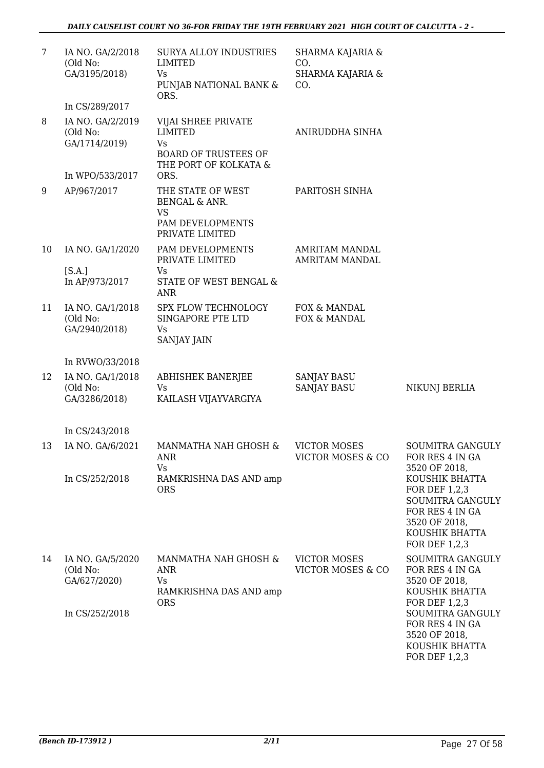| 7  | IA NO. GA/2/2018<br>(Old No:<br>GA/3195/2018) | SURYA ALLOY INDUSTRIES<br><b>LIMITED</b><br>Vs<br>PUNJAB NATIONAL BANK &<br>ORS.                           | SHARMA KAJARIA &<br>CO.<br>SHARMA KAJARIA &<br>CO.  |                                                                                                                            |
|----|-----------------------------------------------|------------------------------------------------------------------------------------------------------------|-----------------------------------------------------|----------------------------------------------------------------------------------------------------------------------------|
|    | In CS/289/2017                                |                                                                                                            |                                                     |                                                                                                                            |
| 8  | IA NO. GA/2/2019<br>(Old No:<br>GA/1714/2019) | VIJAI SHREE PRIVATE<br><b>LIMITED</b><br><b>Vs</b><br><b>BOARD OF TRUSTEES OF</b><br>THE PORT OF KOLKATA & | ANIRUDDHA SINHA                                     |                                                                                                                            |
|    | In WPO/533/2017                               | ORS.                                                                                                       |                                                     |                                                                                                                            |
| 9  | AP/967/2017                                   | THE STATE OF WEST<br>BENGAL & ANR.<br><b>VS</b><br>PAM DEVELOPMENTS<br>PRIVATE LIMITED                     | PARITOSH SINHA                                      |                                                                                                                            |
| 10 | IA NO. GA/1/2020                              | PAM DEVELOPMENTS<br>PRIVATE LIMITED                                                                        | <b>AMRITAM MANDAL</b><br><b>AMRITAM MANDAL</b>      |                                                                                                                            |
|    | [SA.]<br>In AP/973/2017                       | Vs<br>STATE OF WEST BENGAL &<br><b>ANR</b>                                                                 |                                                     |                                                                                                                            |
| 11 | IA NO. GA/1/2018<br>(Old No:<br>GA/2940/2018) | SPX FLOW TECHNOLOGY<br>SINGAPORE PTE LTD<br>Vs<br><b>SANJAY JAIN</b>                                       | FOX & MANDAL<br>FOX & MANDAL                        |                                                                                                                            |
|    | In RVWO/33/2018                               |                                                                                                            |                                                     |                                                                                                                            |
| 12 | IA NO. GA/1/2018<br>(Old No:<br>GA/3286/2018) | <b>ABHISHEK BANERJEE</b><br><b>Vs</b><br>KAILASH VIJAYVARGIYA                                              | <b>SANJAY BASU</b><br><b>SANJAY BASU</b>            | NIKUNJ BERLIA                                                                                                              |
|    | In CS/243/2018                                |                                                                                                            |                                                     |                                                                                                                            |
| 13 | IA NO. GA/6/2021                              | MANMATHA NAH GHOSH &<br><b>ANR</b><br><b>Vs</b>                                                            | VICTOR MOSES<br>VICTOR MOSES & CO                   | SOUMITRA GANGULY<br>FOR RES 4 IN GA<br>3520 OF 2018,                                                                       |
|    | In CS/252/2018                                | RAMKRISHNA DAS AND amp<br><b>ORS</b>                                                                       |                                                     | KOUSHIK BHATTA<br>FOR DEF 1,2,3<br>SOUMITRA GANGULY<br>FOR RES 4 IN GA<br>3520 OF 2018,<br>KOUSHIK BHATTA<br>FOR DEF 1,2,3 |
| 14 | IA NO. GA/5/2020<br>(Old No:<br>GA/627/2020)  | MANMATHA NAH GHOSH &<br>ANR<br>Vs<br>RAMKRISHNA DAS AND amp<br><b>ORS</b>                                  | <b>VICTOR MOSES</b><br><b>VICTOR MOSES &amp; CO</b> | SOUMITRA GANGULY<br>FOR RES 4 IN GA<br>3520 OF 2018,<br>KOUSHIK BHATTA<br>FOR DEF 1,2,3                                    |
|    | In CS/252/2018                                |                                                                                                            |                                                     | SOUMITRA GANGULY<br>FOR RES 4 IN GA<br>3520 OF 2018,<br>KOUSHIK BHATTA<br>FOR DEF 1,2,3                                    |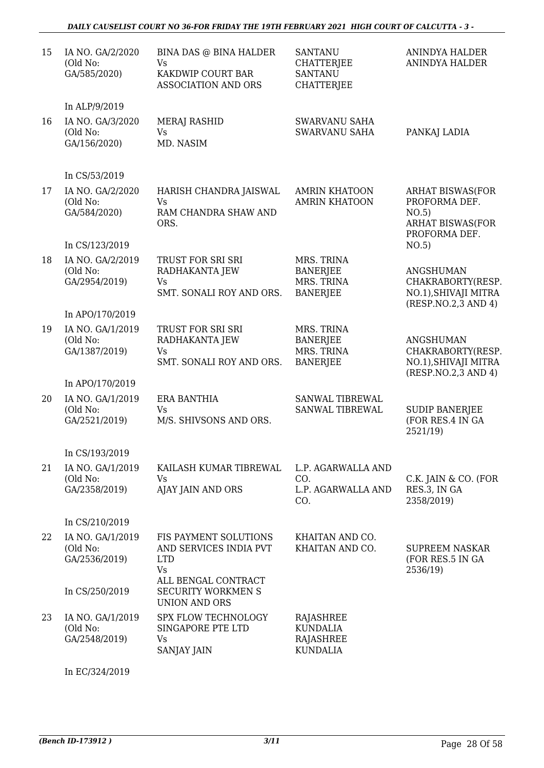### *DAILY CAUSELIST COURT NO 36-FOR FRIDAY THE 19TH FEBRUARY 2021 HIGH COURT OF CALCUTTA - 3 -*

| In ALP/9/2019<br>IA NO. GA/3/2020<br><b>MERAJ RASHID</b><br><b>SWARVANU SAHA</b><br>16<br>(Old No:<br><b>Vs</b><br><b>SWARVANU SAHA</b><br>PANKAJ LADIA<br>MD. NASIM<br>GA/156/2020)<br>In CS/53/2019<br>IA NO. GA/2/2020<br><b>ARHAT BISWAS(FOR</b><br>17<br>HARISH CHANDRA JAISWAL<br><b>AMRIN KHATOON</b><br>PROFORMA DEF.<br>(Old No:<br><b>Vs</b><br><b>AMRIN KHATOON</b><br>GA/584/2020)<br>RAM CHANDRA SHAW AND<br>NO.5)<br><b>ARHAT BISWAS(FOR</b><br>ORS.<br>PROFORMA DEF.<br>In CS/123/2019<br>NO.5)<br>TRUST FOR SRI SRI<br>MRS. TRINA<br>18<br>IA NO. GA/2/2019<br>(Old No:<br><b>BANERJEE</b><br>RADHAKANTA JEW<br><b>ANGSHUMAN</b><br>GA/2954/2019)<br>MRS. TRINA<br>CHAKRABORTY(RESP.<br><b>Vs</b><br><b>BANERJEE</b><br>NO.1), SHIVAJI MITRA<br>SMT. SONALI ROY AND ORS.<br>(RESP.NO.2,3 AND 4)<br>In APO/170/2019<br>MRS. TRINA<br>IA NO. GA/1/2019<br>TRUST FOR SRI SRI<br>19<br>(Old No:<br>RADHAKANTA JEW<br><b>BANERJEE</b><br><b>ANGSHUMAN</b><br>MRS. TRINA<br>GA/1387/2019)<br>CHAKRABORTY(RESP.<br>Vs<br>SMT. SONALI ROY AND ORS.<br><b>BANERJEE</b><br>NO.1), SHIVAJI MITRA<br>(RESP.NO.2,3 AND 4)<br>In APO/170/2019<br>IA NO. GA/1/2019<br>ERA BANTHIA<br>SANWAL TIBREWAL<br>20<br>(Old No:<br><b>Vs</b><br>SANWAL TIBREWAL<br><b>SUDIP BANERJEE</b><br>M/S. SHIVSONS AND ORS.<br>(FOR RES.4 IN GA<br>GA/2521/2019)<br>2521/19)<br>In CS/193/2019<br>21<br>IA NO. GA/1/2019<br>KAILASH KUMAR TIBREWAL<br>L.P. AGARWALLA AND<br>(Old No:<br><b>Vs</b><br>CO.<br>C.K. JAIN & CO. (FOR<br>AJAY JAIN AND ORS<br>RES.3, IN GA<br>GA/2358/2019)<br>L.P. AGARWALLA AND<br>2358/2019)<br>CO.<br>In CS/210/2019<br>IA NO. GA/1/2019<br>FIS PAYMENT SOLUTIONS<br>KHAITAN AND CO.<br>22<br>(Old No:<br>AND SERVICES INDIA PVT<br>KHAITAN AND CO.<br><b>SUPREEM NASKAR</b><br>GA/2536/2019)<br><b>LTD</b><br>(FOR RES.5 IN GA<br><b>Vs</b><br>2536/19)<br>ALL BENGAL CONTRACT<br><b>SECURITY WORKMEN S</b><br>In CS/250/2019<br><b>UNION AND ORS</b><br>IA NO. GA/1/2019<br>SPX FLOW TECHNOLOGY<br>23<br>RAJASHREE<br>(Old No:<br>SINGAPORE PTE LTD<br><b>KUNDALIA</b><br>GA/2548/2019)<br>RAJASHREE<br>Vs<br>SANJAY JAIN<br><b>KUNDALIA</b> | 15 | IA NO. GA/2/2020<br>(Old No:<br>GA/585/2020) | BINA DAS @ BINA HALDER<br><b>Vs</b><br>KAKDWIP COURT BAR<br><b>ASSOCIATION AND ORS</b> | <b>SANTANU</b><br><b>CHATTERJEE</b><br><b>SANTANU</b><br><b>CHATTERJEE</b> | <b>ANINDYA HALDER</b><br>ANINDYA HALDER |
|--------------------------------------------------------------------------------------------------------------------------------------------------------------------------------------------------------------------------------------------------------------------------------------------------------------------------------------------------------------------------------------------------------------------------------------------------------------------------------------------------------------------------------------------------------------------------------------------------------------------------------------------------------------------------------------------------------------------------------------------------------------------------------------------------------------------------------------------------------------------------------------------------------------------------------------------------------------------------------------------------------------------------------------------------------------------------------------------------------------------------------------------------------------------------------------------------------------------------------------------------------------------------------------------------------------------------------------------------------------------------------------------------------------------------------------------------------------------------------------------------------------------------------------------------------------------------------------------------------------------------------------------------------------------------------------------------------------------------------------------------------------------------------------------------------------------------------------------------------------------------------------------------------------------------------------------------------------------------------------------------------------------------------------------------------------------------------------------------------------------------------------------------------------|----|----------------------------------------------|----------------------------------------------------------------------------------------|----------------------------------------------------------------------------|-----------------------------------------|
|                                                                                                                                                                                                                                                                                                                                                                                                                                                                                                                                                                                                                                                                                                                                                                                                                                                                                                                                                                                                                                                                                                                                                                                                                                                                                                                                                                                                                                                                                                                                                                                                                                                                                                                                                                                                                                                                                                                                                                                                                                                                                                                                                              |    |                                              |                                                                                        |                                                                            |                                         |
|                                                                                                                                                                                                                                                                                                                                                                                                                                                                                                                                                                                                                                                                                                                                                                                                                                                                                                                                                                                                                                                                                                                                                                                                                                                                                                                                                                                                                                                                                                                                                                                                                                                                                                                                                                                                                                                                                                                                                                                                                                                                                                                                                              |    |                                              |                                                                                        |                                                                            |                                         |
|                                                                                                                                                                                                                                                                                                                                                                                                                                                                                                                                                                                                                                                                                                                                                                                                                                                                                                                                                                                                                                                                                                                                                                                                                                                                                                                                                                                                                                                                                                                                                                                                                                                                                                                                                                                                                                                                                                                                                                                                                                                                                                                                                              |    |                                              |                                                                                        |                                                                            |                                         |
|                                                                                                                                                                                                                                                                                                                                                                                                                                                                                                                                                                                                                                                                                                                                                                                                                                                                                                                                                                                                                                                                                                                                                                                                                                                                                                                                                                                                                                                                                                                                                                                                                                                                                                                                                                                                                                                                                                                                                                                                                                                                                                                                                              |    |                                              |                                                                                        |                                                                            |                                         |
|                                                                                                                                                                                                                                                                                                                                                                                                                                                                                                                                                                                                                                                                                                                                                                                                                                                                                                                                                                                                                                                                                                                                                                                                                                                                                                                                                                                                                                                                                                                                                                                                                                                                                                                                                                                                                                                                                                                                                                                                                                                                                                                                                              |    |                                              |                                                                                        |                                                                            |                                         |
|                                                                                                                                                                                                                                                                                                                                                                                                                                                                                                                                                                                                                                                                                                                                                                                                                                                                                                                                                                                                                                                                                                                                                                                                                                                                                                                                                                                                                                                                                                                                                                                                                                                                                                                                                                                                                                                                                                                                                                                                                                                                                                                                                              |    |                                              |                                                                                        |                                                                            |                                         |
|                                                                                                                                                                                                                                                                                                                                                                                                                                                                                                                                                                                                                                                                                                                                                                                                                                                                                                                                                                                                                                                                                                                                                                                                                                                                                                                                                                                                                                                                                                                                                                                                                                                                                                                                                                                                                                                                                                                                                                                                                                                                                                                                                              |    |                                              |                                                                                        |                                                                            |                                         |
|                                                                                                                                                                                                                                                                                                                                                                                                                                                                                                                                                                                                                                                                                                                                                                                                                                                                                                                                                                                                                                                                                                                                                                                                                                                                                                                                                                                                                                                                                                                                                                                                                                                                                                                                                                                                                                                                                                                                                                                                                                                                                                                                                              |    |                                              |                                                                                        |                                                                            |                                         |
|                                                                                                                                                                                                                                                                                                                                                                                                                                                                                                                                                                                                                                                                                                                                                                                                                                                                                                                                                                                                                                                                                                                                                                                                                                                                                                                                                                                                                                                                                                                                                                                                                                                                                                                                                                                                                                                                                                                                                                                                                                                                                                                                                              |    |                                              |                                                                                        |                                                                            |                                         |
|                                                                                                                                                                                                                                                                                                                                                                                                                                                                                                                                                                                                                                                                                                                                                                                                                                                                                                                                                                                                                                                                                                                                                                                                                                                                                                                                                                                                                                                                                                                                                                                                                                                                                                                                                                                                                                                                                                                                                                                                                                                                                                                                                              |    |                                              |                                                                                        |                                                                            |                                         |
|                                                                                                                                                                                                                                                                                                                                                                                                                                                                                                                                                                                                                                                                                                                                                                                                                                                                                                                                                                                                                                                                                                                                                                                                                                                                                                                                                                                                                                                                                                                                                                                                                                                                                                                                                                                                                                                                                                                                                                                                                                                                                                                                                              |    |                                              |                                                                                        |                                                                            |                                         |
|                                                                                                                                                                                                                                                                                                                                                                                                                                                                                                                                                                                                                                                                                                                                                                                                                                                                                                                                                                                                                                                                                                                                                                                                                                                                                                                                                                                                                                                                                                                                                                                                                                                                                                                                                                                                                                                                                                                                                                                                                                                                                                                                                              |    |                                              |                                                                                        |                                                                            |                                         |
|                                                                                                                                                                                                                                                                                                                                                                                                                                                                                                                                                                                                                                                                                                                                                                                                                                                                                                                                                                                                                                                                                                                                                                                                                                                                                                                                                                                                                                                                                                                                                                                                                                                                                                                                                                                                                                                                                                                                                                                                                                                                                                                                                              |    |                                              |                                                                                        |                                                                            |                                         |
|                                                                                                                                                                                                                                                                                                                                                                                                                                                                                                                                                                                                                                                                                                                                                                                                                                                                                                                                                                                                                                                                                                                                                                                                                                                                                                                                                                                                                                                                                                                                                                                                                                                                                                                                                                                                                                                                                                                                                                                                                                                                                                                                                              |    |                                              |                                                                                        |                                                                            |                                         |
|                                                                                                                                                                                                                                                                                                                                                                                                                                                                                                                                                                                                                                                                                                                                                                                                                                                                                                                                                                                                                                                                                                                                                                                                                                                                                                                                                                                                                                                                                                                                                                                                                                                                                                                                                                                                                                                                                                                                                                                                                                                                                                                                                              |    |                                              |                                                                                        |                                                                            |                                         |
|                                                                                                                                                                                                                                                                                                                                                                                                                                                                                                                                                                                                                                                                                                                                                                                                                                                                                                                                                                                                                                                                                                                                                                                                                                                                                                                                                                                                                                                                                                                                                                                                                                                                                                                                                                                                                                                                                                                                                                                                                                                                                                                                                              |    |                                              |                                                                                        |                                                                            |                                         |

In EC/324/2019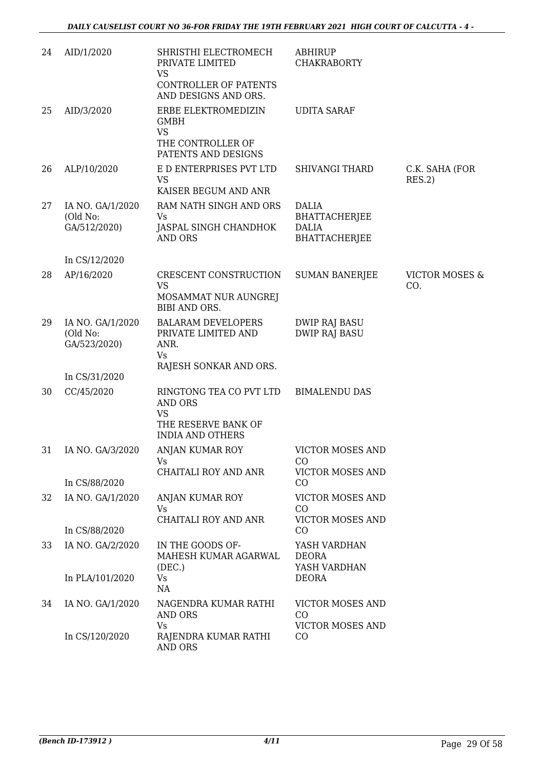| 24 | AID/1/2020                                   | SHRISTHI ELECTROMECH<br>PRIVATE LIMITED<br><b>VS</b><br>CONTROLLER OF PATENTS<br>AND DESIGNS AND ORS.    | <b>ABHIRUP</b><br><b>CHAKRABORTY</b>                                         |                                  |
|----|----------------------------------------------|----------------------------------------------------------------------------------------------------------|------------------------------------------------------------------------------|----------------------------------|
| 25 | AID/3/2020                                   | ERBE ELEKTROMEDIZIN<br><b>GMBH</b><br><b>VS</b><br>THE CONTROLLER OF                                     | <b>UDITA SARAF</b>                                                           |                                  |
| 26 | ALP/10/2020                                  | PATENTS AND DESIGNS<br>E D ENTERPRISES PVT LTD<br><b>VS</b><br>KAISER BEGUM AND ANR                      | <b>SHIVANGI THARD</b>                                                        | C.K. SAHA (FOR<br>RES.2)         |
| 27 | IA NO. GA/1/2020<br>(Old No:<br>GA/512/2020) | RAM NATH SINGH AND ORS<br>Vs<br>JASPAL SINGH CHANDHOK<br><b>AND ORS</b>                                  | <b>DALIA</b><br><b>BHATTACHERJEE</b><br><b>DALIA</b><br><b>BHATTACHERJEE</b> |                                  |
|    | In CS/12/2020                                |                                                                                                          |                                                                              |                                  |
| 28 | AP/16/2020                                   | CRESCENT CONSTRUCTION<br><b>VS</b><br>MOSAMMAT NUR AUNGREJ<br><b>BIBI AND ORS.</b>                       | <b>SUMAN BANERJEE</b>                                                        | <b>VICTOR MOSES &amp;</b><br>CO. |
| 29 | IA NO. GA/1/2020<br>(Old No:<br>GA/523/2020) | <b>BALARAM DEVELOPERS</b><br>PRIVATE LIMITED AND<br>ANR.<br>Vs<br>RAJESH SONKAR AND ORS.                 | <b>DWIP RAJ BASU</b><br><b>DWIP RAJ BASU</b>                                 |                                  |
|    | In CS/31/2020                                |                                                                                                          |                                                                              |                                  |
| 30 | CC/45/2020                                   | RINGTONG TEA CO PVT LTD<br><b>AND ORS</b><br><b>VS</b><br>THE RESERVE BANK OF<br><b>INDIA AND OTHERS</b> | <b>BIMALENDU DAS</b>                                                         |                                  |
| 31 | IA NO. GA/3/2020                             | ANJAN KUMAR ROY<br>Vs                                                                                    | <b>VICTOR MOSES AND</b><br>CO                                                |                                  |
|    | In CS/88/2020                                | CHAITALI ROY AND ANR                                                                                     | VICTOR MOSES AND<br>CO                                                       |                                  |
| 32 | IA NO. GA/1/2020                             | ANJAN KUMAR ROY<br>Vs                                                                                    | VICTOR MOSES AND<br>CO                                                       |                                  |
|    | In CS/88/2020                                | CHAITALI ROY AND ANR                                                                                     | <b>VICTOR MOSES AND</b><br>CO                                                |                                  |
| 33 | IA NO. GA/2/2020                             | IN THE GOODS OF-<br>MAHESH KUMAR AGARWAL                                                                 | YASH VARDHAN<br><b>DEORA</b>                                                 |                                  |
|    | In PLA/101/2020                              | (DEC.)<br>Vs<br>NA                                                                                       | YASH VARDHAN<br><b>DEORA</b>                                                 |                                  |
| 34 | IA NO. GA/1/2020                             | NAGENDRA KUMAR RATHI<br>AND ORS<br>Vs                                                                    | VICTOR MOSES AND<br>CO<br><b>VICTOR MOSES AND</b>                            |                                  |
|    | In CS/120/2020                               | RAJENDRA KUMAR RATHI<br>AND ORS                                                                          | CO                                                                           |                                  |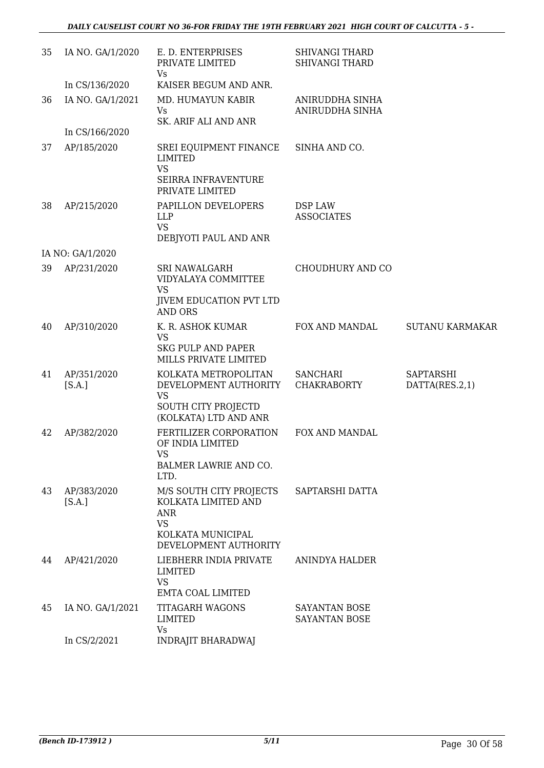| 35 | IA NO. GA/1/2020      | E. D. ENTERPRISES<br>PRIVATE LIMITED<br>Vs                                                                              | <b>SHIVANGI THARD</b><br><b>SHIVANGI THARD</b> |                                    |
|----|-----------------------|-------------------------------------------------------------------------------------------------------------------------|------------------------------------------------|------------------------------------|
|    | In CS/136/2020        | KAISER BEGUM AND ANR.                                                                                                   |                                                |                                    |
| 36 | IA NO. GA/1/2021      | MD. HUMAYUN KABIR<br>Vs<br>SK. ARIF ALI AND ANR                                                                         | ANIRUDDHA SINHA<br>ANIRUDDHA SINHA             |                                    |
|    | In CS/166/2020        |                                                                                                                         |                                                |                                    |
| 37 | AP/185/2020           | SREI EQUIPMENT FINANCE<br><b>LIMITED</b><br><b>VS</b><br>SEIRRA INFRAVENTURE                                            | SINHA AND CO.                                  |                                    |
| 38 | AP/215/2020           | PRIVATE LIMITED<br>PAPILLON DEVELOPERS<br><b>LLP</b><br><b>VS</b><br>DEBJYOTI PAUL AND ANR                              | DSP LAW<br><b>ASSOCIATES</b>                   |                                    |
|    | IA NO: GA/1/2020      |                                                                                                                         |                                                |                                    |
| 39 | AP/231/2020           | <b>SRI NAWALGARH</b><br>VIDYALAYA COMMITTEE<br><b>VS</b><br><b>JIVEM EDUCATION PVT LTD</b><br><b>AND ORS</b>            | CHOUDHURY AND CO                               |                                    |
| 40 | AP/310/2020           | K. R. ASHOK KUMAR<br><b>VS</b><br><b>SKG PULP AND PAPER</b><br>MILLS PRIVATE LIMITED                                    | FOX AND MANDAL                                 | <b>SUTANU KARMAKAR</b>             |
| 41 | AP/351/2020<br>[S.A.] | KOLKATA METROPOLITAN<br>DEVELOPMENT AUTHORITY<br><b>VS</b><br><b>SOUTH CITY PROJECTD</b><br>(KOLKATA) LTD AND ANR       | <b>SANCHARI</b><br><b>CHAKRABORTY</b>          | <b>SAPTARSHI</b><br>DATTA(RES.2,1) |
| 42 | AP/382/2020           | FERTILIZER CORPORATION<br>OF INDIA LIMITED<br>VS<br>BALMER LAWRIE AND CO.<br>LTD.                                       | FOX AND MANDAL                                 |                                    |
| 43 | AP/383/2020<br>[S.A.] | M/S SOUTH CITY PROJECTS<br>KOLKATA LIMITED AND<br><b>ANR</b><br><b>VS</b><br>KOLKATA MUNICIPAL<br>DEVELOPMENT AUTHORITY | SAPTARSHI DATTA                                |                                    |
| 44 | AP/421/2020           | LIEBHERR INDIA PRIVATE<br>LIMITED<br><b>VS</b><br>EMTA COAL LIMITED                                                     | ANINDYA HALDER                                 |                                    |
| 45 | IA NO. GA/1/2021      | <b>TITAGARH WAGONS</b><br><b>LIMITED</b><br>Vs                                                                          | SAYANTAN BOSE<br>SAYANTAN BOSE                 |                                    |
|    | In CS/2/2021          | <b>INDRAJIT BHARADWAJ</b>                                                                                               |                                                |                                    |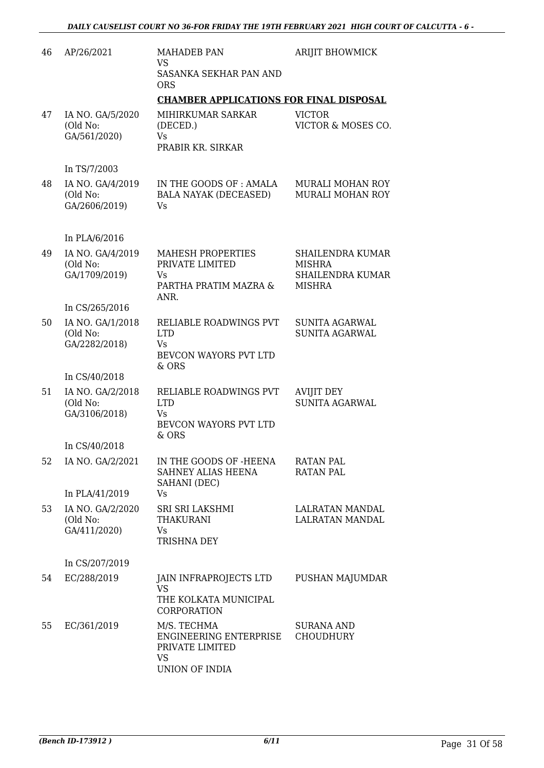| 46 | AP/26/2021                                    | <b>MAHADEB PAN</b><br><b>VS</b>                                                         | ARIJIT BHOWMICK                                                                      |
|----|-----------------------------------------------|-----------------------------------------------------------------------------------------|--------------------------------------------------------------------------------------|
|    |                                               | SASANKA SEKHAR PAN AND<br><b>ORS</b>                                                    |                                                                                      |
|    |                                               | <b>CHAMBER APPLICATIONS FOR FINAL DISPOSAL</b>                                          |                                                                                      |
| 47 | IA NO. GA/5/2020<br>(Old No:<br>GA/561/2020)  | MIHIRKUMAR SARKAR<br>(DECED.)<br><b>Vs</b><br>PRABIR KR. SIRKAR                         | <b>VICTOR</b><br>VICTOR & MOSES CO.                                                  |
|    | In TS/7/2003                                  |                                                                                         |                                                                                      |
| 48 | IA NO. GA/4/2019<br>(Old No:<br>GA/2606/2019) | IN THE GOODS OF : AMALA<br>BALA NAYAK (DECEASED)<br>Vs.                                 | MURALI MOHAN ROY<br>MURALI MOHAN ROY                                                 |
|    | In PLA/6/2016                                 |                                                                                         |                                                                                      |
| 49 | IA NO. GA/4/2019<br>(Old No:<br>GA/1709/2019) | MAHESH PROPERTIES<br>PRIVATE LIMITED<br>Vs<br>PARTHA PRATIM MAZRA &<br>ANR.             | <b>SHAILENDRA KUMAR</b><br><b>MISHRA</b><br><b>SHAILENDRA KUMAR</b><br><b>MISHRA</b> |
|    | In CS/265/2016                                |                                                                                         |                                                                                      |
| 50 | IA NO. GA/1/2018<br>(Old No:<br>GA/2282/2018) | RELIABLE ROADWINGS PVT<br><b>LTD</b><br>Vs.<br>BEVCON WAYORS PVT LTD<br>& ORS           | <b>SUNITA AGARWAL</b><br><b>SUNITA AGARWAL</b>                                       |
|    | In CS/40/2018                                 |                                                                                         |                                                                                      |
| 51 | IA NO. GA/2/2018<br>(Old No:<br>GA/3106/2018) | RELIABLE ROADWINGS PVT<br><b>LTD</b><br>Vs<br>BEVCON WAYORS PVT LTD<br>$&$ ORS          | <b>AVIJIT DEY</b><br><b>SUNITA AGARWAL</b>                                           |
|    | In CS/40/2018                                 |                                                                                         |                                                                                      |
| 52 | IA NO. GA/2/2021                              | IN THE GOODS OF -HEENA<br>SAHNEY ALIAS HEENA<br>SAHANI (DEC)                            | <b>RATAN PAL</b><br><b>RATAN PAL</b>                                                 |
|    | In PLA/41/2019                                | Vs                                                                                      |                                                                                      |
| 53 | IA NO. GA/2/2020<br>(Old No:<br>GA/411/2020)  | SRI SRI LAKSHMI<br><b>THAKURANI</b><br>Vs.<br><b>TRISHNA DEY</b>                        | LALRATAN MANDAL<br>LALRATAN MANDAL                                                   |
|    | In CS/207/2019                                |                                                                                         |                                                                                      |
| 54 | EC/288/2019                                   | JAIN INFRAPROJECTS LTD<br><b>VS</b><br>THE KOLKATA MUNICIPAL<br>CORPORATION             | PUSHAN MAJUMDAR                                                                      |
| 55 | EC/361/2019                                   | M/S. TECHMA<br>ENGINEERING ENTERPRISE<br>PRIVATE LIMITED<br><b>VS</b><br>UNION OF INDIA | SURANA AND<br><b>CHOUDHURY</b>                                                       |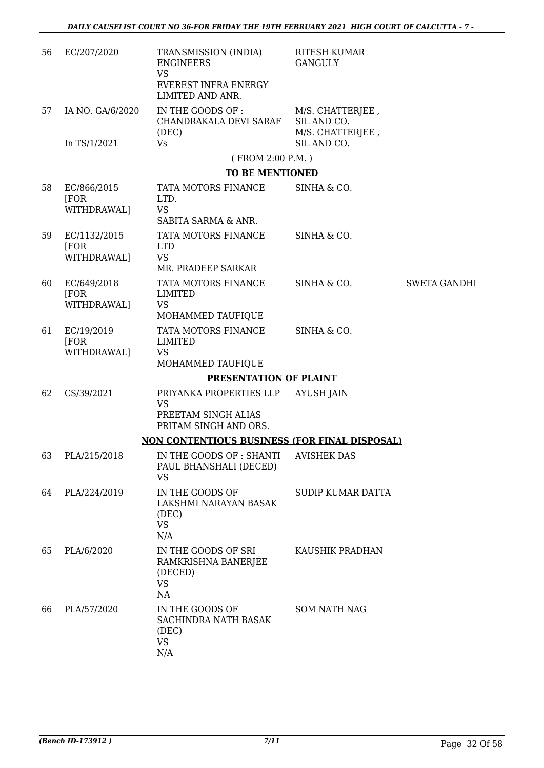| 56 | EC/207/2020                         | TRANSMISSION (INDIA)<br><b>ENGINEERS</b><br><b>VS</b><br>EVEREST INFRA ENERGY<br>LIMITED AND ANR. | <b>RITESH KUMAR</b><br><b>GANGULY</b>               |                     |
|----|-------------------------------------|---------------------------------------------------------------------------------------------------|-----------------------------------------------------|---------------------|
| 57 | IA NO. GA/6/2020                    | IN THE GOODS OF :<br>CHANDRAKALA DEVI SARAF<br>(DEC)                                              | M/S. CHATTERJEE,<br>SIL AND CO.<br>M/S. CHATTERJEE, |                     |
|    | In TS/1/2021                        | <b>Vs</b>                                                                                         | SIL AND CO.                                         |                     |
|    |                                     | (FROM 2:00 P.M.)<br><b>TO BE MENTIONED</b>                                                        |                                                     |                     |
| 58 | EC/866/2015                         | TATA MOTORS FINANCE                                                                               | SINHA & CO.                                         |                     |
|    | [FOR]<br>WITHDRAWAL]                | LTD.<br><b>VS</b>                                                                                 |                                                     |                     |
|    |                                     | SABITA SARMA & ANR.                                                                               |                                                     |                     |
| 59 | EC/1132/2015<br>[FOR<br>WITHDRAWAL] | TATA MOTORS FINANCE<br><b>LTD</b><br><b>VS</b>                                                    | SINHA & CO.                                         |                     |
|    |                                     | MR. PRADEEP SARKAR                                                                                |                                                     |                     |
| 60 | EC/649/2018<br>[FOR<br>WITHDRAWAL]  | TATA MOTORS FINANCE<br><b>LIMITED</b><br><b>VS</b><br>MOHAMMED TAUFIQUE                           | SINHA & CO.                                         | <b>SWETA GANDHI</b> |
|    |                                     | TATA MOTORS FINANCE                                                                               | SINHA & CO.                                         |                     |
| 61 | EC/19/2019<br>[FOR]<br>WITHDRAWAL]  | LIMITED<br><b>VS</b><br>MOHAMMED TAUFIQUE                                                         |                                                     |                     |
|    |                                     | <b>PRESENTATION OF PLAINT</b>                                                                     |                                                     |                     |
| 62 | CS/39/2021                          | PRIYANKA PROPERTIES LLP                                                                           | <b>AYUSH JAIN</b>                                   |                     |
|    |                                     | <b>VS</b><br>PREETAM SINGH ALIAS<br>PRITAM SINGH AND ORS.                                         |                                                     |                     |
|    |                                     | NON CONTENTIOUS BUSINESS (FOR FINAL DISPOSAL)                                                     |                                                     |                     |
| 63 | PLA/215/2018                        | IN THE GOODS OF : SHANTI AVISHEK DAS<br>PAUL BHANSHALI (DECED)<br><b>VS</b>                       |                                                     |                     |
| 64 | PLA/224/2019                        | IN THE GOODS OF<br>LAKSHMI NARAYAN BASAK<br>(DEC)<br><b>VS</b><br>N/A                             | SUDIP KUMAR DATTA                                   |                     |
| 65 | PLA/6/2020                          | IN THE GOODS OF SRI<br>RAMKRISHNA BANERJEE<br>(DECED)<br><b>VS</b><br>NA                          | KAUSHIK PRADHAN                                     |                     |
| 66 | PLA/57/2020                         | IN THE GOODS OF<br>SACHINDRA NATH BASAK<br>(DEC)<br><b>VS</b><br>N/A                              | <b>SOM NATH NAG</b>                                 |                     |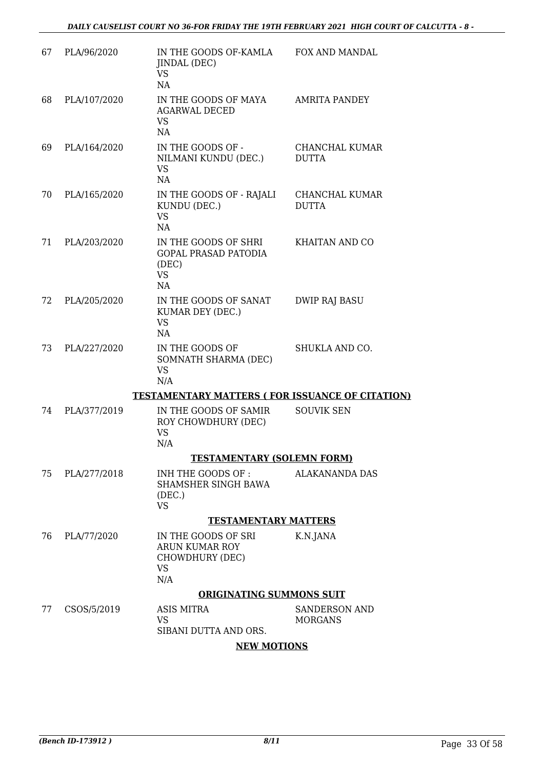| 67 | PLA/96/2020  | IN THE GOODS OF-KAMLA<br>JINDAL (DEC)<br><b>VS</b><br>NA                        | FOX AND MANDAL                         |
|----|--------------|---------------------------------------------------------------------------------|----------------------------------------|
| 68 | PLA/107/2020 | IN THE GOODS OF MAYA<br><b>AGARWAL DECED</b><br><b>VS</b><br>NA                 | <b>AMRITA PANDEY</b>                   |
| 69 | PLA/164/2020 | IN THE GOODS OF -<br>NILMANI KUNDU (DEC.)<br><b>VS</b><br>NA                    | CHANCHAL KUMAR<br><b>DUTTA</b>         |
| 70 | PLA/165/2020 | IN THE GOODS OF - RAJALI<br>KUNDU (DEC.)<br><b>VS</b><br>NA                     | CHANCHAL KUMAR<br><b>DUTTA</b>         |
| 71 | PLA/203/2020 | IN THE GOODS OF SHRI<br><b>GOPAL PRASAD PATODIA</b><br>(DEC)<br><b>VS</b><br>NA | KHAITAN AND CO                         |
| 72 | PLA/205/2020 | IN THE GOODS OF SANAT<br>KUMAR DEY (DEC.)<br><b>VS</b><br>NA                    | <b>DWIP RAJ BASU</b>                   |
| 73 | PLA/227/2020 | IN THE GOODS OF<br>SOMNATH SHARMA (DEC)<br><b>VS</b><br>N/A                     | SHUKLA AND CO.                         |
|    |              | <b>TESTAMENTARY MATTERS (FOR ISSUANCE OF CITATION)</b>                          |                                        |
| 74 | PLA/377/2019 | IN THE GOODS OF SAMIR<br>ROY CHOWDHURY (DEC)<br><b>VS</b><br>N/A                | <b>SOUVIK SEN</b>                      |
|    |              | <b>TESTAMENTARY (SOLEMN FORM)</b>                                               |                                        |
| 75 | PLA/277/2018 | INH THE GOODS OF:<br>SHAMSHER SINGH BAWA<br>(DEC.)<br><b>VS</b>                 | <b>ALAKANANDA DAS</b>                  |
|    |              | <b>TESTAMENTARY MATTERS</b>                                                     |                                        |
| 76 | PLA/77/2020  | IN THE GOODS OF SRI<br>ARUN KUMAR ROY<br>CHOWDHURY (DEC)<br><b>VS</b><br>N/A    | K.N.JANA                               |
|    |              | <b>ORIGINATING SUMMONS SUIT</b>                                                 |                                        |
| 77 | CSOS/5/2019  | ASIS MITRA<br><b>VS</b><br>SIBANI DUTTA AND ORS.                                | <b>SANDERSON AND</b><br><b>MORGANS</b> |

## **NEW MOTIONS**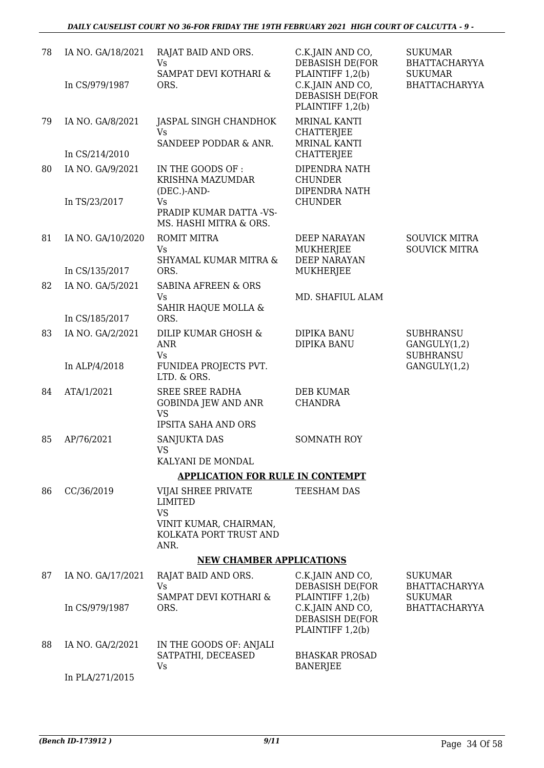| 78 | IA NO. GA/18/2021                  | RAJAT BAID AND ORS.<br><b>Vs</b>                                  | C.K.JAIN AND CO,<br><b>DEBASISH DE(FOR</b>                                           | <b>SUKUMAR</b><br>BHATTACHARYYA                      |
|----|------------------------------------|-------------------------------------------------------------------|--------------------------------------------------------------------------------------|------------------------------------------------------|
|    | In CS/979/1987                     | SAMPAT DEVI KOTHARI &<br>ORS.                                     | PLAINTIFF 1,2(b)<br>C.K.JAIN AND CO,<br><b>DEBASISH DE(FOR</b><br>PLAINTIFF 1,2(b)   | <b>SUKUMAR</b><br>BHATTACHARYYA                      |
| 79 | IA NO. GA/8/2021<br>In CS/214/2010 | JASPAL SINGH CHANDHOK<br>Vs.<br>SANDEEP PODDAR & ANR.             | <b>MRINAL KANTI</b><br><b>CHATTERJEE</b><br><b>MRINAL KANTI</b><br><b>CHATTERJEE</b> |                                                      |
|    |                                    |                                                                   |                                                                                      |                                                      |
| 80 | IA NO. GA/9/2021                   | IN THE GOODS OF:<br>KRISHNA MAZUMDAR<br>(DEC.)-AND-               | DIPENDRA NATH<br><b>CHUNDER</b><br>DIPENDRA NATH                                     |                                                      |
|    | In TS/23/2017                      | Vs<br>PRADIP KUMAR DATTA -VS-<br>MS. HASHI MITRA & ORS.           | <b>CHUNDER</b>                                                                       |                                                      |
| 81 | IA NO. GA/10/2020                  | ROMIT MITRA<br>Vs                                                 | <b>DEEP NARAYAN</b><br><b>MUKHERJEE</b><br><b>DEEP NARAYAN</b>                       | <b>SOUVICK MITRA</b><br><b>SOUVICK MITRA</b>         |
|    | In CS/135/2017                     | SHYAMAL KUMAR MITRA &<br>ORS.                                     | <b>MUKHERJEE</b>                                                                     |                                                      |
| 82 | IA NO. GA/5/2021                   | <b>SABINA AFREEN &amp; ORS</b>                                    |                                                                                      |                                                      |
|    |                                    | Vs<br>SAHIR HAQUE MOLLA &                                         | MD. SHAFIUL ALAM                                                                     |                                                      |
|    | In CS/185/2017                     | ORS.                                                              |                                                                                      |                                                      |
| 83 | IA NO. GA/2/2021                   | DILIP KUMAR GHOSH &<br><b>ANR</b><br>Vs                           | DIPIKA BANU<br>DIPIKA BANU                                                           | <b>SUBHRANSU</b><br>GANGULY(1,2)<br><b>SUBHRANSU</b> |
|    | In ALP/4/2018                      | FUNIDEA PROJECTS PVT.<br>LTD. & ORS.                              |                                                                                      | GANGULY(1,2)                                         |
| 84 | ATA/1/2021                         | <b>SREE SREE RADHA</b><br><b>GOBINDA JEW AND ANR</b><br><b>VS</b> | <b>DEB KUMAR</b><br><b>CHANDRA</b>                                                   |                                                      |
|    |                                    | <b>IPSITA SAHA AND ORS</b>                                        |                                                                                      |                                                      |
| 85 | AP/76/2021                         | SANJUKTA DAS<br><b>VS</b><br>KALYANI DE MONDAL                    | <b>SOMNATH ROY</b>                                                                   |                                                      |
|    |                                    | <b>APPLICATION FOR RULE IN CONTEMPT</b>                           |                                                                                      |                                                      |
| 86 | CC/36/2019                         | VIJAI SHREE PRIVATE<br><b>LIMITED</b><br><b>VS</b>                | TEESHAM DAS                                                                          |                                                      |
|    |                                    | VINIT KUMAR, CHAIRMAN,<br>KOLKATA PORT TRUST AND<br>ANR.          |                                                                                      |                                                      |
|    |                                    | <b>NEW CHAMBER APPLICATIONS</b>                                   |                                                                                      |                                                      |
| 87 | IA NO. GA/17/2021                  | RAJAT BAID AND ORS.<br>Vs                                         | C.K.JAIN AND CO,<br>DEBASISH DE(FOR                                                  | <b>SUKUMAR</b><br>BHATTACHARYYA                      |
|    | In CS/979/1987                     | SAMPAT DEVI KOTHARI &<br>ORS.                                     | PLAINTIFF 1,2(b)<br>C.K.JAIN AND CO,<br>DEBASISH DE(FOR<br>PLAINTIFF 1,2(b)          | <b>SUKUMAR</b><br>BHATTACHARYYA                      |
| 88 | IA NO. GA/2/2021                   | IN THE GOODS OF: ANJALI<br>SATPATHI, DECEASED<br>Vs               | <b>BHASKAR PROSAD</b><br><b>BANERJEE</b>                                             |                                                      |
|    | In PLA/271/2015                    |                                                                   |                                                                                      |                                                      |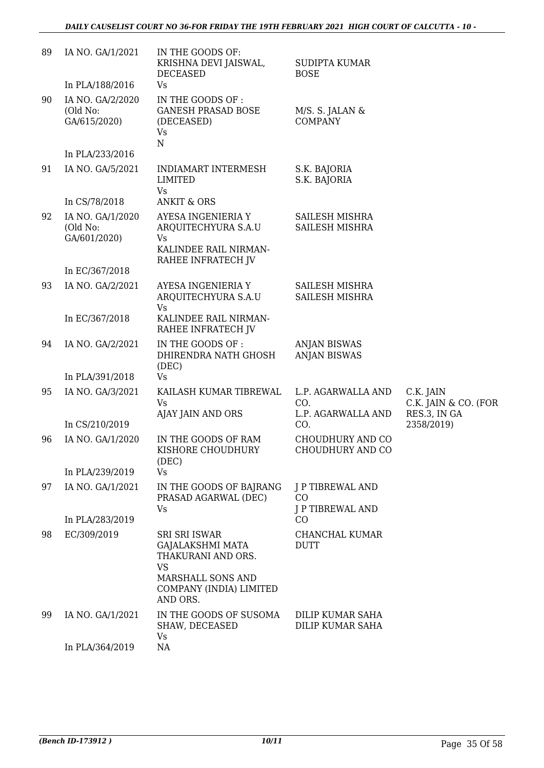| 89 | IA NO. GA/1/2021                             | IN THE GOODS OF:<br>KRISHNA DEVI JAISWAL,<br><b>DECEASED</b>                                                                                   | <b>SUDIPTA KUMAR</b><br><b>BOSE</b>             |                                                   |
|----|----------------------------------------------|------------------------------------------------------------------------------------------------------------------------------------------------|-------------------------------------------------|---------------------------------------------------|
|    | In PLA/188/2016                              | Vs                                                                                                                                             |                                                 |                                                   |
| 90 | IA NO. GA/2/2020<br>(Old No:<br>GA/615/2020) | IN THE GOODS OF :<br><b>GANESH PRASAD BOSE</b><br>(DECEASED)<br><b>Vs</b><br>${\bf N}$                                                         | M/S. S. JALAN &<br><b>COMPANY</b>               |                                                   |
|    | In PLA/233/2016                              |                                                                                                                                                |                                                 |                                                   |
| 91 | IA NO. GA/5/2021                             | INDIAMART INTERMESH<br><b>LIMITED</b><br><b>Vs</b>                                                                                             | S.K. BAJORIA<br>S.K. BAJORIA                    |                                                   |
|    | In CS/78/2018                                | <b>ANKIT &amp; ORS</b>                                                                                                                         |                                                 |                                                   |
| 92 | IA NO. GA/1/2020<br>(Old No:<br>GA/601/2020) | AYESA INGENIERIA Y<br>ARQUITECHYURA S.A.U<br>Vs<br>KALINDEE RAIL NIRMAN-<br>RAHEE INFRATECH JV                                                 | SAILESH MISHRA<br>SAILESH MISHRA                |                                                   |
|    | In EC/367/2018                               |                                                                                                                                                |                                                 |                                                   |
| 93 | IA NO. GA/2/2021                             | AYESA INGENIERIA Y<br>ARQUITECHYURA S.A.U<br>Vs                                                                                                | SAILESH MISHRA<br>SAILESH MISHRA                |                                                   |
|    | In EC/367/2018                               | KALINDEE RAIL NIRMAN-<br>RAHEE INFRATECH JV                                                                                                    |                                                 |                                                   |
| 94 | IA NO. GA/2/2021                             | IN THE GOODS OF :<br>DHIRENDRA NATH GHOSH<br>(DEC)                                                                                             | <b>ANJAN BISWAS</b><br><b>ANJAN BISWAS</b>      |                                                   |
|    | In PLA/391/2018                              | <b>Vs</b>                                                                                                                                      |                                                 |                                                   |
| 95 | IA NO. GA/3/2021                             | KAILASH KUMAR TIBREWAL<br>Vs<br>AJAY JAIN AND ORS                                                                                              | L.P. AGARWALLA AND<br>CO.<br>L.P. AGARWALLA AND | C.K. JAIN<br>C.K. JAIN & CO. (FOR<br>RES.3, IN GA |
|    | In CS/210/2019                               |                                                                                                                                                | CO.                                             | 2358/2019)                                        |
| 96 | IA NO. GA/1/2020                             | IN THE GOODS OF RAM<br>KISHORE CHOUDHURY<br>(DEC)                                                                                              | CHOUDHURY AND CO<br>CHOUDHURY AND CO            |                                                   |
|    | In PLA/239/2019                              | Vs                                                                                                                                             |                                                 |                                                   |
| 97 | IA NO. GA/1/2021                             | IN THE GOODS OF BAJRANG<br>PRASAD AGARWAL (DEC)<br>Vs                                                                                          | J P TIBREWAL AND<br>CO<br>J P TIBREWAL AND      |                                                   |
|    | In PLA/283/2019                              |                                                                                                                                                | CO                                              |                                                   |
| 98 | EC/309/2019                                  | <b>SRI SRI ISWAR</b><br><b>GAJALAKSHMI MATA</b><br>THAKURANI AND ORS.<br><b>VS</b><br>MARSHALL SONS AND<br>COMPANY (INDIA) LIMITED<br>AND ORS. | CHANCHAL KUMAR<br><b>DUTT</b>                   |                                                   |
| 99 | IA NO. GA/1/2021                             | IN THE GOODS OF SUSOMA<br>SHAW, DECEASED<br><b>Vs</b>                                                                                          | DILIP KUMAR SAHA<br>DILIP KUMAR SAHA            |                                                   |
|    | In PLA/364/2019                              | NA                                                                                                                                             |                                                 |                                                   |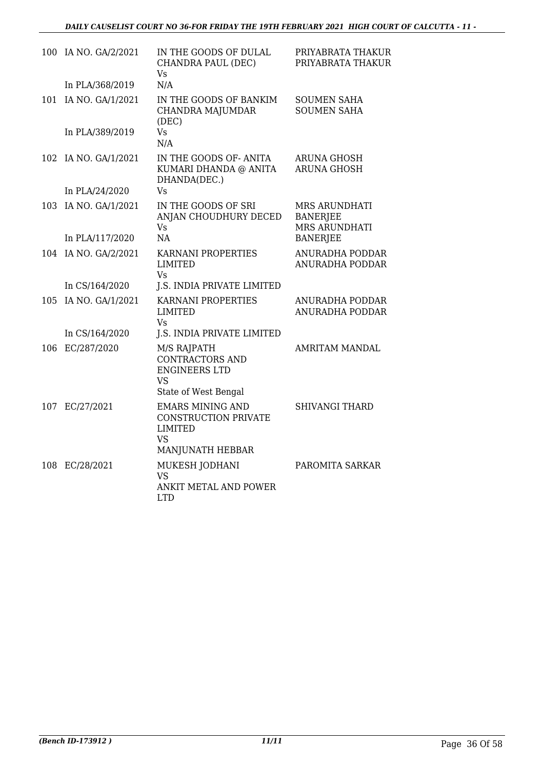| 100 | IA NO. GA/2/2021     | IN THE GOODS OF DULAL<br>CHANDRA PAUL (DEC)<br>Vs                                                  | PRIYABRATA THAKUR<br>PRIYABRATA THAKUR                          |
|-----|----------------------|----------------------------------------------------------------------------------------------------|-----------------------------------------------------------------|
|     | In PLA/368/2019      | N/A                                                                                                |                                                                 |
| 101 | IA NO. GA/1/2021     | IN THE GOODS OF BANKIM<br>CHANDRA MAJUMDAR<br>(DEC)                                                | <b>SOUMEN SAHA</b><br><b>SOUMEN SAHA</b>                        |
|     | In PLA/389/2019      | Vs<br>N/A                                                                                          |                                                                 |
|     | 102 IA NO. GA/1/2021 | IN THE GOODS OF-ANITA<br>KUMARI DHANDA @ ANITA<br>DHANDA(DEC.)                                     | <b>ARUNA GHOSH</b><br><b>ARUNA GHOSH</b>                        |
|     | In PLA/24/2020       | Vs                                                                                                 |                                                                 |
|     | 103 IA NO. GA/1/2021 | IN THE GOODS OF SRI<br>ANJAN CHOUDHURY DECED<br><b>Vs</b>                                          | <b>MRS ARUNDHATI</b><br><b>BANERJEE</b><br><b>MRS ARUNDHATI</b> |
|     | In PLA/117/2020      | NA                                                                                                 | <b>BANERJEE</b>                                                 |
| 104 | IA NO. GA/2/2021     | KARNANI PROPERTIES<br><b>LIMITED</b><br>Vs                                                         | ANURADHA PODDAR<br>ANURADHA PODDAR                              |
|     | In CS/164/2020       | J.S. INDIA PRIVATE LIMITED                                                                         |                                                                 |
| 105 | IA NO. GA/1/2021     | KARNANI PROPERTIES<br><b>LIMITED</b><br>Vs                                                         | ANURADHA PODDAR<br>ANURADHA PODDAR                              |
|     | In CS/164/2020       | J.S. INDIA PRIVATE LIMITED                                                                         |                                                                 |
| 106 | EC/287/2020          | M/S RAJPATH<br><b>CONTRACTORS AND</b><br><b>ENGINEERS LTD</b><br>VS<br>State of West Bengal        | <b>AMRITAM MANDAL</b>                                           |
| 107 | EC/27/2021           | <b>EMARS MINING AND</b><br><b>CONSTRUCTION PRIVATE</b><br><b>LIMITED</b><br>VS<br>MANJUNATH HEBBAR | <b>SHIVANGI THARD</b>                                           |
| 108 | EC/28/2021           | MUKESH JODHANI<br><b>VS</b><br><b>ANKIT METAL AND POWER</b><br><b>LTD</b>                          | PAROMITA SARKAR                                                 |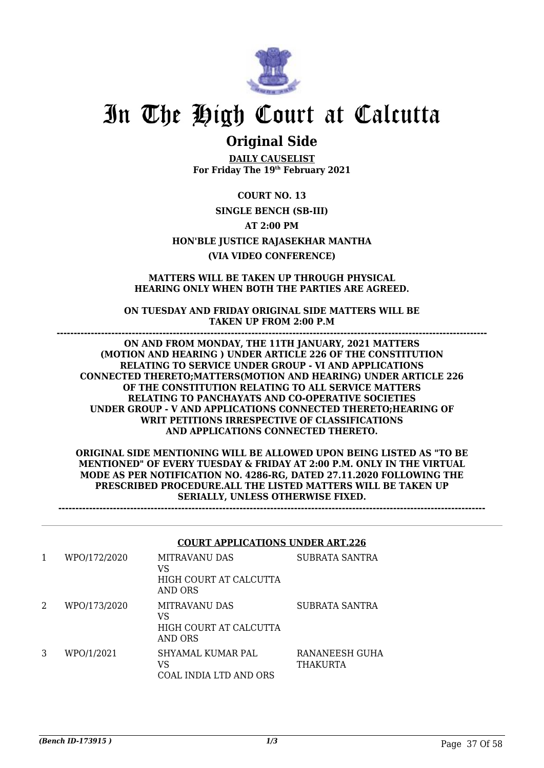

## **Original Side**

**DAILY CAUSELIST For Friday The 19th February 2021**

**COURT NO. 13 SINGLE BENCH (SB-III) AT 2:00 PM HON'BLE JUSTICE RAJASEKHAR MANTHA (VIA VIDEO CONFERENCE)**

#### **MATTERS WILL BE TAKEN UP THROUGH PHYSICAL HEARING ONLY WHEN BOTH THE PARTIES ARE AGREED.**

**ON TUESDAY AND FRIDAY ORIGINAL SIDE MATTERS WILL BE TAKEN UP FROM 2:00 P.M ------------------------------------------------------------------------------------------------------------------------------**

**ON AND FROM MONDAY, THE 11TH JANUARY, 2021 MATTERS (MOTION AND HEARING ) UNDER ARTICLE 226 OF THE CONSTITUTION RELATING TO SERVICE UNDER GROUP - VI AND APPLICATIONS CONNECTED THERETO;MATTERS(MOTION AND HEARING) UNDER ARTICLE 226 OF THE CONSTITUTION RELATING TO ALL SERVICE MATTERS RELATING TO PANCHAYATS AND CO-OPERATIVE SOCIETIES UNDER GROUP - V AND APPLICATIONS CONNECTED THERETO;HEARING OF WRIT PETITIONS IRRESPECTIVE OF CLASSIFICATIONS AND APPLICATIONS CONNECTED THERETO.**

**ORIGINAL SIDE MENTIONING WILL BE ALLOWED UPON BEING LISTED AS "TO BE MENTIONED" OF EVERY TUESDAY & FRIDAY AT 2:00 P.M. ONLY IN THE VIRTUAL MODE AS PER NOTIFICATION NO. 4286-RG, DATED 27.11.2020 FOLLOWING THE PRESCRIBED PROCEDURE.ALL THE LISTED MATTERS WILL BE TAKEN UP SERIALLY, UNLESS OTHERWISE FIXED.**

**-----------------------------------------------------------------------------------------------------------------------------**

#### **COURT APPLICATIONS UNDER ART.226**

|   | WPO/172/2020 | MITRAVANU DAS<br>VS<br>HIGH COURT AT CALCUTTA<br>AND ORS        | SUBRATA SANTRA             |
|---|--------------|-----------------------------------------------------------------|----------------------------|
| 2 | WPO/173/2020 | <b>MITRAVANU DAS</b><br>VS<br>HIGH COURT AT CALCUTTA<br>AND ORS | SUBRATA SANTRA             |
| 3 | WPO/1/2021   | SHYAMAL KUMAR PAL<br>VS<br>COAL INDIA LTD AND ORS               | RANANEESH GUHA<br>THAKURTA |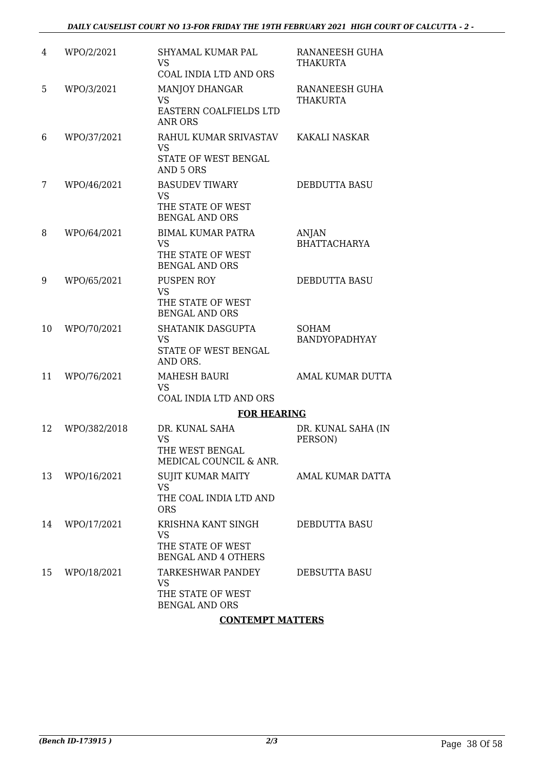| 4  | WPO/2/2021   | <b>SHYAMAL KUMAR PAL</b><br><b>VS</b>                                               | RANANEESH GUHA<br><b>THAKURTA</b>    |
|----|--------------|-------------------------------------------------------------------------------------|--------------------------------------|
|    |              | COAL INDIA LTD AND ORS                                                              |                                      |
| 5  | WPO/3/2021   | <b>MANJOY DHANGAR</b><br><b>VS</b><br>EASTERN COALFIELDS LTD<br><b>ANR ORS</b>      | RANANEESH GUHA<br><b>THAKURTA</b>    |
| 6  | WPO/37/2021  | RAHUL KUMAR SRIVASTAV<br><b>VS</b><br>STATE OF WEST BENGAL<br>AND 5 ORS             | KAKALI NASKAR                        |
| 7  | WPO/46/2021  | <b>BASUDEV TIWARY</b><br><b>VS</b><br>THE STATE OF WEST<br><b>BENGAL AND ORS</b>    | <b>DEBDUTTA BASU</b>                 |
| 8  | WPO/64/2021  | <b>BIMAL KUMAR PATRA</b><br><b>VS</b><br>THE STATE OF WEST<br><b>BENGAL AND ORS</b> | <b>ANJAN</b><br><b>BHATTACHARYA</b>  |
| 9  | WPO/65/2021  | PUSPEN ROY<br><b>VS</b><br>THE STATE OF WEST<br><b>BENGAL AND ORS</b>               | <b>DEBDUTTA BASU</b>                 |
| 10 | WPO/70/2021  | SHATANIK DASGUPTA<br><b>VS</b><br>STATE OF WEST BENGAL<br>AND ORS.                  | <b>SOHAM</b><br><b>BANDYOPADHYAY</b> |
| 11 | WPO/76/2021  | <b>MAHESH BAURI</b><br><b>VS</b><br>COAL INDIA LTD AND ORS                          | AMAL KUMAR DUTTA                     |
|    |              | <b>FOR HEARING</b>                                                                  |                                      |
| 12 | WPO/382/2018 | DR. KUNAL SAHA<br><b>VS</b><br>THE WEST BENGAL<br>MEDICAL COUNCIL & ANR.            | DR. KUNAL SAHA (IN<br>PERSON)        |
| 13 | WPO/16/2021  | <b>SUJIT KUMAR MAITY</b><br><b>VS</b><br>THE COAL INDIA LTD AND<br><b>ORS</b>       | <b>AMAL KUMAR DATTA</b>              |
| 14 | WPO/17/2021  | KRISHNA KANT SINGH<br><b>VS</b><br>THE STATE OF WEST<br><b>BENGAL AND 4 OTHERS</b>  | DEBDUTTA BASU                        |
| 15 | WPO/18/2021  | TARKESHWAR PANDEY<br>VS<br>THE STATE OF WEST<br><b>BENGAL AND ORS</b>               | DEBSUTTA BASU                        |
|    |              | <b>CONTEMPT MATTERS</b>                                                             |                                      |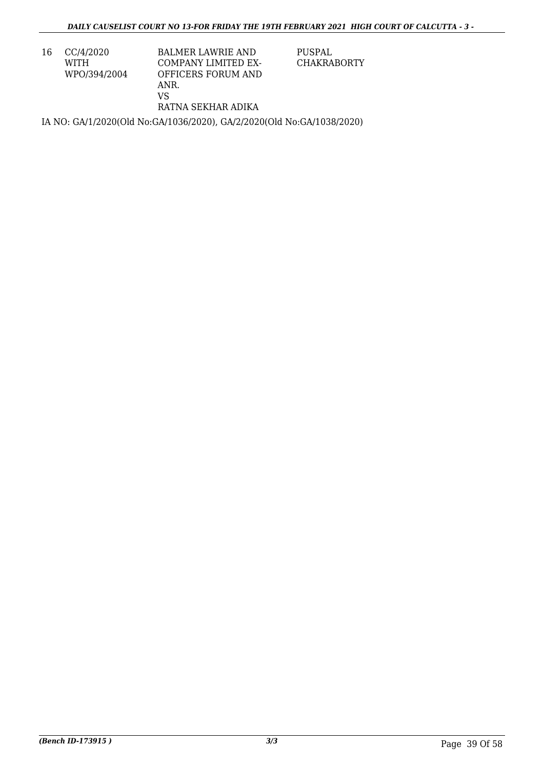16 CC/4/2020 WITH WPO/394/2004 BALMER LAWRIE AND COMPANY LIMITED EX-OFFICERS FORUM AND ANR. VS RATNA SEKHAR ADIKA

PUSPAL CHAKRABORTY

IA NO: GA/1/2020(Old No:GA/1036/2020), GA/2/2020(Old No:GA/1038/2020)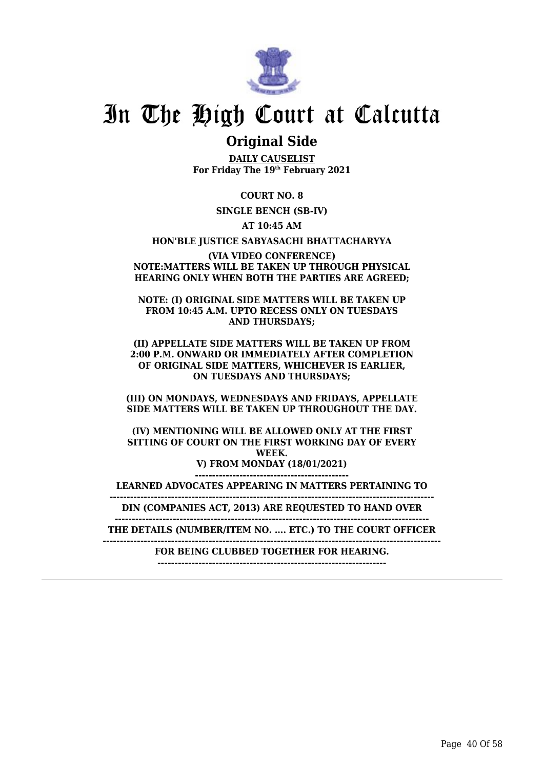

## **Original Side**

**DAILY CAUSELIST For Friday The 19th February 2021**

**COURT NO. 8**

**SINGLE BENCH (SB-IV)**

**AT 10:45 AM**

**HON'BLE JUSTICE SABYASACHI BHATTACHARYYA**

**(VIA VIDEO CONFERENCE) NOTE:MATTERS WILL BE TAKEN UP THROUGH PHYSICAL HEARING ONLY WHEN BOTH THE PARTIES ARE AGREED;**

**NOTE: (I) ORIGINAL SIDE MATTERS WILL BE TAKEN UP FROM 10:45 A.M. UPTO RECESS ONLY ON TUESDAYS AND THURSDAYS;**

**(II) APPELLATE SIDE MATTERS WILL BE TAKEN UP FROM 2:00 P.M. ONWARD OR IMMEDIATELY AFTER COMPLETION OF ORIGINAL SIDE MATTERS, WHICHEVER IS EARLIER, ON TUESDAYS AND THURSDAYS;**

**(III) ON MONDAYS, WEDNESDAYS AND FRIDAYS, APPELLATE SIDE MATTERS WILL BE TAKEN UP THROUGHOUT THE DAY.**

**(IV) MENTIONING WILL BE ALLOWED ONLY AT THE FIRST SITTING OF COURT ON THE FIRST WORKING DAY OF EVERY WEEK.**

**V) FROM MONDAY (18/01/2021) ---------------------------------------------**

**LEARNED ADVOCATES APPEARING IN MATTERS PERTAINING TO**

**----------------------------------------------------------------------------------------------- DIN (COMPANIES ACT, 2013) ARE REQUESTED TO HAND OVER**

**--------------------------------------------------------------------------------------------**

**THE DETAILS (NUMBER/ITEM NO. .... ETC.) TO THE COURT OFFICER**

**---------------------------------------------------------------------------------------------------**

**FOR BEING CLUBBED TOGETHER FOR HEARING.**

**-------------------------------------------------------------------**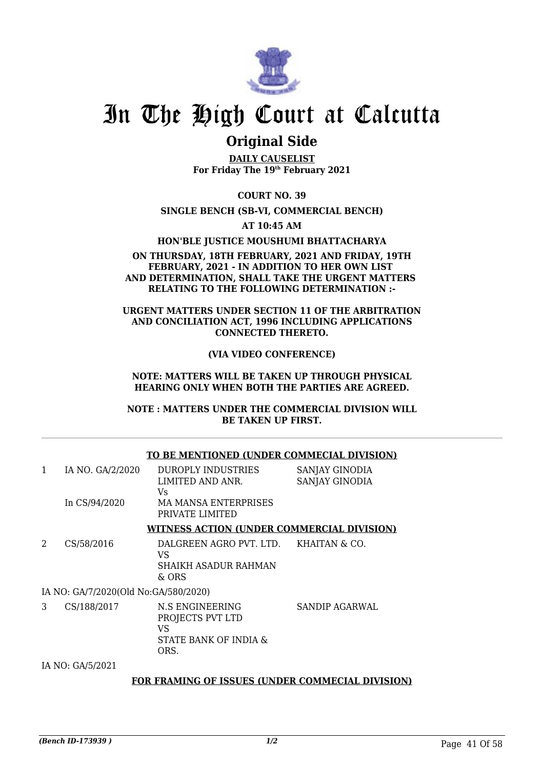

## **Original Side**

**DAILY CAUSELIST For Friday The 19th February 2021**

**COURT NO. 39**

**SINGLE BENCH (SB-VI, COMMERCIAL BENCH)**

**AT 10:45 AM**

**HON'BLE JUSTICE MOUSHUMI BHATTACHARYA**

#### **ON THURSDAY, 18TH FEBRUARY, 2021 AND FRIDAY, 19TH FEBRUARY, 2021 - IN ADDITION TO HER OWN LIST AND DETERMINATION, SHALL TAKE THE URGENT MATTERS RELATING TO THE FOLLOWING DETERMINATION :-**

### **URGENT MATTERS UNDER SECTION 11 OF THE ARBITRATION AND CONCILIATION ACT, 1996 INCLUDING APPLICATIONS CONNECTED THERETO.**

### **(VIA VIDEO CONFERENCE)**

#### **NOTE: MATTERS WILL BE TAKEN UP THROUGH PHYSICAL HEARING ONLY WHEN BOTH THE PARTIES ARE AGREED.**

**NOTE : MATTERS UNDER THE COMMERCIAL DIVISION WILL BE TAKEN UP FIRST.**

|   |                                      | TO BE MENTIONED (UNDER COMMECIAL DIVISION)                                                            |                                  |
|---|--------------------------------------|-------------------------------------------------------------------------------------------------------|----------------------------------|
| 1 | IA NO. GA/2/2020<br>In CS/94/2020    | <b>DUROPLY INDUSTRIES</b><br>LIMITED AND ANR.<br>Vs<br><b>MA MANSA ENTERPRISES</b><br>PRIVATE LIMITED | SANJAY GINODIA<br>SANJAY GINODIA |
|   |                                      | <b>WITNESS ACTION (UNDER COMMERCIAL DIVISION)</b>                                                     |                                  |
| 2 | CS/58/2016                           | DALGREEN AGRO PVT. LTD. KHAITAN & CO.<br>VS<br><b>SHAIKH ASADUR RAHMAN</b><br>& ORS                   |                                  |
|   | IA NO: GA/7/2020(Old No:GA/580/2020) |                                                                                                       |                                  |
| 3 | CS/188/2017                          | N.S ENGINEERING<br>PROJECTS PVT LTD<br>VS<br>STATE BANK OF INDIA &<br>ORS.                            | SANDIP AGARWAL                   |
|   | IA NO: GA/5/2021                     |                                                                                                       |                                  |

### **FOR FRAMING OF ISSUES (UNDER COMMECIAL DIVISION)**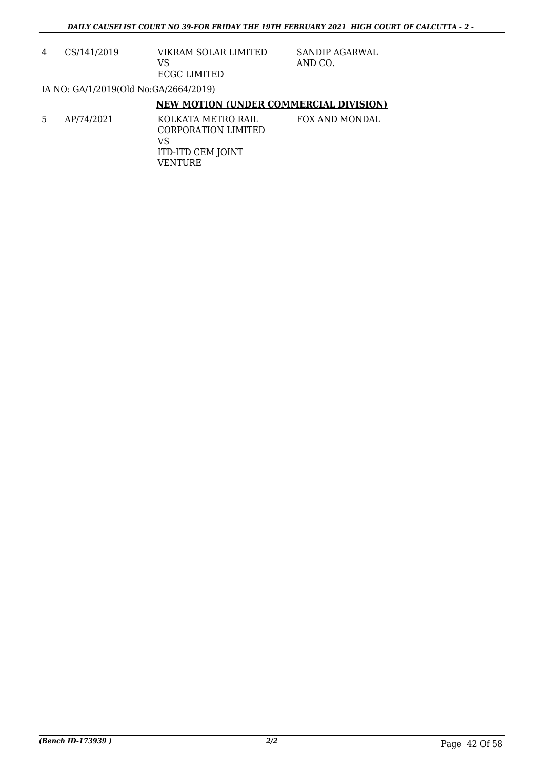4 CS/141/2019 VIKRAM SOLAR LIMITED VS ECGC LIMITED

SANDIP AGARWAL AND CO.

IA NO: GA/1/2019(Old No:GA/2664/2019)

### **NEW MOTION (UNDER COMMERCIAL DIVISION)**

5 AP/74/2021 KOLKATA METRO RAIL CORPORATION LIMITED VS ITD-ITD CEM JOINT VENTURE FOX AND MONDAL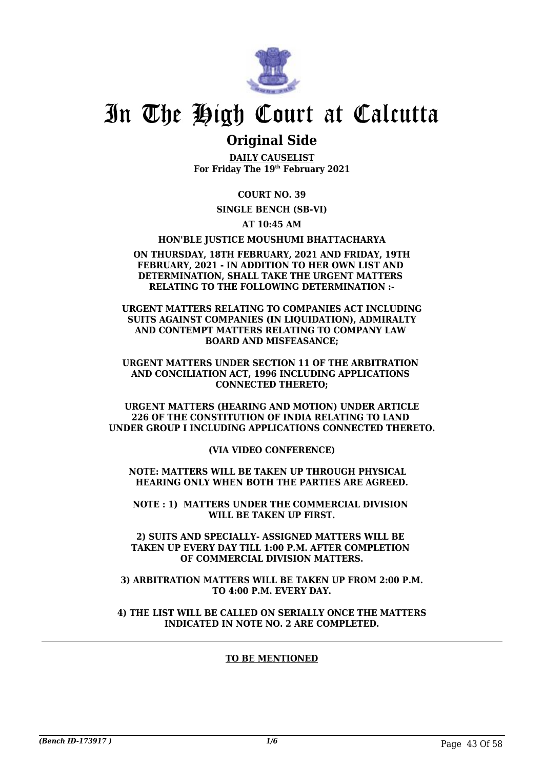

## **Original Side**

**DAILY CAUSELIST For Friday The 19th February 2021**

**COURT NO. 39**

**SINGLE BENCH (SB-VI)**

**AT 10:45 AM**

**HON'BLE JUSTICE MOUSHUMI BHATTACHARYA**

#### **ON THURSDAY, 18TH FEBRUARY, 2021 AND FRIDAY, 19TH FEBRUARY, 2021 - IN ADDITION TO HER OWN LIST AND DETERMINATION, SHALL TAKE THE URGENT MATTERS RELATING TO THE FOLLOWING DETERMINATION :-**

**URGENT MATTERS RELATING TO COMPANIES ACT INCLUDING SUITS AGAINST COMPANIES (IN LIQUIDATION), ADMIRALTY AND CONTEMPT MATTERS RELATING TO COMPANY LAW BOARD AND MISFEASANCE;**

**URGENT MATTERS UNDER SECTION 11 OF THE ARBITRATION AND CONCILIATION ACT, 1996 INCLUDING APPLICATIONS CONNECTED THERETO;**

**URGENT MATTERS (HEARING AND MOTION) UNDER ARTICLE 226 OF THE CONSTITUTION OF INDIA RELATING TO LAND UNDER GROUP I INCLUDING APPLICATIONS CONNECTED THERETO.**

**(VIA VIDEO CONFERENCE)**

**NOTE: MATTERS WILL BE TAKEN UP THROUGH PHYSICAL HEARING ONLY WHEN BOTH THE PARTIES ARE AGREED.**

**NOTE : 1) MATTERS UNDER THE COMMERCIAL DIVISION WILL BE TAKEN UP FIRST.**

**2) SUITS AND SPECIALLY- ASSIGNED MATTERS WILL BE TAKEN UP EVERY DAY TILL 1:00 P.M. AFTER COMPLETION OF COMMERCIAL DIVISION MATTERS.**

**3) ARBITRATION MATTERS WILL BE TAKEN UP FROM 2:00 P.M. TO 4:00 P.M. EVERY DAY.**

**4) THE LIST WILL BE CALLED ON SERIALLY ONCE THE MATTERS INDICATED IN NOTE NO. 2 ARE COMPLETED.**

### **TO BE MENTIONED**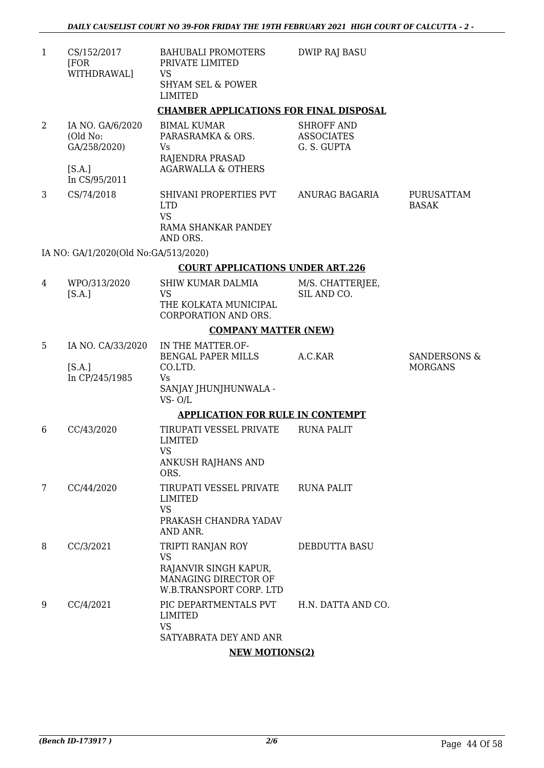| 1 | CS/152/2017<br>[FOR<br>WITHDRAWAL]                                      | <b>BAHUBALI PROMOTERS</b><br>PRIVATE LIMITED<br><b>VS</b><br><b>SHYAM SEL &amp; POWER</b><br><b>LIMITED</b> | <b>DWIP RAJ BASU</b>                                  |                                |
|---|-------------------------------------------------------------------------|-------------------------------------------------------------------------------------------------------------|-------------------------------------------------------|--------------------------------|
|   |                                                                         | <b>CHAMBER APPLICATIONS FOR FINAL DISPOSAL</b>                                                              |                                                       |                                |
| 2 | IA NO. GA/6/2020<br>(Old No:<br>GA/258/2020)<br>[S.A.]<br>In CS/95/2011 | <b>BIMAL KUMAR</b><br>PARASRAMKA & ORS.<br>Vs<br>RAJENDRA PRASAD<br><b>AGARWALLA &amp; OTHERS</b>           | <b>SHROFF AND</b><br><b>ASSOCIATES</b><br>G. S. GUPTA |                                |
| 3 | CS/74/2018                                                              | SHIVANI PROPERTIES PVT<br><b>LTD</b><br><b>VS</b><br>RAMA SHANKAR PANDEY<br>AND ORS.                        | ANURAG BAGARIA                                        | PURUSATTAM<br><b>BASAK</b>     |
|   | IA NO: GA/1/2020(Old No:GA/513/2020)                                    |                                                                                                             |                                                       |                                |
|   |                                                                         | <b>COURT APPLICATIONS UNDER ART.226</b>                                                                     |                                                       |                                |
| 4 | WPO/313/2020<br>[S.A.]                                                  | SHIW KUMAR DALMIA<br><b>VS</b><br>THE KOLKATA MUNICIPAL<br>CORPORATION AND ORS.                             | M/S. CHATTERJEE,<br>SIL AND CO.                       |                                |
|   |                                                                         | <b>COMPANY MATTER (NEW)</b>                                                                                 |                                                       |                                |
| 5 | IA NO. CA/33/2020<br>[S.A.]<br>In CP/245/1985                           | IN THE MATTER.OF-<br>BENGAL PAPER MILLS<br>CO.LTD.<br><b>Vs</b><br>SANJAY JHUNJHUNWALA -                    | A.C.KAR                                               | SANDERSONS &<br><b>MORGANS</b> |
|   |                                                                         | $VS - O/L$                                                                                                  |                                                       |                                |
|   |                                                                         | <b>APPLICATION FOR RULE IN CONTEMPT</b>                                                                     |                                                       |                                |
| 6 | CC/43/2020                                                              | TIRUPATI VESSEL PRIVATE<br><b>LIMITED</b><br><b>VS</b><br>ANKUSH RAJHANS AND<br>ORS.                        | <b>RUNA PALIT</b>                                     |                                |
| 7 | CC/44/2020                                                              | TIRUPATI VESSEL PRIVATE<br><b>LIMITED</b><br><b>VS</b><br>PRAKASH CHANDRA YADAV<br>AND ANR.                 | <b>RUNA PALIT</b>                                     |                                |
| 8 | CC/3/2021                                                               | TRIPTI RANJAN ROY<br><b>VS</b><br>RAJANVIR SINGH KAPUR,<br>MANAGING DIRECTOR OF<br>W.B.TRANSPORT CORP. LTD  | DEBDUTTA BASU                                         |                                |
| 9 | CC/4/2021                                                               | PIC DEPARTMENTALS PVT<br><b>LIMITED</b><br><b>VS</b><br>SATYABRATA DEY AND ANR                              | H.N. DATTA AND CO.                                    |                                |

## **NEW MOTIONS(2)**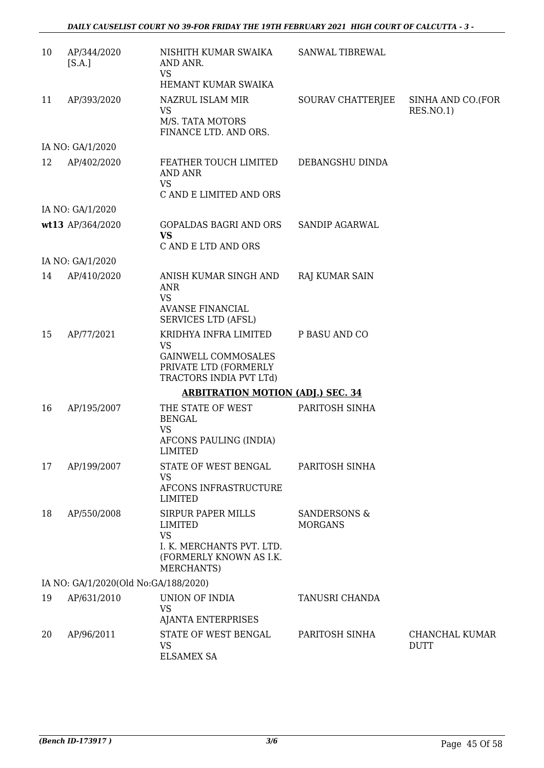| 10 | AP/344/2020<br>[S.A.]                    | NISHITH KUMAR SWAIKA<br>AND ANR.<br><b>VS</b><br>HEMANT KUMAR SWAIKA                                                    | SANWAL TIBREWAL                           |                                |  |  |
|----|------------------------------------------|-------------------------------------------------------------------------------------------------------------------------|-------------------------------------------|--------------------------------|--|--|
| 11 | AP/393/2020                              | NAZRUL ISLAM MIR<br><b>VS</b><br>M/S. TATA MOTORS<br>FINANCE LTD. AND ORS.                                              | SOURAV CHATTERJEE                         | SINHA AND CO.(FOR<br>RES.NO.1) |  |  |
|    | IA NO: GA/1/2020                         |                                                                                                                         |                                           |                                |  |  |
| 12 | AP/402/2020                              | FEATHER TOUCH LIMITED<br><b>AND ANR</b><br><b>VS</b>                                                                    | DEBANGSHU DINDA                           |                                |  |  |
|    |                                          | C AND E LIMITED AND ORS                                                                                                 |                                           |                                |  |  |
|    | IA NO: GA/1/2020                         |                                                                                                                         |                                           |                                |  |  |
|    | wt13 AP/364/2020                         | GOPALDAS BAGRI AND ORS<br><b>VS</b>                                                                                     | SANDIP AGARWAL                            |                                |  |  |
|    |                                          | C AND E LTD AND ORS                                                                                                     |                                           |                                |  |  |
|    | IA NO: GA/1/2020                         |                                                                                                                         |                                           |                                |  |  |
| 14 | AP/410/2020                              | ANISH KUMAR SINGH AND<br><b>ANR</b><br><b>VS</b>                                                                        | <b>RAJ KUMAR SAIN</b>                     |                                |  |  |
|    |                                          | <b>AVANSE FINANCIAL</b><br>SERVICES LTD (AFSL)                                                                          |                                           |                                |  |  |
| 15 | AP/77/2021                               | KRIDHYA INFRA LIMITED<br>VS<br><b>GAINWELL COMMOSALES</b><br>PRIVATE LTD (FORMERLY<br>TRACTORS INDIA PVT LTd)           | P BASU AND CO                             |                                |  |  |
|    | <b>ARBITRATION MOTION (ADJ.) SEC. 34</b> |                                                                                                                         |                                           |                                |  |  |
| 16 | AP/195/2007                              | THE STATE OF WEST<br><b>BENGAL</b><br><b>VS</b><br>AFCONS PAULING (INDIA)<br>LIMITED                                    | PARITOSH SINHA                            |                                |  |  |
| 17 | AP/199/2007                              | STATE OF WEST BENGAL<br><b>VS</b><br>AFCONS INFRASTRUCTURE<br><b>LIMITED</b>                                            | PARITOSH SINHA                            |                                |  |  |
| 18 | AP/550/2008                              | SIRPUR PAPER MILLS<br><b>LIMITED</b><br><b>VS</b><br>I. K. MERCHANTS PVT. LTD.<br>(FORMERLY KNOWN AS I.K.<br>MERCHANTS) | <b>SANDERSONS &amp;</b><br><b>MORGANS</b> |                                |  |  |
|    | IA NO: GA/1/2020(Old No:GA/188/2020)     |                                                                                                                         |                                           |                                |  |  |
| 19 | AP/631/2010                              | UNION OF INDIA<br><b>VS</b><br><b>AJANTA ENTERPRISES</b>                                                                | TANUSRI CHANDA                            |                                |  |  |
| 20 | AP/96/2011                               | STATE OF WEST BENGAL<br><b>VS</b><br><b>ELSAMEX SA</b>                                                                  | PARITOSH SINHA                            | CHANCHAL KUMAR<br><b>DUTT</b>  |  |  |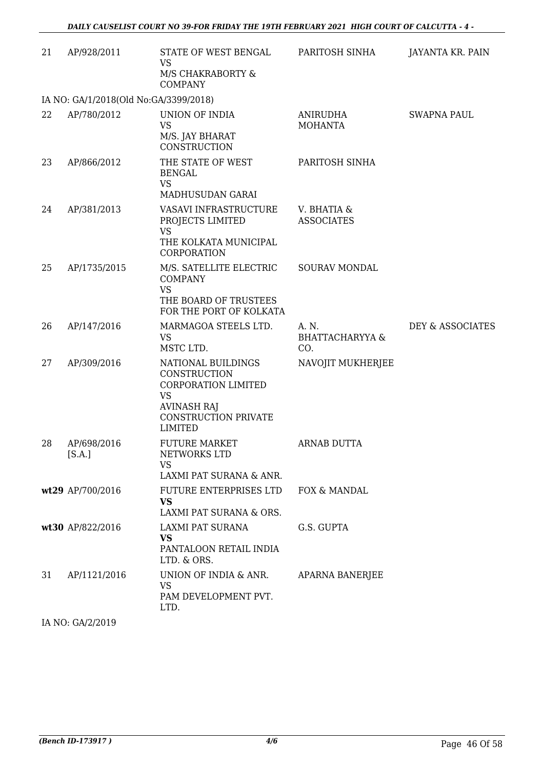| 21 | AP/928/2011                           | STATE OF WEST BENGAL<br><b>VS</b><br>M/S CHAKRABORTY &<br><b>COMPANY</b>                                                                             | PARITOSH SINHA                             | JAYANTA KR. PAIN   |
|----|---------------------------------------|------------------------------------------------------------------------------------------------------------------------------------------------------|--------------------------------------------|--------------------|
|    | IA NO: GA/1/2018(Old No:GA/3399/2018) |                                                                                                                                                      |                                            |                    |
| 22 | AP/780/2012                           | UNION OF INDIA<br><b>VS</b><br>M/S. JAY BHARAT<br>CONSTRUCTION                                                                                       | <b>ANIRUDHA</b><br><b>MOHANTA</b>          | <b>SWAPNA PAUL</b> |
| 23 | AP/866/2012                           | THE STATE OF WEST<br><b>BENGAL</b><br><b>VS</b>                                                                                                      | PARITOSH SINHA                             |                    |
|    |                                       | MADHUSUDAN GARAI                                                                                                                                     |                                            |                    |
| 24 | AP/381/2013                           | VASAVI INFRASTRUCTURE<br>PROJECTS LIMITED<br><b>VS</b>                                                                                               | V. BHATIA &<br><b>ASSOCIATES</b>           |                    |
|    |                                       | THE KOLKATA MUNICIPAL<br>CORPORATION                                                                                                                 |                                            |                    |
| 25 | AP/1735/2015                          | M/S. SATELLITE ELECTRIC<br><b>COMPANY</b><br><b>VS</b>                                                                                               | SOURAV MONDAL                              |                    |
|    |                                       | THE BOARD OF TRUSTEES<br>FOR THE PORT OF KOLKATA                                                                                                     |                                            |                    |
| 26 | AP/147/2016                           | MARMAGOA STEELS LTD.<br><b>VS</b><br>MSTC LTD.                                                                                                       | A. N.<br><b>BHATTACHARYYA &amp;</b><br>CO. | DEY & ASSOCIATES   |
| 27 | AP/309/2016                           | NATIONAL BUILDINGS<br>CONSTRUCTION<br><b>CORPORATION LIMITED</b><br><b>VS</b><br><b>AVINASH RAJ</b><br><b>CONSTRUCTION PRIVATE</b><br><b>LIMITED</b> | NAVOJIT MUKHERJEE                          |                    |
| 28 | AP/698/2016<br>[S.A.]                 | <b>FUTURE MARKET</b><br>NETWORKS LTD<br><b>VS</b><br>LAXMI PAT SURANA & ANR.                                                                         | <b>ARNAB DUTTA</b>                         |                    |
|    | wt29 AP/700/2016                      | FUTURE ENTERPRISES LTD<br><b>VS</b><br>LAXMI PAT SURANA & ORS.                                                                                       | FOX & MANDAL                               |                    |
|    | wt30 AP/822/2016                      | LAXMI PAT SURANA<br><b>VS</b><br>PANTALOON RETAIL INDIA<br>LTD. & ORS.                                                                               | G.S. GUPTA                                 |                    |
| 31 | AP/1121/2016                          | UNION OF INDIA & ANR.<br><b>VS</b><br>PAM DEVELOPMENT PVT.<br>LTD.                                                                                   | APARNA BANERJEE                            |                    |
|    |                                       |                                                                                                                                                      |                                            |                    |

IA NO: GA/2/2019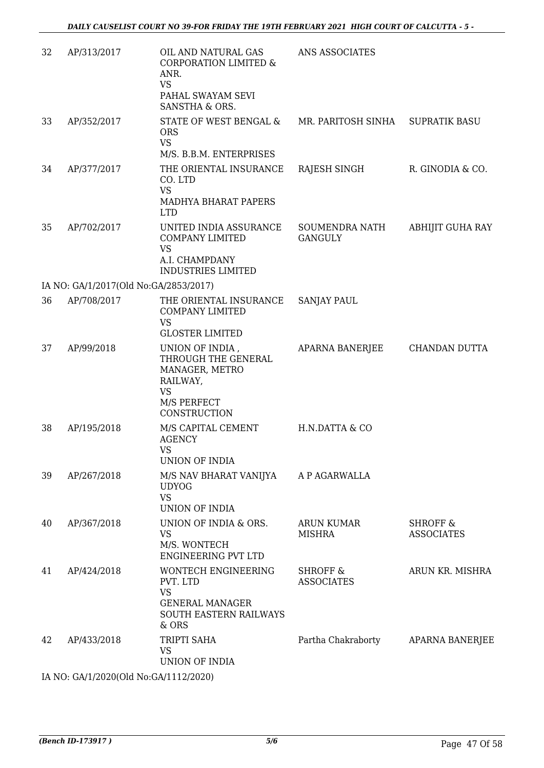| 32 | AP/313/2017                           | OIL AND NATURAL GAS<br><b>CORPORATION LIMITED &amp;</b><br>ANR.<br><b>VS</b><br>PAHAL SWAYAM SEVI<br>SANSTHA & ORS. | ANS ASSOCIATES                           |                                          |
|----|---------------------------------------|---------------------------------------------------------------------------------------------------------------------|------------------------------------------|------------------------------------------|
| 33 | AP/352/2017                           | STATE OF WEST BENGAL &<br><b>ORS</b><br><b>VS</b><br>M/S. B.B.M. ENTERPRISES                                        | MR. PARITOSH SINHA                       | <b>SUPRATIK BASU</b>                     |
| 34 | AP/377/2017                           | THE ORIENTAL INSURANCE<br>CO. LTD<br><b>VS</b><br>MADHYA BHARAT PAPERS<br><b>LTD</b>                                | RAJESH SINGH                             | R. GINODIA & CO.                         |
| 35 | AP/702/2017                           | UNITED INDIA ASSURANCE<br><b>COMPANY LIMITED</b><br><b>VS</b><br>A.I. CHAMPDANY<br><b>INDUSTRIES LIMITED</b>        | SOUMENDRA NATH<br><b>GANGULY</b>         | ABHIJIT GUHA RAY                         |
|    | IA NO: GA/1/2017(Old No:GA/2853/2017) |                                                                                                                     |                                          |                                          |
| 36 | AP/708/2017                           | THE ORIENTAL INSURANCE<br><b>COMPANY LIMITED</b><br><b>VS</b>                                                       | <b>SANJAY PAUL</b>                       |                                          |
|    |                                       | <b>GLOSTER LIMITED</b>                                                                                              |                                          |                                          |
| 37 | AP/99/2018                            | UNION OF INDIA,<br>THROUGH THE GENERAL<br>MANAGER, METRO<br>RAILWAY,<br><b>VS</b><br>M/S PERFECT<br>CONSTRUCTION    | APARNA BANERJEE                          | CHANDAN DUTTA                            |
| 38 | AP/195/2018                           | M/S CAPITAL CEMENT<br><b>AGENCY</b><br><b>VS</b><br>UNION OF INDIA                                                  | H.N.DATTA & CO                           |                                          |
| 39 | AP/267/2018                           | M/S NAV BHARAT VANIJYA<br><b>UDYOG</b><br><b>VS</b><br>UNION OF INDIA                                               | A P AGARWALLA                            |                                          |
| 40 | AP/367/2018                           | UNION OF INDIA & ORS.<br><b>VS</b><br>M/S. WONTECH<br><b>ENGINEERING PVT LTD</b>                                    | <b>ARUN KUMAR</b><br><b>MISHRA</b>       | <b>SHROFF &amp;</b><br><b>ASSOCIATES</b> |
| 41 | AP/424/2018                           | WONTECH ENGINEERING<br>PVT. LTD<br><b>VS</b><br><b>GENERAL MANAGER</b><br>SOUTH EASTERN RAILWAYS<br>& ORS           | <b>SHROFF &amp;</b><br><b>ASSOCIATES</b> | ARUN KR. MISHRA                          |
| 42 | AP/433/2018                           | TRIPTI SAHA<br><b>VS</b><br>UNION OF INDIA                                                                          | Partha Chakraborty                       | APARNA BANERJEE                          |
|    | IA NO: GA/1/2020(Old No:GA/1112/2020) |                                                                                                                     |                                          |                                          |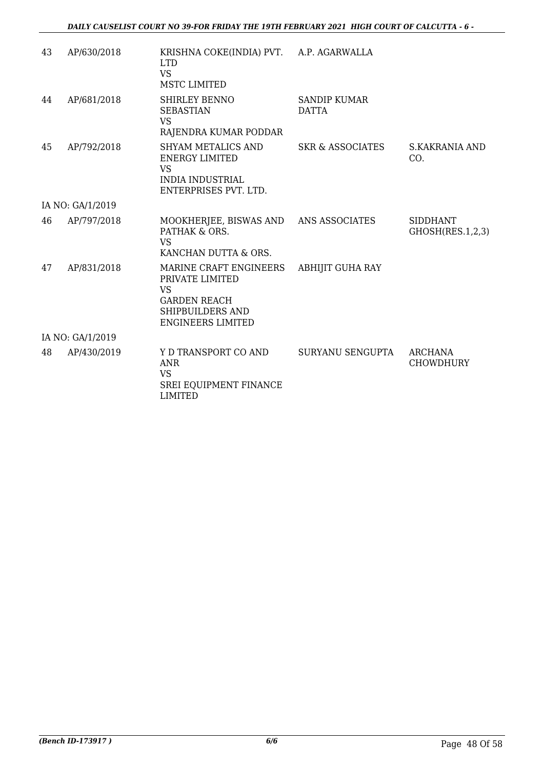| 43 | AP/630/2018      | KRISHNA COKE(INDIA) PVT. A.P. AGARWALLA<br><b>LTD</b><br><b>VS</b><br><b>MSTC LIMITED</b>                                     |                                     |                                     |
|----|------------------|-------------------------------------------------------------------------------------------------------------------------------|-------------------------------------|-------------------------------------|
| 44 | AP/681/2018      | SHIRLEY BENNO<br><b>SEBASTIAN</b><br><b>VS</b><br>RAJENDRA KUMAR PODDAR                                                       | <b>SANDIP KUMAR</b><br><b>DATTA</b> |                                     |
| 45 | AP/792/2018      | SHYAM METALICS AND<br><b>ENERGY LIMITED</b><br><b>VS</b><br><b>INDIA INDUSTRIAL</b><br>ENTERPRISES PVT. LTD.                  | SKR & ASSOCIATES                    | S.KAKRANIA AND<br>CO.               |
|    | IA NO: GA/1/2019 |                                                                                                                               |                                     |                                     |
| 46 | AP/797/2018      | MOOKHERJEE, BISWAS AND ANS ASSOCIATES<br>PATHAK & ORS.<br><b>VS</b><br>KANCHAN DUTTA & ORS.                                   |                                     | <b>SIDDHANT</b><br>GHOSH(RES.1,2,3) |
| 47 | AP/831/2018      | MARINE CRAFT ENGINEERS<br>PRIVATE LIMITED<br><b>VS</b><br><b>GARDEN REACH</b><br>SHIPBUILDERS AND<br><b>ENGINEERS LIMITED</b> | ABHIJIT GUHA RAY                    |                                     |
|    | IA NO: GA/1/2019 |                                                                                                                               |                                     |                                     |
| 48 | AP/430/2019      | Y D TRANSPORT CO AND<br><b>ANR</b><br><b>VS</b><br>SREI EQUIPMENT FINANCE<br><b>LIMITED</b>                                   | SURYANU SENGUPTA                    | ARCHANA<br><b>CHOWDHURY</b>         |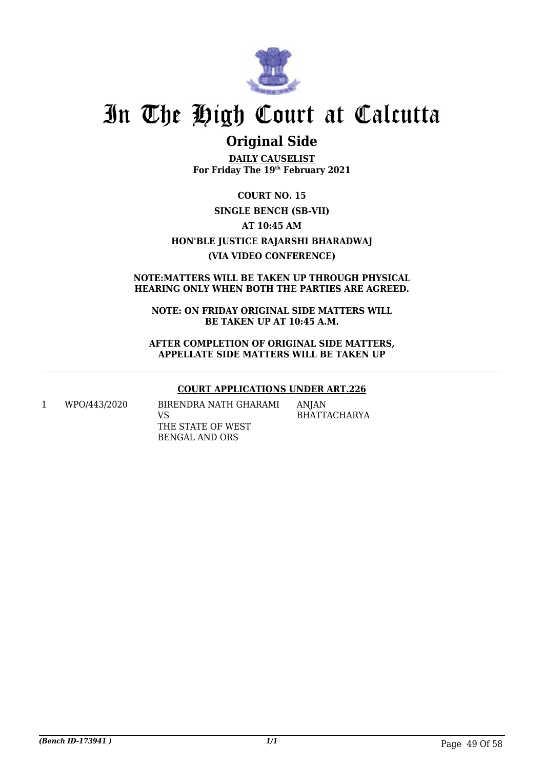

## **Original Side**

**DAILY CAUSELIST For Friday The 19th February 2021**

**COURT NO. 15 SINGLE BENCH (SB-VII) AT 10:45 AM HON'BLE JUSTICE RAJARSHI BHARADWAJ (VIA VIDEO CONFERENCE)**

### **NOTE:MATTERS WILL BE TAKEN UP THROUGH PHYSICAL HEARING ONLY WHEN BOTH THE PARTIES ARE AGREED.**

**NOTE: ON FRIDAY ORIGINAL SIDE MATTERS WILL BE TAKEN UP AT 10:45 A.M.**

**AFTER COMPLETION OF ORIGINAL SIDE MATTERS, APPELLATE SIDE MATTERS WILL BE TAKEN UP**

## **COURT APPLICATIONS UNDER ART.226**

1 WPO/443/2020 BIRENDRA NATH GHARAMI VS THE STATE OF WEST BENGAL AND ORS

ANJAN BHATTACHARYA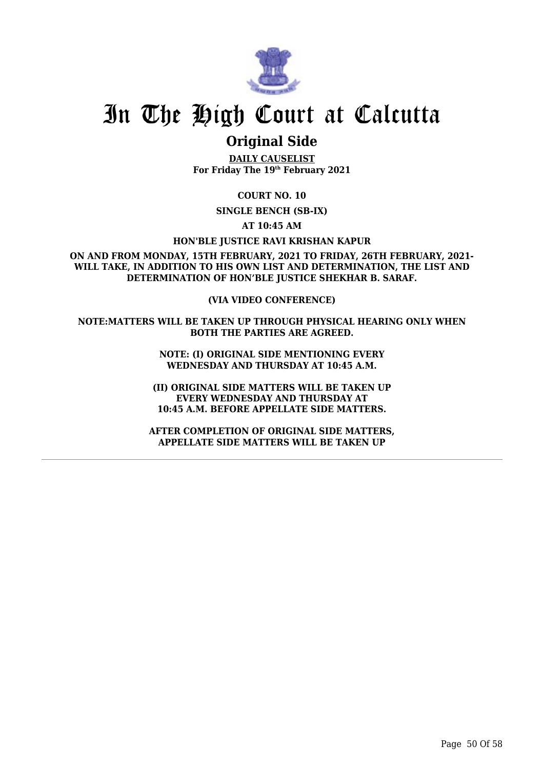

## **Original Side**

**DAILY CAUSELIST For Friday The 19th February 2021**

**COURT NO. 10**

**SINGLE BENCH (SB-IX)**

**AT 10:45 AM**

**HON'BLE JUSTICE RAVI KRISHAN KAPUR**

**ON AND FROM MONDAY, 15TH FEBRUARY, 2021 TO FRIDAY, 26TH FEBRUARY, 2021- WILL TAKE, IN ADDITION TO HIS OWN LIST AND DETERMINATION, THE LIST AND DETERMINATION OF HON'BLE JUSTICE SHEKHAR B. SARAF.**

**(VIA VIDEO CONFERENCE)**

**NOTE:MATTERS WILL BE TAKEN UP THROUGH PHYSICAL HEARING ONLY WHEN BOTH THE PARTIES ARE AGREED.**

> **NOTE: (I) ORIGINAL SIDE MENTIONING EVERY WEDNESDAY AND THURSDAY AT 10:45 A.M.**

**(II) ORIGINAL SIDE MATTERS WILL BE TAKEN UP EVERY WEDNESDAY AND THURSDAY AT 10:45 A.M. BEFORE APPELLATE SIDE MATTERS.**

**AFTER COMPLETION OF ORIGINAL SIDE MATTERS, APPELLATE SIDE MATTERS WILL BE TAKEN UP**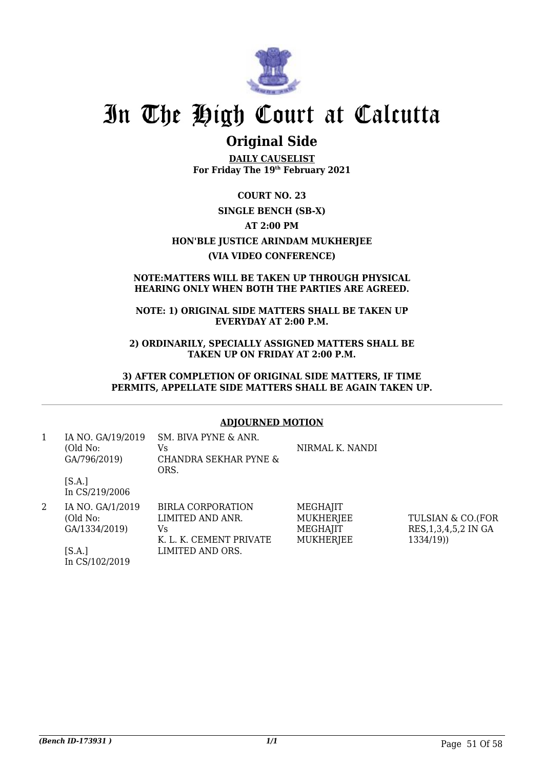

## **Original Side**

**DAILY CAUSELIST For Friday The 19th February 2021**

**COURT NO. 23 SINGLE BENCH (SB-X) AT 2:00 PM HON'BLE JUSTICE ARINDAM MUKHERJEE (VIA VIDEO CONFERENCE)**

#### **NOTE:MATTERS WILL BE TAKEN UP THROUGH PHYSICAL HEARING ONLY WHEN BOTH THE PARTIES ARE AGREED.**

### **NOTE: 1) ORIGINAL SIDE MATTERS SHALL BE TAKEN UP EVERYDAY AT 2:00 P.M.**

**2) ORDINARILY, SPECIALLY ASSIGNED MATTERS SHALL BE TAKEN UP ON FRIDAY AT 2:00 P.M.**

#### **3) AFTER COMPLETION OF ORIGINAL SIDE MATTERS, IF TIME PERMITS, APPELLATE SIDE MATTERS SHALL BE AGAIN TAKEN UP.**

### **ADJOURNED MOTION**

| 1 | IA NO. GA/19/2019<br>(Old No:<br>GA/796/2019) | SM. BIVA PYNE & ANR.<br>Vs.<br>CHANDRA SEKHAR PYNE &<br>ORS.                   | NIRMAL K. NANDI                                              |                                                           |
|---|-----------------------------------------------|--------------------------------------------------------------------------------|--------------------------------------------------------------|-----------------------------------------------------------|
|   | [SA.]<br>In CS/219/2006                       |                                                                                |                                                              |                                                           |
| 2 | IA NO. GA/1/2019<br>(Old No:<br>GA/1334/2019) | <b>BIRLA CORPORATION</b><br>LIMITED AND ANR.<br>Vs.<br>K. L. K. CEMENT PRIVATE | MEGHAJIT<br><b>MUKHERJEE</b><br>MEGHAJIT<br><b>MUKHERJEE</b> | TULSIAN & CO.(FOR<br>RES, 1, 3, 4, 5, 2 IN GA<br>1334/19) |
|   | [SA.]<br>In CS/102/2019                       | LIMITED AND ORS.                                                               |                                                              |                                                           |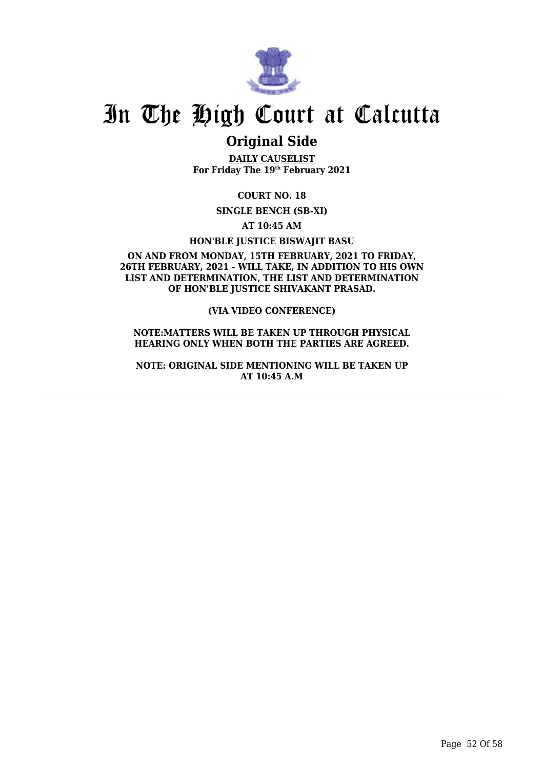

## **Original Side**

**DAILY CAUSELIST For Friday The 19th February 2021**

**COURT NO. 18**

**SINGLE BENCH (SB-XI)**

**AT 10:45 AM**

**HON'BLE JUSTICE BISWAJIT BASU**

**ON AND FROM MONDAY, 15TH FEBRUARY, 2021 TO FRIDAY, 26TH FEBRUARY, 2021 - WILL TAKE, IN ADDITION TO HIS OWN LIST AND DETERMINATION, THE LIST AND DETERMINATION OF HON'BLE JUSTICE SHIVAKANT PRASAD.**

**(VIA VIDEO CONFERENCE)**

**NOTE:MATTERS WILL BE TAKEN UP THROUGH PHYSICAL HEARING ONLY WHEN BOTH THE PARTIES ARE AGREED.**

**NOTE: ORIGINAL SIDE MENTIONING WILL BE TAKEN UP AT 10:45 A.M**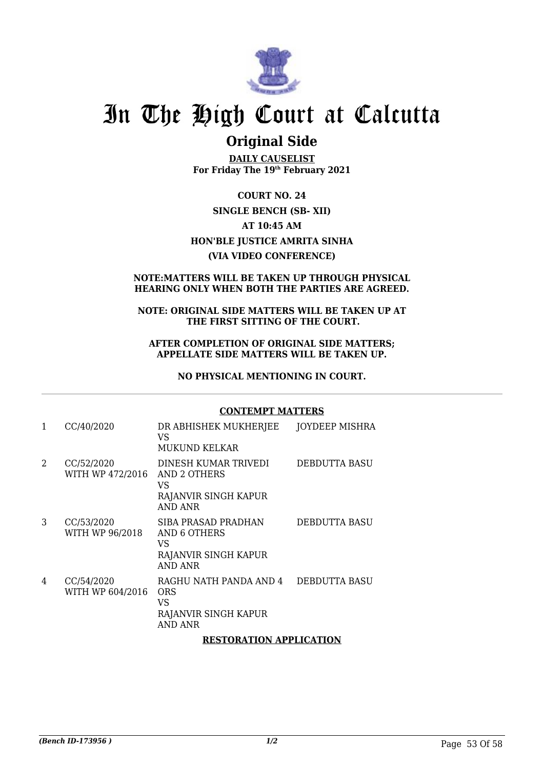

## **Original Side**

**DAILY CAUSELIST For Friday The 19th February 2021**

**COURT NO. 24 SINGLE BENCH (SB- XII) AT 10:45 AM HON'BLE JUSTICE AMRITA SINHA (VIA VIDEO CONFERENCE)**

### **NOTE:MATTERS WILL BE TAKEN UP THROUGH PHYSICAL HEARING ONLY WHEN BOTH THE PARTIES ARE AGREED.**

#### **NOTE: ORIGINAL SIDE MATTERS WILL BE TAKEN UP AT THE FIRST SITTING OF THE COURT.**

#### **AFTER COMPLETION OF ORIGINAL SIDE MATTERS; APPELLATE SIDE MATTERS WILL BE TAKEN UP.**

**NO PHYSICAL MENTIONING IN COURT.**

#### **CONTEMPT MATTERS**

| 1 | CC/40/2020                     | DR ABHISHEK MUKHERJEE<br>VS<br><b>MUKUND KELKAR</b>                                        | JOYDEEP MISHRA       |
|---|--------------------------------|--------------------------------------------------------------------------------------------|----------------------|
| 2 | CC/52/2020<br>WITH WP 472/2016 | DINESH KUMAR TRIVEDI<br>AND 2 OTHERS<br>VS<br>RAJANVIR SINGH KAPUR<br>AND ANR              | <b>DEBDUTTA BASU</b> |
| 3 | CC/53/2020<br>WITH WP 96/2018  | SIBA PRASAD PRADHAN<br><b>AND 6 OTHERS</b><br>VS<br>RAJANVIR SINGH KAPUR<br><b>AND ANR</b> | DEBDUTTA BASU        |
| 4 | CC/54/2020<br>WITH WP 604/2016 | RAGHU NATH PANDA AND 4<br>ORS<br>VS<br>RAJANVIR SINGH KAPUR<br><b>AND ANR</b>              | DEBDUTTA BASU        |
|   |                                | <b>RESTORATION APPLICATION</b>                                                             |                      |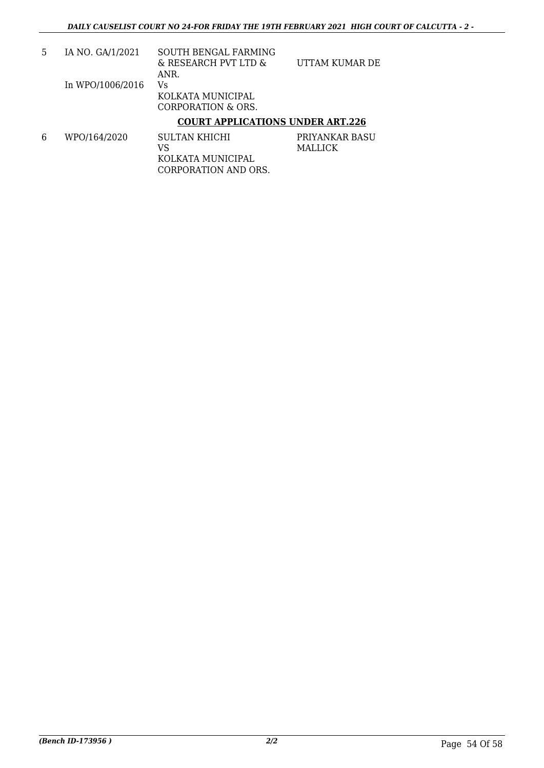|                  | COURT APPLICATIONS UNDER ART 226 |                |
|------------------|----------------------------------|----------------|
|                  | CORPORATION & ORS.               |                |
|                  | KOLKATA MUNICIPAL                |                |
| In WPO/1006/2016 | Vs                               |                |
|                  | ANR.                             |                |
|                  | & RESEARCH PVT LTD &             | UTTAM KUMAR DE |
| IA NO. GA/1/2021 | SOUTH BENGAL FARMING             |                |

### **COURT APPLICATIONS UNDER ART.226**

6 WPO/164/2020 SULTAN KHICHI VS KOLKATA MUNICIPAL CORPORATION AND ORS. PRIYANKAR BASU MALLICK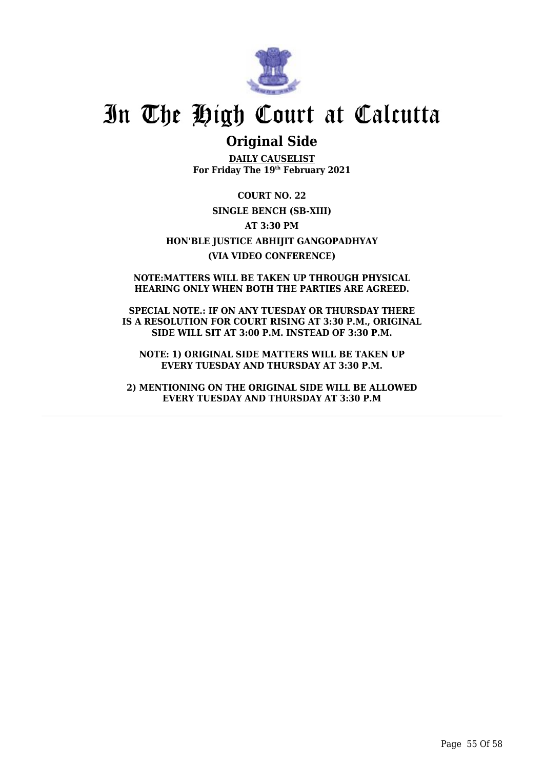

## **Original Side**

**DAILY CAUSELIST For Friday The 19th February 2021**

**COURT NO. 22 SINGLE BENCH (SB-XIII) AT 3:30 PM HON'BLE JUSTICE ABHIJIT GANGOPADHYAY (VIA VIDEO CONFERENCE)**

**NOTE:MATTERS WILL BE TAKEN UP THROUGH PHYSICAL HEARING ONLY WHEN BOTH THE PARTIES ARE AGREED.**

**SPECIAL NOTE.: IF ON ANY TUESDAY OR THURSDAY THERE IS A RESOLUTION FOR COURT RISING AT 3:30 P.M., ORIGINAL SIDE WILL SIT AT 3:00 P.M. INSTEAD OF 3:30 P.M.**

**NOTE: 1) ORIGINAL SIDE MATTERS WILL BE TAKEN UP EVERY TUESDAY AND THURSDAY AT 3:30 P.M.**

**2) MENTIONING ON THE ORIGINAL SIDE WILL BE ALLOWED EVERY TUESDAY AND THURSDAY AT 3:30 P.M**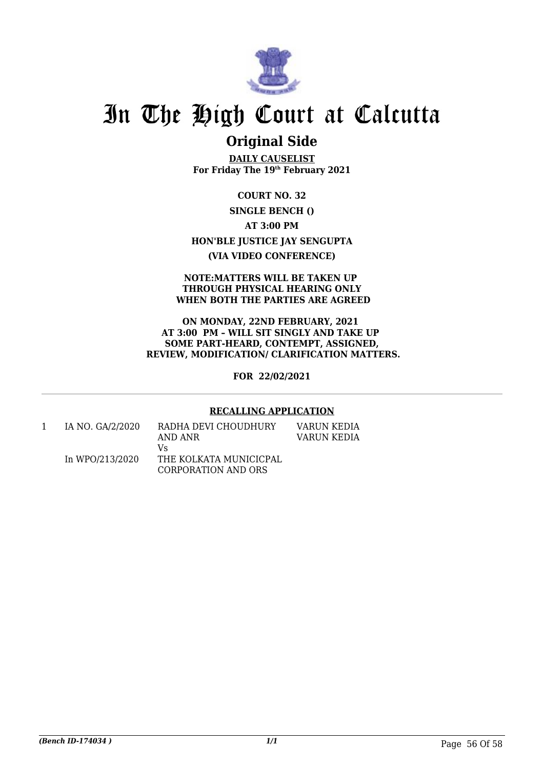

## **Original Side**

**DAILY CAUSELIST For Friday The 19th February 2021**

**COURT NO. 32 SINGLE BENCH () AT 3:00 PM HON'BLE JUSTICE JAY SENGUPTA (VIA VIDEO CONFERENCE)**

#### **NOTE:MATTERS WILL BE TAKEN UP THROUGH PHYSICAL HEARING ONLY WHEN BOTH THE PARTIES ARE AGREED**

**ON MONDAY, 22ND FEBRUARY, 2021 AT 3:00 PM – WILL SIT SINGLY AND TAKE UP SOME PART-HEARD, CONTEMPT, ASSIGNED, REVIEW, MODIFICATION/ CLARIFICATION MATTERS.**

**FOR 22/02/2021**

### **RECALLING APPLICATION**

| IA NO. GA/2/2020 | RADHA DEVI CHOUDHURY<br>AND ANR | VARUN KEDIA<br>VARUN KEDIA |
|------------------|---------------------------------|----------------------------|
|                  | V٢                              |                            |
| In WPO/213/2020  | THE KOLKATA MUNICICPAL          |                            |
|                  | CORPORATION AND ORS             |                            |